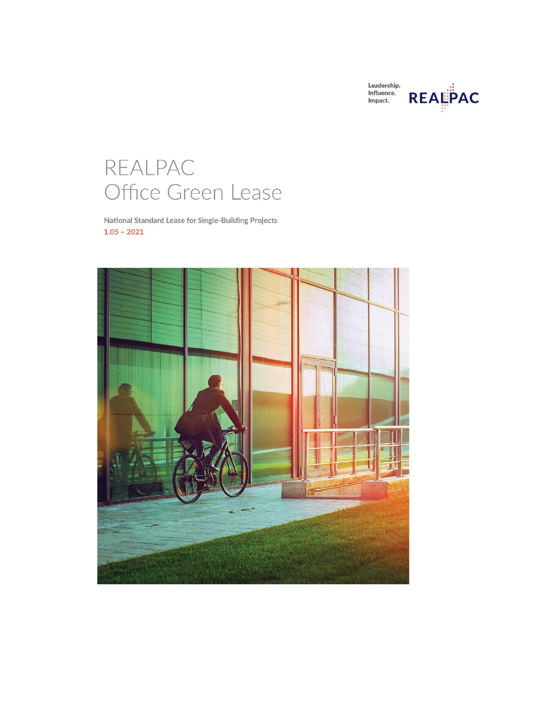| Leadership. |                |
|-------------|----------------|
| Influence.  |                |
| Impact.     | <b>REALPAC</b> |
|             |                |

# REALPAC Office Green Lease

National Standard Lease for Single-Building Projects  $1.05 - 2021$ 

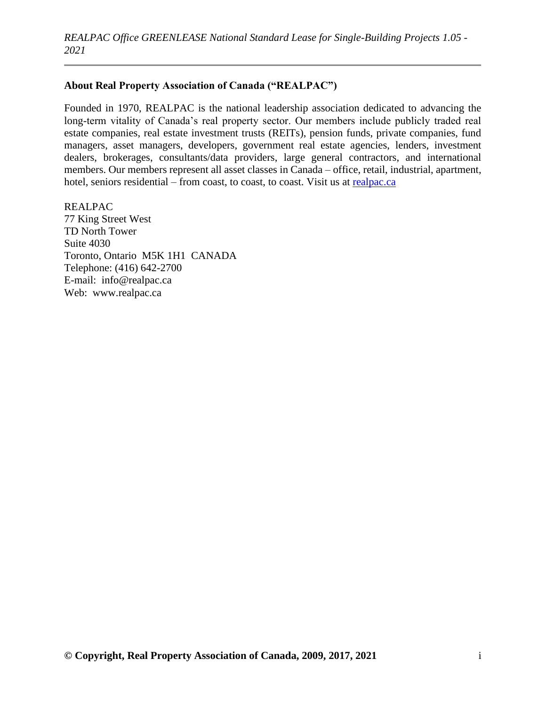# **About Real Property Association of Canada ("REALPAC")**

Founded in 1970, REALPAC is the national leadership association dedicated to advancing the long-term vitality of Canada's real property sector. Our members include publicly traded real estate companies, real estate investment trusts (REITs), pension funds, private companies, fund managers, asset managers, developers, government real estate agencies, lenders, investment dealers, brokerages, consultants/data providers, large general contractors, and international members. Our members represent all asset classes in Canada – office, retail, industrial, apartment, hotel, seniors residential – from coast, to coast, to coast. Visit us at [realpac.ca](https://www.realpac.ca/default.aspx)

REALPAC 77 King Street West TD North Tower Suite 4030 Toronto, Ontario M5K 1H1 CANADA Telephone: (416) 642-2700 E-mail: info@realpac.ca Web: www.realpac.ca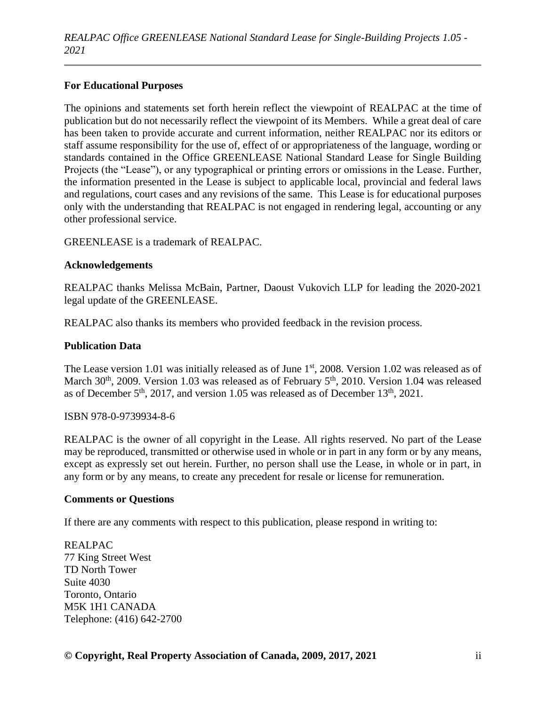# **For Educational Purposes**

The opinions and statements set forth herein reflect the viewpoint of REALPAC at the time of publication but do not necessarily reflect the viewpoint of its Members. While a great deal of care has been taken to provide accurate and current information, neither REALPAC nor its editors or staff assume responsibility for the use of, effect of or appropriateness of the language, wording or standards contained in the Office GREENLEASE National Standard Lease for Single Building Projects (the "Lease"), or any typographical or printing errors or omissions in the Lease. Further, the information presented in the Lease is subject to applicable local, provincial and federal laws and regulations, court cases and any revisions of the same. This Lease is for educational purposes only with the understanding that REALPAC is not engaged in rendering legal, accounting or any other professional service.

GREENLEASE is a trademark of REALPAC.

# **Acknowledgements**

REALPAC thanks Melissa McBain, Partner, Daoust Vukovich LLP for leading the 2020-2021 legal update of the GREENLEASE.

REALPAC also thanks its members who provided feedback in the revision process.

# **Publication Data**

The Lease version 1.01 was initially released as of June 1<sup>st</sup>, 2008. Version 1.02 was released as of March 30<sup>th</sup>, 2009. Version 1.03 was released as of February 5<sup>th</sup>, 2010. Version 1.04 was released as of December  $5<sup>th</sup>$ , 2017, and version 1.05 was released as of December 13<sup>th</sup>, 2021.

ISBN 978-0-9739934-8-6

REALPAC is the owner of all copyright in the Lease. All rights reserved. No part of the Lease may be reproduced, transmitted or otherwise used in whole or in part in any form or by any means, except as expressly set out herein. Further, no person shall use the Lease, in whole or in part, in any form or by any means, to create any precedent for resale or license for remuneration.

#### **Comments or Questions**

If there are any comments with respect to this publication, please respond in writing to:

REALPAC 77 King Street West TD North Tower Suite 4030 Toronto, Ontario M5K 1H1 CANADA Telephone: (416) 642-2700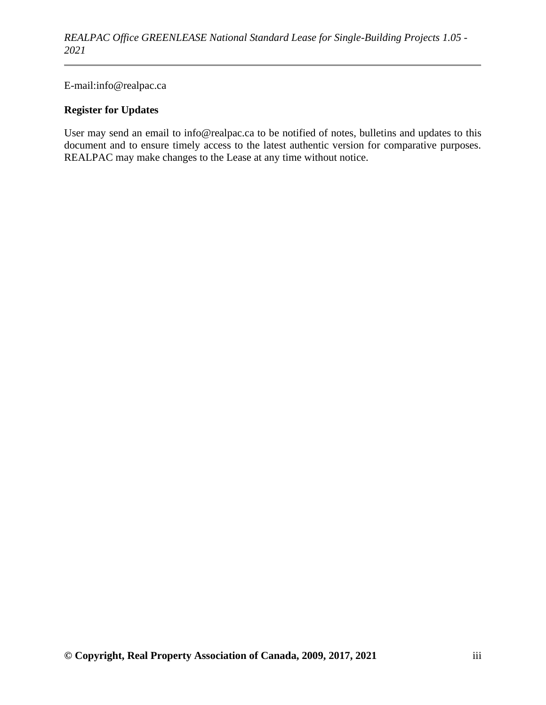E-mail:info@realpac.ca

# **Register for Updates**

User may send an email to info@realpac.ca to be notified of notes, bulletins and updates to this document and to ensure timely access to the latest authentic version for comparative purposes. REALPAC may make changes to the Lease at any time without notice.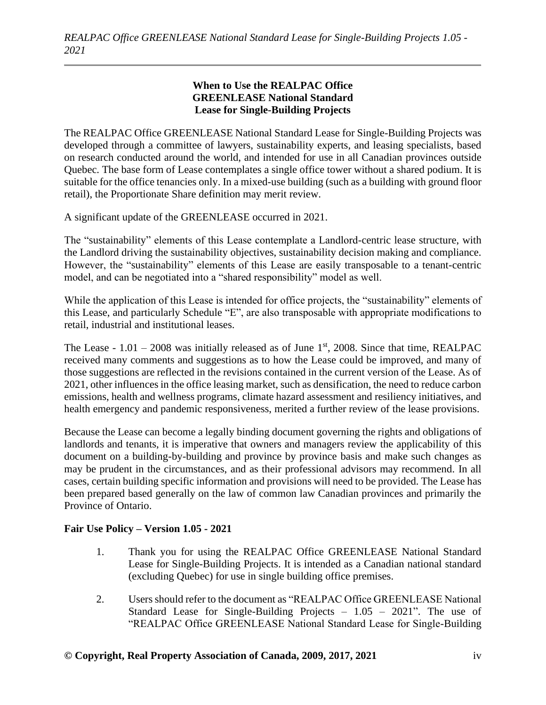# **When to Use the REALPAC Office GREENLEASE National Standard Lease for Single-Building Projects**

The REALPAC Office GREENLEASE National Standard Lease for Single-Building Projects was developed through a committee of lawyers, sustainability experts, and leasing specialists, based on research conducted around the world, and intended for use in all Canadian provinces outside Quebec. The base form of Lease contemplates a single office tower without a shared podium. It is suitable for the office tenancies only. In a mixed-use building (such as a building with ground floor retail), the Proportionate Share definition may merit review.

A significant update of the GREENLEASE occurred in 2021.

The "sustainability" elements of this Lease contemplate a Landlord-centric lease structure, with the Landlord driving the sustainability objectives, sustainability decision making and compliance. However, the "sustainability" elements of this Lease are easily transposable to a tenant-centric model, and can be negotiated into a "shared responsibility" model as well.

While the application of this Lease is intended for office projects, the "sustainability" elements of this Lease, and particularly Schedule "E", are also transposable with appropriate modifications to retail, industrial and institutional leases.

The Lease -  $1.01 - 2008$  was initially released as of June 1<sup>st</sup>, 2008. Since that time, REALPAC received many comments and suggestions as to how the Lease could be improved, and many of those suggestions are reflected in the revisions contained in the current version of the Lease. As of 2021, other influences in the office leasing market, such as densification, the need to reduce carbon emissions, health and wellness programs, climate hazard assessment and resiliency initiatives, and health emergency and pandemic responsiveness, merited a further review of the lease provisions.

Because the Lease can become a legally binding document governing the rights and obligations of landlords and tenants, it is imperative that owners and managers review the applicability of this document on a building-by-building and province by province basis and make such changes as may be prudent in the circumstances, and as their professional advisors may recommend. In all cases, certain building specific information and provisions will need to be provided. The Lease has been prepared based generally on the law of common law Canadian provinces and primarily the Province of Ontario.

# **Fair Use Policy – Version 1.05 - 2021**

- 1. Thank you for using the REALPAC Office GREENLEASE National Standard Lease for Single-Building Projects. It is intended as a Canadian national standard (excluding Quebec) for use in single building office premises.
- 2. Users should refer to the document as "REALPAC Office GREENLEASE National Standard Lease for Single-Building Projects  $-1.05 - 2021$ ". The use of "REALPAC Office GREENLEASE National Standard Lease for Single-Building

#### **© Copyright, Real Property Association of Canada, 2009, 2017, 2021** iv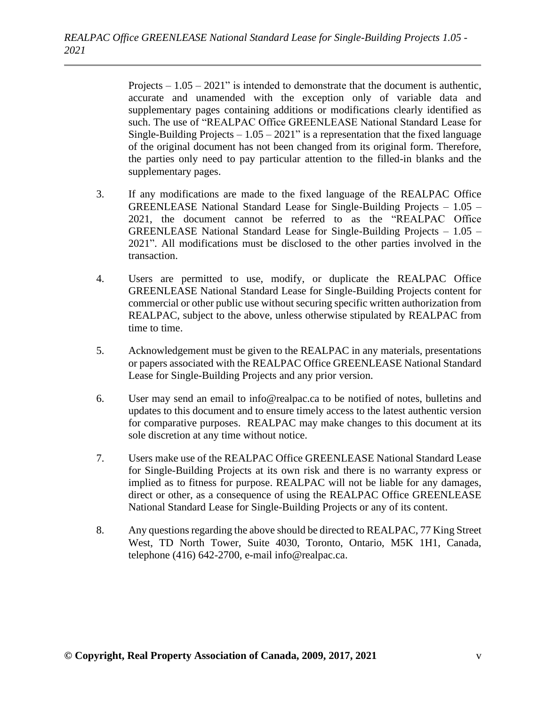Projects  $-1.05 - 2021$ " is intended to demonstrate that the document is authentic, accurate and unamended with the exception only of variable data and supplementary pages containing additions or modifications clearly identified as such. The use of "REALPAC Office GREENLEASE National Standard Lease for Single-Building Projects  $-1.05 - 2021$ " is a representation that the fixed language of the original document has not been changed from its original form. Therefore, the parties only need to pay particular attention to the filled-in blanks and the supplementary pages.

- 3. If any modifications are made to the fixed language of the REALPAC Office GREENLEASE National Standard Lease for Single-Building Projects – 1.05 – 2021, the document cannot be referred to as the "REALPAC Office GREENLEASE National Standard Lease for Single-Building Projects – 1.05 – 2021". All modifications must be disclosed to the other parties involved in the transaction.
- 4. Users are permitted to use, modify, or duplicate the REALPAC Office GREENLEASE National Standard Lease for Single-Building Projects content for commercial or other public use without securing specific written authorization from REALPAC, subject to the above, unless otherwise stipulated by REALPAC from time to time.
- 5. Acknowledgement must be given to the REALPAC in any materials, presentations or papers associated with the REALPAC Office GREENLEASE National Standard Lease for Single-Building Projects and any prior version.
- 6. User may send an email to info@realpac.ca to be notified of notes, bulletins and updates to this document and to ensure timely access to the latest authentic version for comparative purposes. REALPAC may make changes to this document at its sole discretion at any time without notice.
- 7. Users make use of the REALPAC Office GREENLEASE National Standard Lease for Single-Building Projects at its own risk and there is no warranty express or implied as to fitness for purpose. REALPAC will not be liable for any damages, direct or other, as a consequence of using the REALPAC Office GREENLEASE National Standard Lease for Single-Building Projects or any of its content.
- 8. Any questions regarding the above should be directed to REALPAC, 77 King Street West, TD North Tower, Suite 4030, Toronto, Ontario, M5K 1H1, Canada, telephone (416) 642-2700, e-mail info@realpac.ca.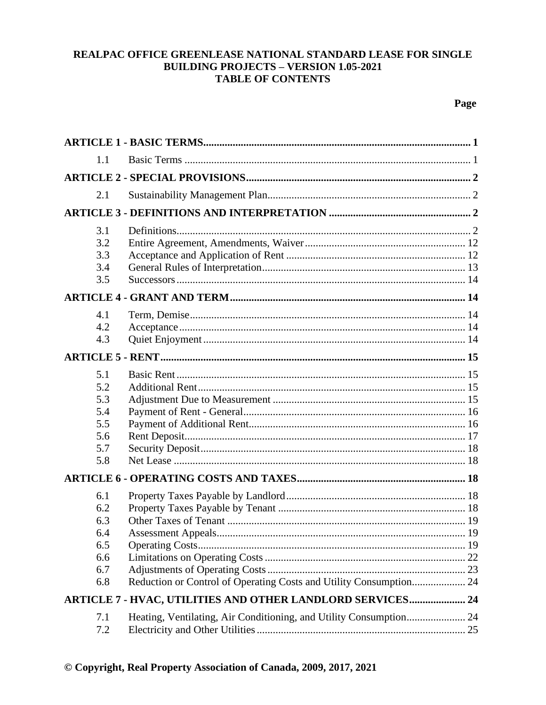# REALPAC OFFICE GREENLEASE NATIONAL STANDARD LEASE FOR SINGLE **BUILDING PROJECTS - VERSION 1.05-2021 TABLE OF CONTENTS**

| 1.1                                                  |                                                            |  |
|------------------------------------------------------|------------------------------------------------------------|--|
|                                                      |                                                            |  |
| 2.1                                                  |                                                            |  |
|                                                      |                                                            |  |
| 3.1<br>3.2<br>3.3<br>3.4<br>3.5                      |                                                            |  |
|                                                      |                                                            |  |
| 4.1<br>4.2<br>4.3                                    |                                                            |  |
|                                                      |                                                            |  |
| 5.1<br>5.2<br>5.3<br>5.4<br>5.5<br>5.6<br>5.7<br>5.8 |                                                            |  |
|                                                      |                                                            |  |
| 6.1<br>6.2<br>6.3<br>6.4<br>6.5<br>6.6<br>6.7<br>6.8 |                                                            |  |
|                                                      | ARTICLE 7 - HVAC, UTILITIES AND OTHER LANDLORD SERVICES 24 |  |
| 7.1<br>7.2                                           |                                                            |  |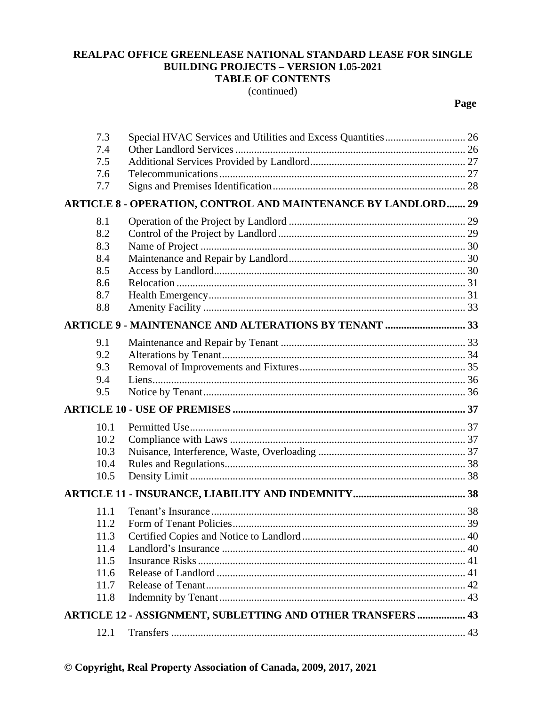#### REALPAC OFFICE GREENLEASE NATIONAL STANDARD LEASE FOR SINGLE **BUILDING PROJECTS - VERSION 1.05-2021 TABLE OF CONTENTS**

(continued)

| 7.3  | Special HVAC Services and Utilities and Excess Quantities 26         |  |
|------|----------------------------------------------------------------------|--|
| 7.4  |                                                                      |  |
| 7.5  |                                                                      |  |
| 7.6  |                                                                      |  |
| 7.7  |                                                                      |  |
|      | <b>ARTICLE 8 - OPERATION, CONTROL AND MAINTENANCE BY LANDLORD 29</b> |  |
| 8.1  |                                                                      |  |
| 8.2  |                                                                      |  |
| 8.3  |                                                                      |  |
| 8.4  |                                                                      |  |
| 8.5  |                                                                      |  |
| 8.6  |                                                                      |  |
| 8.7  |                                                                      |  |
| 8.8  |                                                                      |  |
|      | <b>ARTICLE 9 - MAINTENANCE AND ALTERATIONS BY TENANT  33</b>         |  |
| 9.1  |                                                                      |  |
| 9.2  |                                                                      |  |
| 9.3  |                                                                      |  |
| 9.4  |                                                                      |  |
| 9.5  |                                                                      |  |
|      |                                                                      |  |
| 10.1 |                                                                      |  |
| 10.2 |                                                                      |  |
| 10.3 |                                                                      |  |
| 10.4 |                                                                      |  |
| 10.5 |                                                                      |  |
|      |                                                                      |  |
| 11.1 |                                                                      |  |
| 11.2 |                                                                      |  |
| 11.3 |                                                                      |  |
| 11.4 |                                                                      |  |
| 11.5 |                                                                      |  |
| 11.6 |                                                                      |  |
| 11.7 |                                                                      |  |
| 11.8 |                                                                      |  |
|      | ARTICLE 12 - ASSIGNMENT, SUBLETTING AND OTHER TRANSFERS  43          |  |
| 12.1 |                                                                      |  |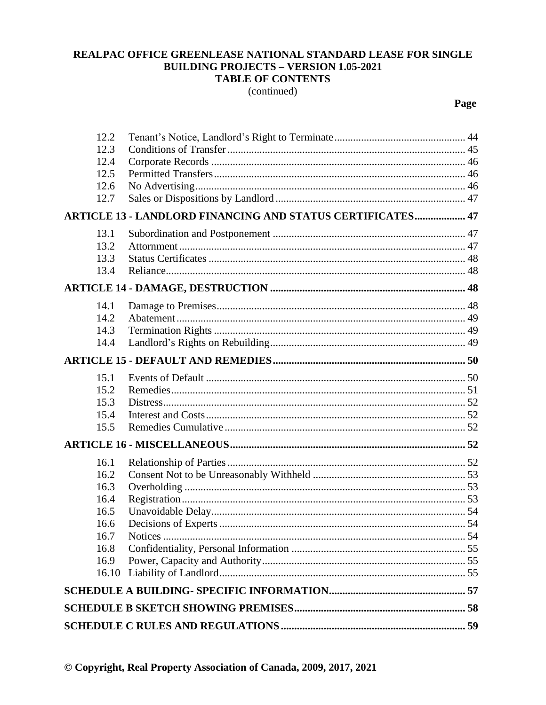#### REALPAC OFFICE GREENLEASE NATIONAL STANDARD LEASE FOR SINGLE **BUILDING PROJECTS - VERSION 1.05-2021 TABLE OF CONTENTS**

(continued)

| 12.2  |                                                                   |  |
|-------|-------------------------------------------------------------------|--|
| 12.3  |                                                                   |  |
| 12.4  |                                                                   |  |
| 12.5  |                                                                   |  |
| 12.6  |                                                                   |  |
| 12.7  |                                                                   |  |
|       | <b>ARTICLE 13 - LANDLORD FINANCING AND STATUS CERTIFICATES 47</b> |  |
| 13.1  |                                                                   |  |
| 13.2  |                                                                   |  |
| 13.3  |                                                                   |  |
| 13.4  |                                                                   |  |
|       |                                                                   |  |
| 14.1  |                                                                   |  |
| 14.2  |                                                                   |  |
| 14.3  |                                                                   |  |
| 14.4  |                                                                   |  |
|       |                                                                   |  |
| 15.1  |                                                                   |  |
| 15.2  |                                                                   |  |
| 15.3  |                                                                   |  |
| 15.4  |                                                                   |  |
| 15.5  |                                                                   |  |
|       |                                                                   |  |
| 16.1  |                                                                   |  |
| 16.2  |                                                                   |  |
| 16.3  |                                                                   |  |
| 16.4  |                                                                   |  |
| 16.5  |                                                                   |  |
| 16.6  |                                                                   |  |
| 16.7  |                                                                   |  |
| 16.8  |                                                                   |  |
| 16.9  |                                                                   |  |
| 16.10 |                                                                   |  |
|       |                                                                   |  |
|       |                                                                   |  |
|       |                                                                   |  |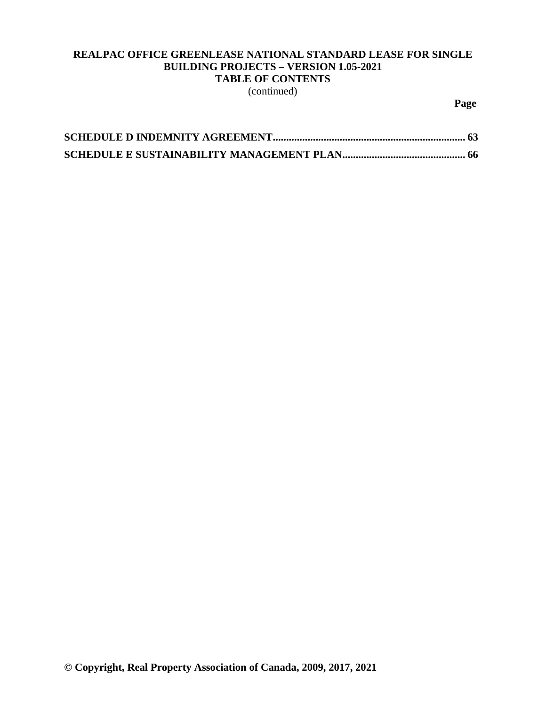# **REALPAC OFFICE GREENLEASE NATIONAL STANDARD LEASE FOR SINGLE BUILDING PROJECTS – VERSION 1.05-2021 TABLE OF CONTENTS**

(continued)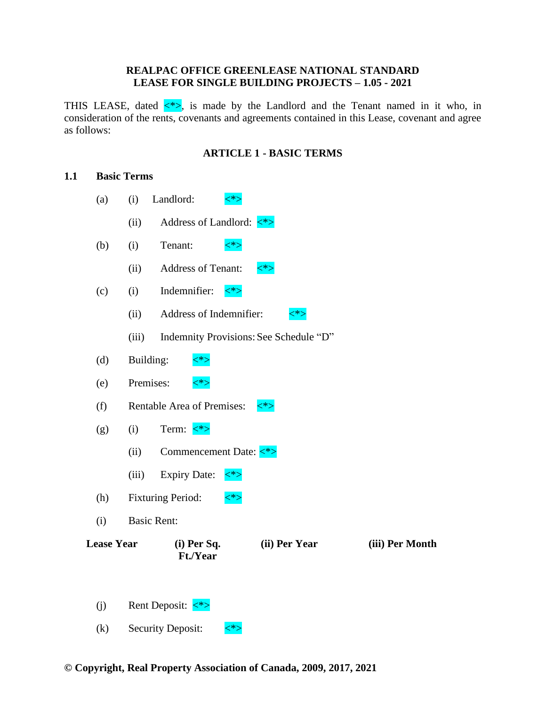#### **REALPAC OFFICE GREENLEASE NATIONAL STANDARD LEASE FOR SINGLE BUILDING PROJECTS – 1.05 - 2021**

THIS LEASE, dated  $\langle * \rangle$ , is made by the Landlord and the Tenant named in it who, in consideration of the rents, covenants and agreements contained in this Lease, covenant and agree as follows:

# **ARTICLE 1 - BASIC TERMS**

#### <span id="page-10-1"></span><span id="page-10-0"></span>**1.1 Basic Terms**

| (a)               | (i)                | Landlord:                             | $<^*>$  |                                        |                 |
|-------------------|--------------------|---------------------------------------|---------|----------------------------------------|-----------------|
|                   | (ii)               |                                       |         |                                        |                 |
| (b)               | (i)                | Tenant:                               | $<^*>$  |                                        |                 |
|                   | (ii)               | Address of Tenant:                    | $\lt^*$ |                                        |                 |
| (c)               | (i)                | Indemnifier:                          | $\lt^*$ |                                        |                 |
|                   | (ii)               | Address of Indemnifier:               |         | <*>                                    |                 |
|                   | (iii)              |                                       |         | Indemnity Provisions: See Schedule "D" |                 |
| (d)               | Building:          | $<^*>$                                |         |                                        |                 |
| (e)               | Premises:          | $<^*>$                                |         |                                        |                 |
| (f)               |                    | Rentable Area of Premises:            | $<^*>$  |                                        |                 |
| (g)               | (i)                | Term: $\langle$ *>                    |         |                                        |                 |
|                   | (ii)               |                                       |         |                                        |                 |
|                   | (iii)              | <b>Expiry Date:</b>                   | $\lt^*$ |                                        |                 |
| (h)               |                    | <b>Fixturing Period:</b>              | $<^*$   |                                        |                 |
| (i)               | <b>Basic Rent:</b> |                                       |         |                                        |                 |
| <b>Lease Year</b> |                    | $(i)$ Per Sq.<br><b>Ft./Year</b>      |         | (ii) Per Year                          | (iii) Per Month |
|                   |                    |                                       |         |                                        |                 |
| (j)               |                    | Rent Deposit: $\langle \cdot \rangle$ |         |                                        |                 |

(k) Security Deposit:  $\langle * \rangle$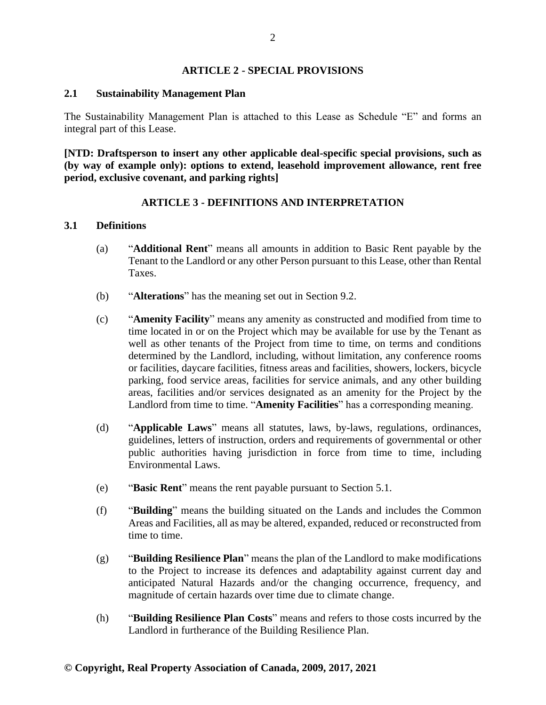#### **ARTICLE 2 - SPECIAL PROVISIONS**

#### <span id="page-11-1"></span><span id="page-11-0"></span>**2.1 Sustainability Management Plan**

The Sustainability Management Plan is attached to this Lease as Schedule "E" and forms an integral part of this Lease.

**[NTD: Draftsperson to insert any other applicable deal-specific special provisions, such as (by way of example only): options to extend, leasehold improvement allowance, rent free period, exclusive covenant, and parking rights]**

# **ARTICLE 3 - DEFINITIONS AND INTERPRETATION**

#### <span id="page-11-3"></span><span id="page-11-2"></span>**3.1 Definitions**

- (a) "**Additional Rent**" means all amounts in addition to Basic Rent payable by the Tenant to the Landlord or any other Person pursuant to this Lease, other than Rental Taxes.
- (b) "**Alterations**" has the meaning set out in Section 9.2.
- (c) "**Amenity Facility**" means any amenity as constructed and modified from time to time located in or on the Project which may be available for use by the Tenant as well as other tenants of the Project from time to time, on terms and conditions determined by the Landlord, including, without limitation, any conference rooms or facilities, daycare facilities, fitness areas and facilities, showers, lockers, bicycle parking, food service areas, facilities for service animals, and any other building areas, facilities and/or services designated as an amenity for the Project by the Landlord from time to time. "**Amenity Facilities**" has a corresponding meaning.
- (d) "**Applicable Laws**" means all statutes, laws, by-laws, regulations, ordinances, guidelines, letters of instruction, orders and requirements of governmental or other public authorities having jurisdiction in force from time to time, including Environmental Laws.
- (e) "**Basic Rent**" means the rent payable pursuant to Section 5.1.
- (f) "**Building**" means the building situated on the Lands and includes the Common Areas and Facilities, all as may be altered, expanded, reduced or reconstructed from time to time.
- (g) "**Building Resilience Plan**" means the plan of the Landlord to make modifications to the Project to increase its defences and adaptability against current day and anticipated Natural Hazards and/or the changing occurrence, frequency, and magnitude of certain hazards over time due to climate change.
- (h) "**Building Resilience Plan Costs**" means and refers to those costs incurred by the Landlord in furtherance of the Building Resilience Plan.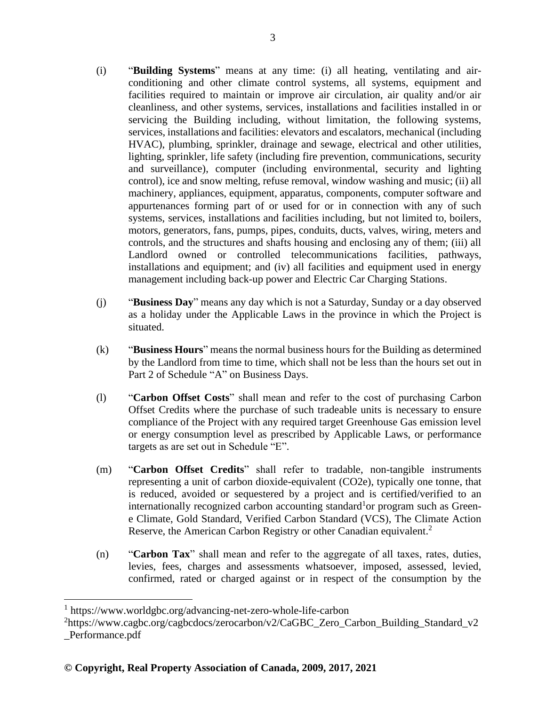- (i) "**Building Systems**" means at any time: (i) all heating, ventilating and airconditioning and other climate control systems, all systems, equipment and facilities required to maintain or improve air circulation, air quality and/or air cleanliness, and other systems, services, installations and facilities installed in or servicing the Building including, without limitation, the following systems, services, installations and facilities: elevators and escalators, mechanical (including HVAC), plumbing, sprinkler, drainage and sewage, electrical and other utilities, lighting, sprinkler, life safety (including fire prevention, communications, security and surveillance), computer (including environmental, security and lighting control), ice and snow melting, refuse removal, window washing and music; (ii) all machinery, appliances, equipment, apparatus, components, computer software and appurtenances forming part of or used for or in connection with any of such systems, services, installations and facilities including, but not limited to, boilers, motors, generators, fans, pumps, pipes, conduits, ducts, valves, wiring, meters and controls, and the structures and shafts housing and enclosing any of them; (iii) all Landlord owned or controlled telecommunications facilities, pathways, installations and equipment; and (iv) all facilities and equipment used in energy management including back-up power and Electric Car Charging Stations.
- (j) "**Business Day**" means any day which is not a Saturday, Sunday or a day observed as a holiday under the Applicable Laws in the province in which the Project is situated.
- (k) "**Business Hours**" means the normal business hours for the Building as determined by the Landlord from time to time, which shall not be less than the hours set out in Part 2 of Schedule "A" on Business Days.
- (l) "**Carbon Offset Costs**" shall mean and refer to the cost of purchasing Carbon Offset Credits where the purchase of such tradeable units is necessary to ensure compliance of the Project with any required target Greenhouse Gas emission level or energy consumption level as prescribed by Applicable Laws, or performance targets as are set out in Schedule "E".
- (m) "**Carbon Offset Credits**" shall refer to tradable, non-tangible instruments representing a unit of carbon dioxide-equivalent (CO2e), typically one tonne, that is reduced, avoided or sequestered by a project and is certified/verified to an internationally recognized carbon accounting standard<sup>1</sup> or program such as Greene Climate, Gold Standard, Verified Carbon Standard (VCS), The Climate Action Reserve, the American Carbon Registry or other Canadian equivalent.<sup>2</sup>
- (n) "**Carbon Tax**" shall mean and refer to the aggregate of all taxes, rates, duties, levies, fees, charges and assessments whatsoever, imposed, assessed, levied, confirmed, rated or charged against or in respect of the consumption by the

<sup>1</sup> https://www.worldgbc.org/advancing-net-zero-whole-life-carbon

<sup>&</sup>lt;sup>2</sup>https://www.cagbc.org/cagbcdocs/zerocarbon/v2/CaGBC\_Zero\_Carbon\_Building\_Standard\_v2 \_Performance.pdf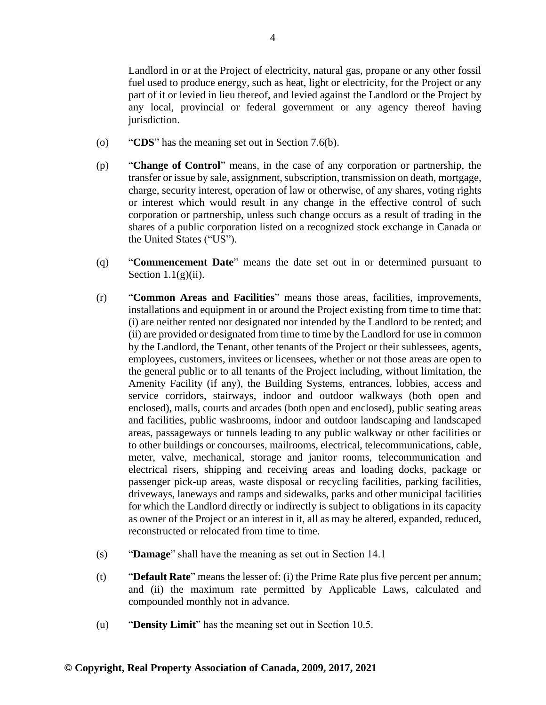Landlord in or at the Project of electricity, natural gas, propane or any other fossil fuel used to produce energy, such as heat, light or electricity, for the Project or any part of it or levied in lieu thereof, and levied against the Landlord or the Project by any local, provincial or federal government or any agency thereof having jurisdiction.

- (o) "**CDS**" has the meaning set out in Section 7.6(b).
- (p) "**Change of Control**" means, in the case of any corporation or partnership, the transfer or issue by sale, assignment, subscription, transmission on death, mortgage, charge, security interest, operation of law or otherwise, of any shares, voting rights or interest which would result in any change in the effective control of such corporation or partnership, unless such change occurs as a result of trading in the shares of a public corporation listed on a recognized stock exchange in Canada or the United States ("US").
- (q) "**Commencement Date**" means the date set out in or determined pursuant to Section  $1.1(g)(ii)$ .
- (r) "**Common Areas and Facilities**" means those areas, facilities, improvements, installations and equipment in or around the Project existing from time to time that: (i) are neither rented nor designated nor intended by the Landlord to be rented; and (ii) are provided or designated from time to time by the Landlord for use in common by the Landlord, the Tenant, other tenants of the Project or their sublessees, agents, employees, customers, invitees or licensees, whether or not those areas are open to the general public or to all tenants of the Project including, without limitation, the Amenity Facility (if any), the Building Systems, entrances, lobbies, access and service corridors, stairways, indoor and outdoor walkways (both open and enclosed), malls, courts and arcades (both open and enclosed), public seating areas and facilities, public washrooms, indoor and outdoor landscaping and landscaped areas, passageways or tunnels leading to any public walkway or other facilities or to other buildings or concourses, mailrooms, electrical, telecommunications, cable, meter, valve, mechanical, storage and janitor rooms, telecommunication and electrical risers, shipping and receiving areas and loading docks, package or passenger pick-up areas, waste disposal or recycling facilities, parking facilities, driveways, laneways and ramps and sidewalks, parks and other municipal facilities for which the Landlord directly or indirectly is subject to obligations in its capacity as owner of the Project or an interest in it, all as may be altered, expanded, reduced, reconstructed or relocated from time to time.
- (s) "**Damage**" shall have the meaning as set out in Section 14.1
- (t) "**Default Rate**" means the lesser of: (i) the Prime Rate plus five percent per annum; and (ii) the maximum rate permitted by Applicable Laws, calculated and compounded monthly not in advance.
- (u) "**Density Limit**" has the meaning set out in Section 10.5.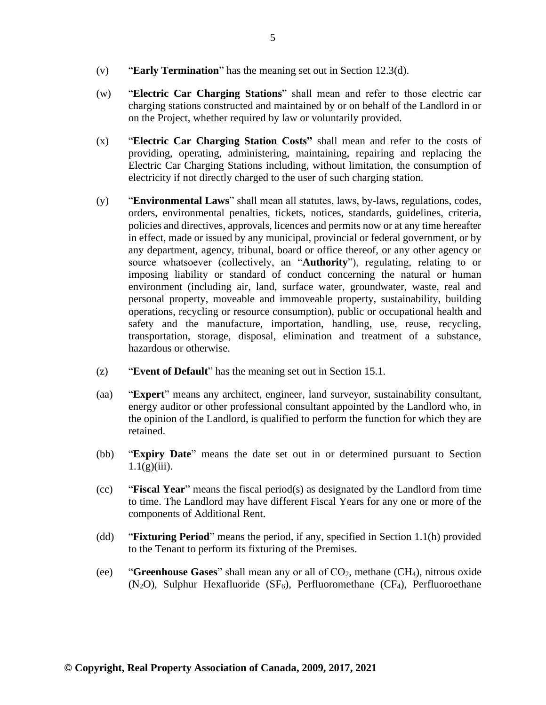- (v) "**Early Termination**" has the meaning set out in Section 12.3(d).
- (w) "**Electric Car Charging Stations**" shall mean and refer to those electric car charging stations constructed and maintained by or on behalf of the Landlord in or on the Project, whether required by law or voluntarily provided.
- (x) "**Electric Car Charging Station Costs"** shall mean and refer to the costs of providing, operating, administering, maintaining, repairing and replacing the Electric Car Charging Stations including, without limitation, the consumption of electricity if not directly charged to the user of such charging station.
- (y) "**Environmental Laws**" shall mean all statutes, laws, by-laws, regulations, codes, orders, environmental penalties, tickets, notices, standards, guidelines, criteria, policies and directives, approvals, licences and permits now or at any time hereafter in effect, made or issued by any municipal, provincial or federal government, or by any department, agency, tribunal, board or office thereof, or any other agency or source whatsoever (collectively, an "**Authority**"), regulating, relating to or imposing liability or standard of conduct concerning the natural or human environment (including air, land, surface water, groundwater, waste, real and personal property, moveable and immoveable property, sustainability, building operations, recycling or resource consumption), public or occupational health and safety and the manufacture, importation, handling, use, reuse, recycling, transportation, storage, disposal, elimination and treatment of a substance, hazardous or otherwise.
- (z) "**Event of Default**" has the meaning set out in Section 15.1.
- (aa) "**Expert**" means any architect, engineer, land surveyor, sustainability consultant, energy auditor or other professional consultant appointed by the Landlord who, in the opinion of the Landlord, is qualified to perform the function for which they are retained.
- (bb) "**Expiry Date**" means the date set out in or determined pursuant to Section  $1.1(g)(iii)$ .
- (cc) "**Fiscal Year**" means the fiscal period(s) as designated by the Landlord from time to time. The Landlord may have different Fiscal Years for any one or more of the components of Additional Rent.
- (dd) "**Fixturing Period**" means the period, if any, specified in Section 1.1(h) provided to the Tenant to perform its fixturing of the Premises.
- (ee) "**Greenhouse Gases**" shall mean any or all of CO2, methane (CH4), nitrous oxide (N<sub>2</sub>O), Sulphur Hexafluoride (SF<sub>6</sub>), Perfluoromethane (CF<sub>4</sub>), Perfluoroethane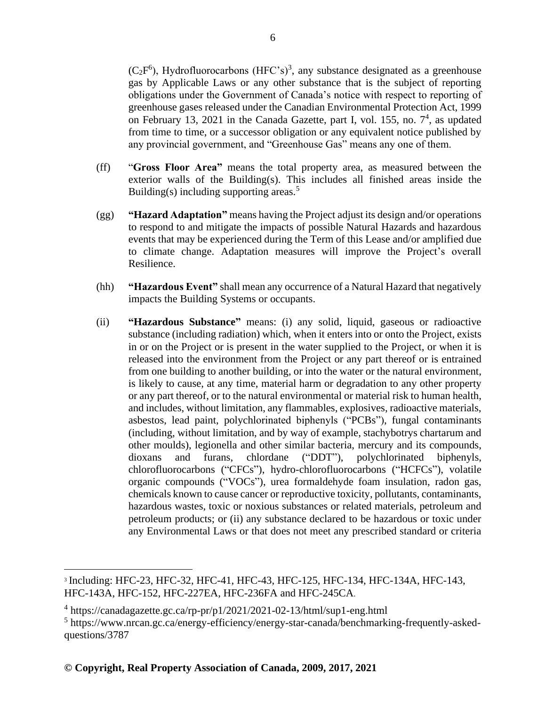$(C_2F^6)$ , Hydrofluorocarbons (HFC's)<sup>3</sup>, any substance designated as a greenhouse gas by Applicable Laws or any other substance that is the subject of reporting obligations under the Government of Canada's notice with respect to reporting of greenhouse gases released under the Canadian Environmental Protection Act, 1999 on February 13, 2021 in the Canada Gazette, part I, vol. 155, no. 7 4 , as updated from time to time, or a successor obligation or any equivalent notice published by any provincial government, and "Greenhouse Gas" means any one of them.

- (ff) "**Gross Floor Area"** means the total property area, as measured between the exterior walls of the Building(s). This includes all finished areas inside the Building(s) including supporting areas.<sup>5</sup>
- (gg) **"Hazard Adaptation"** means having the Project adjust its design and/or operations to respond to and mitigate the impacts of possible Natural Hazards and hazardous events that may be experienced during the Term of this Lease and/or amplified due to climate change. Adaptation measures will improve the Project's overall Resilience.
- (hh) **"Hazardous Event"** shall mean any occurrence of a Natural Hazard that negatively impacts the Building Systems or occupants.
- (ii) **"Hazardous Substance"** means: (i) any solid, liquid, gaseous or radioactive substance (including radiation) which, when it enters into or onto the Project, exists in or on the Project or is present in the water supplied to the Project, or when it is released into the environment from the Project or any part thereof or is entrained from one building to another building, or into the water or the natural environment, is likely to cause, at any time, material harm or degradation to any other property or any part thereof, or to the natural environmental or material risk to human health, and includes, without limitation, any flammables, explosives, radioactive materials, asbestos, lead paint, polychlorinated biphenyls ("PCBs"), fungal contaminants (including, without limitation, and by way of example, stachybotrys chartarum and other moulds), legionella and other similar bacteria, mercury and its compounds, dioxans and furans, chlordane ("DDT"), polychlorinated biphenyls, chlorofluorocarbons ("CFCs"), hydro-chlorofluorocarbons ("HCFCs"), volatile organic compounds ("VOCs"), urea formaldehyde foam insulation, radon gas, chemicals known to cause cancer or reproductive toxicity, pollutants, contaminants, hazardous wastes, toxic or noxious substances or related materials, petroleum and petroleum products; or (ii) any substance declared to be hazardous or toxic under any Environmental Laws or that does not meet any prescribed standard or criteria

<sup>3</sup> Including: HFC-23, HFC-32, HFC-41, HFC-43, HFC-125, HFC-134, HFC-134A, HFC-143, HFC-143A, HFC-152, HFC-227EA, HFC-236FA and HFC-245CA.

<sup>4</sup> https://canadagazette.gc.ca/rp-pr/p1/2021/2021-02-13/html/sup1-eng.html

<sup>5</sup> https://www.nrcan.gc.ca/energy-efficiency/energy-star-canada/benchmarking-frequently-askedquestions/3787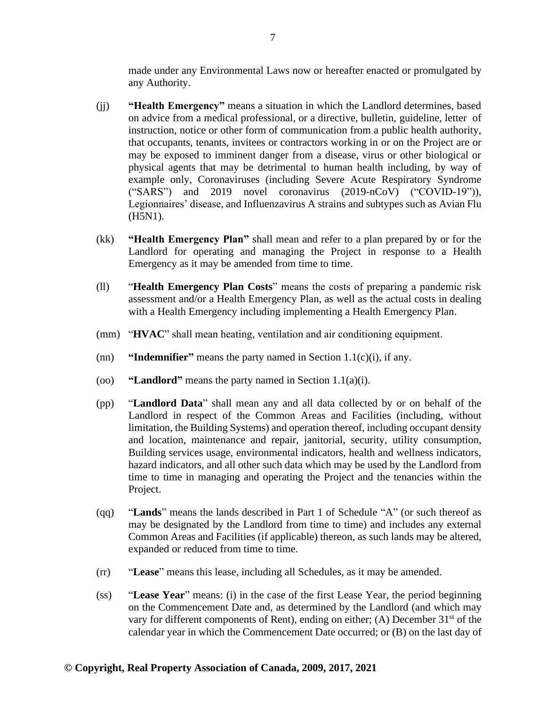made under any Environmental Laws now or hereafter enacted or promulgated by any Authority.

- (jj) **"Health Emergency"** means a situation in which the Landlord determines, based on advice from a medical professional, or a directive, bulletin, guideline, letter of instruction, notice or other form of communication from a public health authority, that occupants, tenants, invitees or contractors working in or on the Project are or may be exposed to imminent danger from a disease, virus or other biological or physical agents that may be detrimental to human health including, by way of example only, Coronaviruses (including Severe Acute Respiratory Syndrome ("SARS") and 2019 novel coronavirus (2019-nCoV) ("COVID-19")), Legionnaires' disease, and Influenzavirus A strains and subtypes such as Avian Flu (H5N1).
- (kk) **"Health Emergency Plan"** shall mean and refer to a plan prepared by or for the Landlord for operating and managing the Project in response to a Health Emergency as it may be amended from time to time.
- (ll) "**Health Emergency Plan Costs**" means the costs of preparing a pandemic risk assessment and/or a Health Emergency Plan, as well as the actual costs in dealing with a Health Emergency including implementing a Health Emergency Plan.
- (mm) "**HVAC**" shall mean heating, ventilation and air conditioning equipment.
- (nn) **"Indemnifier"** means the party named in Section 1.1(c)(i), if any.
- (oo) **"Landlord"** means the party named in Section 1.1(a)(i).
- (pp) "**Landlord Data**" shall mean any and all data collected by or on behalf of the Landlord in respect of the Common Areas and Facilities (including, without limitation, the Building Systems) and operation thereof, including occupant density and location, maintenance and repair, janitorial, security, utility consumption, Building services usage, environmental indicators, health and wellness indicators, hazard indicators, and all other such data which may be used by the Landlord from time to time in managing and operating the Project and the tenancies within the Project.
- (qq) "**Lands**" means the lands described in Part 1 of Schedule "A" (or such thereof as may be designated by the Landlord from time to time) and includes any external Common Areas and Facilities (if applicable) thereon, as such lands may be altered, expanded or reduced from time to time.
- (rr) "**Lease**" means this lease, including all Schedules, as it may be amended.
- (ss) "**Lease Year**" means: (i) in the case of the first Lease Year, the period beginning on the Commencement Date and, as determined by the Landlord (and which may vary for different components of Rent), ending on either; (A) December  $31<sup>st</sup>$  of the calendar year in which the Commencement Date occurred; or (B) on the last day of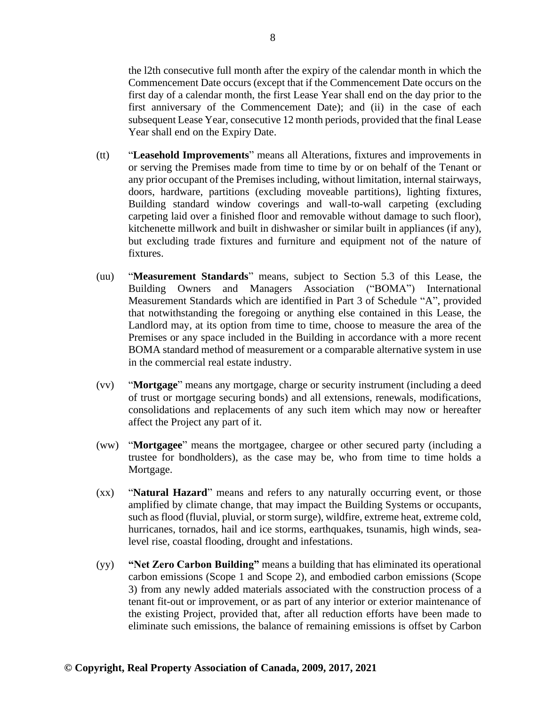the l2th consecutive full month after the expiry of the calendar month in which the Commencement Date occurs (except that if the Commencement Date occurs on the first day of a calendar month, the first Lease Year shall end on the day prior to the first anniversary of the Commencement Date); and (ii) in the case of each subsequent Lease Year, consecutive 12 month periods, provided that the final Lease Year shall end on the Expiry Date.

- (tt) "**Leasehold Improvements**" means all Alterations, fixtures and improvements in or serving the Premises made from time to time by or on behalf of the Tenant or any prior occupant of the Premises including, without limitation, internal stairways, doors, hardware, partitions (excluding moveable partitions), lighting fixtures, Building standard window coverings and wall-to-wall carpeting (excluding carpeting laid over a finished floor and removable without damage to such floor), kitchenette millwork and built in dishwasher or similar built in appliances (if any), but excluding trade fixtures and furniture and equipment not of the nature of fixtures.
- (uu) "**Measurement Standards**" means, subject to Section 5.3 of this Lease, the Building Owners and Managers Association ("BOMA") International Measurement Standards which are identified in Part 3 of Schedule "A", provided that notwithstanding the foregoing or anything else contained in this Lease, the Landlord may, at its option from time to time, choose to measure the area of the Premises or any space included in the Building in accordance with a more recent BOMA standard method of measurement or a comparable alternative system in use in the commercial real estate industry.
- (vv) "**Mortgage**" means any mortgage, charge or security instrument (including a deed of trust or mortgage securing bonds) and all extensions, renewals, modifications, consolidations and replacements of any such item which may now or hereafter affect the Project any part of it.
- (ww) "**Mortgagee**" means the mortgagee, chargee or other secured party (including a trustee for bondholders), as the case may be, who from time to time holds a Mortgage.
- (xx) "**Natural Hazard**" means and refers to any naturally occurring event, or those amplified by climate change, that may impact the Building Systems or occupants, such as flood (fluvial, pluvial, or storm surge), wildfire, extreme heat, extreme cold, hurricanes, tornados, hail and ice storms, earthquakes, tsunamis, high winds, sealevel rise, coastal flooding, drought and infestations.
- (yy) **"Net Zero Carbon Building"** means a building that has eliminated its operational carbon emissions (Scope 1 and Scope 2), and embodied carbon emissions (Scope 3) from any newly added materials associated with the construction process of a tenant fit-out or improvement, or as part of any interior or exterior maintenance of the existing Project, provided that, after all reduction efforts have been made to eliminate such emissions, the balance of remaining emissions is offset by Carbon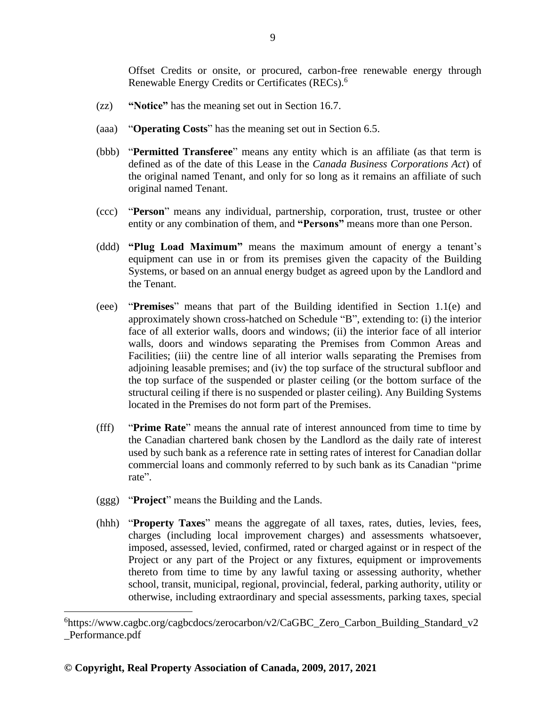Offset Credits or onsite, or procured, carbon-free renewable energy through Renewable Energy Credits or Certificates (RECs).<sup>6</sup>

- (zz) **"Notice"** has the meaning set out in Section 16.7.
- (aaa) "**Operating Costs**" has the meaning set out in Section 6.5.
- (bbb) "**Permitted Transferee**" means any entity which is an affiliate (as that term is defined as of the date of this Lease in the *Canada Business Corporations Act*) of the original named Tenant, and only for so long as it remains an affiliate of such original named Tenant.
- (ccc) "**Person**" means any individual, partnership, corporation, trust, trustee or other entity or any combination of them, and **"Persons"** means more than one Person.
- (ddd) **"Plug Load Maximum"** means the maximum amount of energy a tenant's equipment can use in or from its premises given the capacity of the Building Systems, or based on an annual energy budget as agreed upon by the Landlord and the Tenant.
- (eee) "**Premises**" means that part of the Building identified in Section 1.1(e) and approximately shown cross-hatched on Schedule "B", extending to: (i) the interior face of all exterior walls, doors and windows; (ii) the interior face of all interior walls, doors and windows separating the Premises from Common Areas and Facilities; (iii) the centre line of all interior walls separating the Premises from adjoining leasable premises; and (iv) the top surface of the structural subfloor and the top surface of the suspended or plaster ceiling (or the bottom surface of the structural ceiling if there is no suspended or plaster ceiling). Any Building Systems located in the Premises do not form part of the Premises.
- (fff) "**Prime Rate**" means the annual rate of interest announced from time to time by the Canadian chartered bank chosen by the Landlord as the daily rate of interest used by such bank as a reference rate in setting rates of interest for Canadian dollar commercial loans and commonly referred to by such bank as its Canadian "prime rate".
- (ggg) "**Project**" means the Building and the Lands.
- (hhh) "**Property Taxes**" means the aggregate of all taxes, rates, duties, levies, fees, charges (including local improvement charges) and assessments whatsoever, imposed, assessed, levied, confirmed, rated or charged against or in respect of the Project or any part of the Project or any fixtures, equipment or improvements thereto from time to time by any lawful taxing or assessing authority, whether school, transit, municipal, regional, provincial, federal, parking authority, utility or otherwise, including extraordinary and special assessments, parking taxes, special

<sup>&</sup>lt;sup>6</sup>https://www.cagbc.org/cagbcdocs/zerocarbon/v2/CaGBC\_Zero\_Carbon\_Building\_Standard\_v2 \_Performance.pdf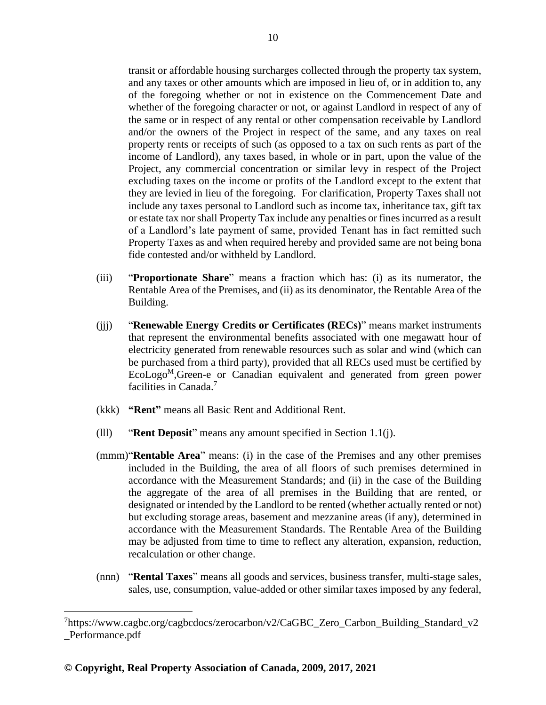transit or affordable housing surcharges collected through the property tax system, and any taxes or other amounts which are imposed in lieu of, or in addition to, any of the foregoing whether or not in existence on the Commencement Date and whether of the foregoing character or not, or against Landlord in respect of any of the same or in respect of any rental or other compensation receivable by Landlord and/or the owners of the Project in respect of the same, and any taxes on real property rents or receipts of such (as opposed to a tax on such rents as part of the income of Landlord), any taxes based, in whole or in part, upon the value of the Project, any commercial concentration or similar levy in respect of the Project excluding taxes on the income or profits of the Landlord except to the extent that they are levied in lieu of the foregoing. For clarification, Property Taxes shall not include any taxes personal to Landlord such as income tax, inheritance tax, gift tax or estate tax nor shall Property Tax include any penalties or fines incurred as a result of a Landlord's late payment of same, provided Tenant has in fact remitted such Property Taxes as and when required hereby and provided same are not being bona fide contested and/or withheld by Landlord.

- (iii) "**Proportionate Share**" means a fraction which has: (i) as its numerator, the Rentable Area of the Premises, and (ii) as its denominator, the Rentable Area of the Building.
- (jjj) "**Renewable Energy Credits or Certificates (RECs)**" means market instruments that represent the environmental benefits associated with one megawatt hour of electricity generated from renewable resources such as solar and wind (which can be purchased from a third party), provided that all RECs used must be certified by  $Ecolog<sup>M</sup>$ , Green-e or Canadian equivalent and generated from green power facilities in Canada.<sup>7</sup>
- (kkk) **"Rent"** means all Basic Rent and Additional Rent.
- (lll) "**Rent Deposit**" means any amount specified in Section 1.1(j).
- (mmm)"**Rentable Area**" means: (i) in the case of the Premises and any other premises included in the Building, the area of all floors of such premises determined in accordance with the Measurement Standards; and (ii) in the case of the Building the aggregate of the area of all premises in the Building that are rented, or designated or intended by the Landlord to be rented (whether actually rented or not) but excluding storage areas, basement and mezzanine areas (if any), determined in accordance with the Measurement Standards. The Rentable Area of the Building may be adjusted from time to time to reflect any alteration, expansion, reduction, recalculation or other change.
- (nnn) "**Rental Taxes**" means all goods and services, business transfer, multi-stage sales, sales, use, consumption, value-added or other similar taxes imposed by any federal,

<sup>&</sup>lt;sup>7</sup>https://www.cagbc.org/cagbcdocs/zerocarbon/v2/CaGBC\_Zero\_Carbon\_Building\_Standard\_v2 \_Performance.pdf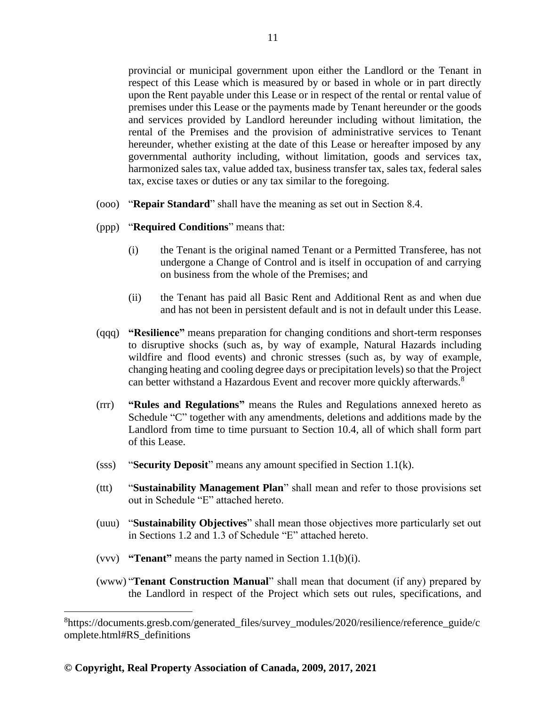provincial or municipal government upon either the Landlord or the Tenant in respect of this Lease which is measured by or based in whole or in part directly upon the Rent payable under this Lease or in respect of the rental or rental value of premises under this Lease or the payments made by Tenant hereunder or the goods and services provided by Landlord hereunder including without limitation, the rental of the Premises and the provision of administrative services to Tenant hereunder, whether existing at the date of this Lease or hereafter imposed by any governmental authority including, without limitation, goods and services tax, harmonized sales tax, value added tax, business transfer tax, sales tax, federal sales tax, excise taxes or duties or any tax similar to the foregoing.

- (ooo) "**Repair Standard**" shall have the meaning as set out in Section 8.4.
- (ppp) "**Required Conditions**" means that:
	- (i) the Tenant is the original named Tenant or a Permitted Transferee, has not undergone a Change of Control and is itself in occupation of and carrying on business from the whole of the Premises; and
	- (ii) the Tenant has paid all Basic Rent and Additional Rent as and when due and has not been in persistent default and is not in default under this Lease.
- (qqq) **"Resilience"** means preparation for changing conditions and short-term responses to disruptive shocks (such as, by way of example, Natural Hazards including wildfire and flood events) and chronic stresses (such as, by way of example, changing heating and cooling degree days or precipitation levels) so that the Project can better withstand a Hazardous Event and recover more quickly afterwards.<sup>8</sup>
- (rrr) **"Rules and Regulations"** means the Rules and Regulations annexed hereto as Schedule "C" together with any amendments, deletions and additions made by the Landlord from time to time pursuant to Section 10.4, all of which shall form part of this Lease.
- (sss) "**Security Deposit**" means any amount specified in Section 1.1(k).
- (ttt) "**Sustainability Management Plan**" shall mean and refer to those provisions set out in Schedule "E" attached hereto.
- (uuu) "**Sustainability Objectives**" shall mean those objectives more particularly set out in Sections 1.2 and 1.3 of Schedule "E" attached hereto.
- (vvv) **"Tenant"** means the party named in Section 1.1(b)(i).
- (www) "**Tenant Construction Manual**" shall mean that document (if any) prepared by the Landlord in respect of the Project which sets out rules, specifications, and

<sup>8</sup> https://documents.gresb.com/generated\_files/survey\_modules/2020/resilience/reference\_guide/c omplete.html#RS\_definitions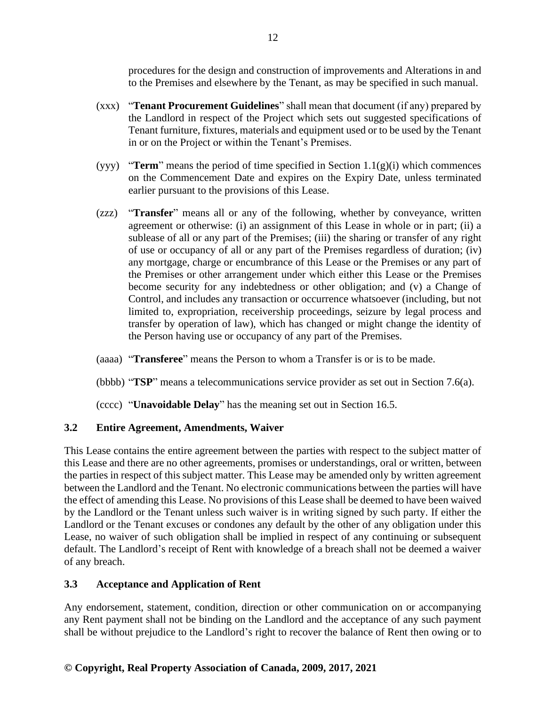procedures for the design and construction of improvements and Alterations in and to the Premises and elsewhere by the Tenant, as may be specified in such manual.

- (xxx) "**Tenant Procurement Guidelines**" shall mean that document (if any) prepared by the Landlord in respect of the Project which sets out suggested specifications of Tenant furniture, fixtures, materials and equipment used or to be used by the Tenant in or on the Project or within the Tenant's Premises.
- (yyy) **"Term**" means the period of time specified in Section  $1.1(g)(i)$  which commences on the Commencement Date and expires on the Expiry Date, unless terminated earlier pursuant to the provisions of this Lease.
- (zzz) "**Transfer**" means all or any of the following, whether by conveyance, written agreement or otherwise: (i) an assignment of this Lease in whole or in part; (ii) a sublease of all or any part of the Premises; (iii) the sharing or transfer of any right of use or occupancy of all or any part of the Premises regardless of duration; (iv) any mortgage, charge or encumbrance of this Lease or the Premises or any part of the Premises or other arrangement under which either this Lease or the Premises become security for any indebtedness or other obligation; and (v) a Change of Control, and includes any transaction or occurrence whatsoever (including, but not limited to, expropriation, receivership proceedings, seizure by legal process and transfer by operation of law), which has changed or might change the identity of the Person having use or occupancy of any part of the Premises.
- (aaaa) "**Transferee**" means the Person to whom a Transfer is or is to be made.
- (bbbb) "**TSP**" means a telecommunications service provider as set out in Section 7.6(a).
- (cccc) "**Unavoidable Delay**" has the meaning set out in Section 16.5.

# <span id="page-21-0"></span>**3.2 Entire Agreement, Amendments, Waiver**

This Lease contains the entire agreement between the parties with respect to the subject matter of this Lease and there are no other agreements, promises or understandings, oral or written, between the parties in respect of this subject matter. This Lease may be amended only by written agreement between the Landlord and the Tenant. No electronic communications between the parties will have the effect of amending this Lease. No provisions of this Lease shall be deemed to have been waived by the Landlord or the Tenant unless such waiver is in writing signed by such party. If either the Landlord or the Tenant excuses or condones any default by the other of any obligation under this Lease, no waiver of such obligation shall be implied in respect of any continuing or subsequent default. The Landlord's receipt of Rent with knowledge of a breach shall not be deemed a waiver of any breach.

# <span id="page-21-1"></span>**3.3 Acceptance and Application of Rent**

Any endorsement, statement, condition, direction or other communication on or accompanying any Rent payment shall not be binding on the Landlord and the acceptance of any such payment shall be without prejudice to the Landlord's right to recover the balance of Rent then owing or to

# **© Copyright, Real Property Association of Canada, 2009, 2017, 2021**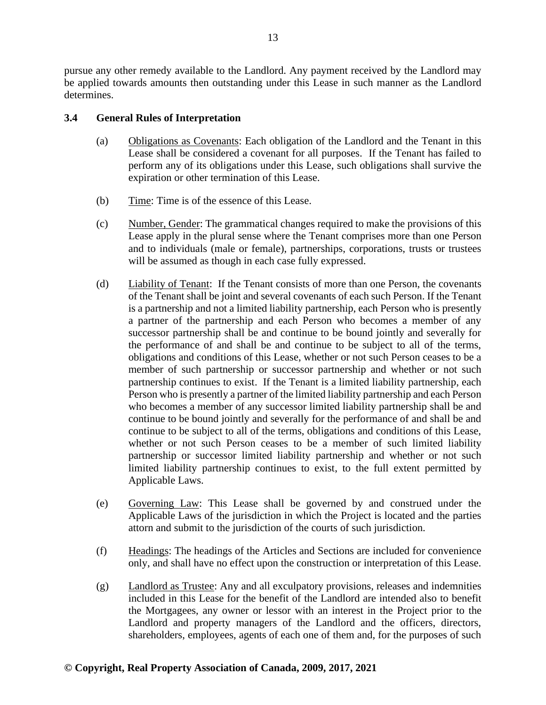pursue any other remedy available to the Landlord. Any payment received by the Landlord may be applied towards amounts then outstanding under this Lease in such manner as the Landlord determines.

# <span id="page-22-0"></span>**3.4 General Rules of Interpretation**

- (a) Obligations as Covenants: Each obligation of the Landlord and the Tenant in this Lease shall be considered a covenant for all purposes. If the Tenant has failed to perform any of its obligations under this Lease, such obligations shall survive the expiration or other termination of this Lease.
- (b) Time: Time is of the essence of this Lease.
- (c) Number, Gender: The grammatical changes required to make the provisions of this Lease apply in the plural sense where the Tenant comprises more than one Person and to individuals (male or female), partnerships, corporations, trusts or trustees will be assumed as though in each case fully expressed.
- (d) Liability of Tenant: If the Tenant consists of more than one Person, the covenants of the Tenant shall be joint and several covenants of each such Person. If the Tenant is a partnership and not a limited liability partnership, each Person who is presently a partner of the partnership and each Person who becomes a member of any successor partnership shall be and continue to be bound jointly and severally for the performance of and shall be and continue to be subject to all of the terms, obligations and conditions of this Lease, whether or not such Person ceases to be a member of such partnership or successor partnership and whether or not such partnership continues to exist. If the Tenant is a limited liability partnership, each Person who is presently a partner of the limited liability partnership and each Person who becomes a member of any successor limited liability partnership shall be and continue to be bound jointly and severally for the performance of and shall be and continue to be subject to all of the terms, obligations and conditions of this Lease, whether or not such Person ceases to be a member of such limited liability partnership or successor limited liability partnership and whether or not such limited liability partnership continues to exist, to the full extent permitted by Applicable Laws.
- (e) Governing Law: This Lease shall be governed by and construed under the Applicable Laws of the jurisdiction in which the Project is located and the parties attorn and submit to the jurisdiction of the courts of such jurisdiction.
- (f) Headings: The headings of the Articles and Sections are included for convenience only, and shall have no effect upon the construction or interpretation of this Lease.
- (g) Landlord as Trustee: Any and all exculpatory provisions, releases and indemnities included in this Lease for the benefit of the Landlord are intended also to benefit the Mortgagees, any owner or lessor with an interest in the Project prior to the Landlord and property managers of the Landlord and the officers, directors, shareholders, employees, agents of each one of them and, for the purposes of such

# **© Copyright, Real Property Association of Canada, 2009, 2017, 2021**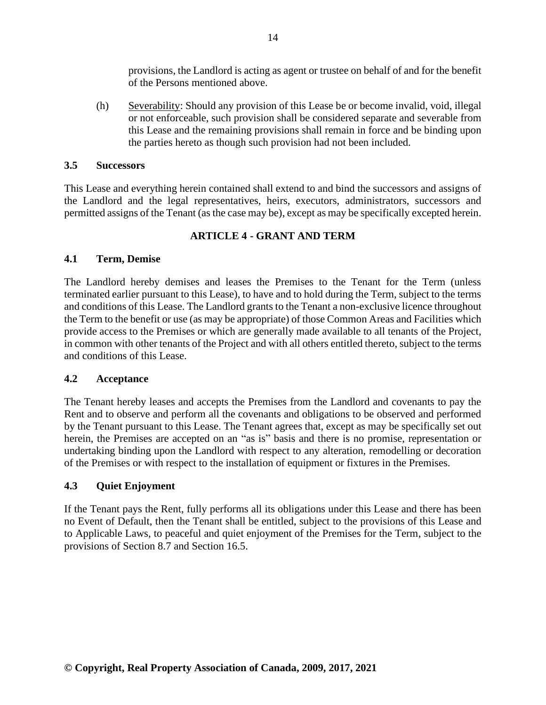provisions, the Landlord is acting as agent or trustee on behalf of and for the benefit of the Persons mentioned above.

(h) Severability: Should any provision of this Lease be or become invalid, void, illegal or not enforceable, such provision shall be considered separate and severable from this Lease and the remaining provisions shall remain in force and be binding upon the parties hereto as though such provision had not been included.

#### <span id="page-23-0"></span>**3.5 Successors**

This Lease and everything herein contained shall extend to and bind the successors and assigns of the Landlord and the legal representatives, heirs, executors, administrators, successors and permitted assigns of the Tenant (as the case may be), except as may be specifically excepted herein.

# **ARTICLE 4 - GRANT AND TERM**

# <span id="page-23-2"></span><span id="page-23-1"></span>**4.1 Term, Demise**

The Landlord hereby demises and leases the Premises to the Tenant for the Term (unless terminated earlier pursuant to this Lease), to have and to hold during the Term, subject to the terms and conditions of this Lease. The Landlord grants to the Tenant a non-exclusive licence throughout the Term to the benefit or use (as may be appropriate) of those Common Areas and Facilities which provide access to the Premises or which are generally made available to all tenants of the Project, in common with other tenants of the Project and with all others entitled thereto, subject to the terms and conditions of this Lease.

#### <span id="page-23-3"></span>**4.2 Acceptance**

The Tenant hereby leases and accepts the Premises from the Landlord and covenants to pay the Rent and to observe and perform all the covenants and obligations to be observed and performed by the Tenant pursuant to this Lease. The Tenant agrees that, except as may be specifically set out herein, the Premises are accepted on an "as is" basis and there is no promise, representation or undertaking binding upon the Landlord with respect to any alteration, remodelling or decoration of the Premises or with respect to the installation of equipment or fixtures in the Premises.

#### <span id="page-23-4"></span>**4.3 Quiet Enjoyment**

If the Tenant pays the Rent, fully performs all its obligations under this Lease and there has been no Event of Default, then the Tenant shall be entitled, subject to the provisions of this Lease and to Applicable Laws, to peaceful and quiet enjoyment of the Premises for the Term, subject to the provisions of Section 8.7 and Section 16.5.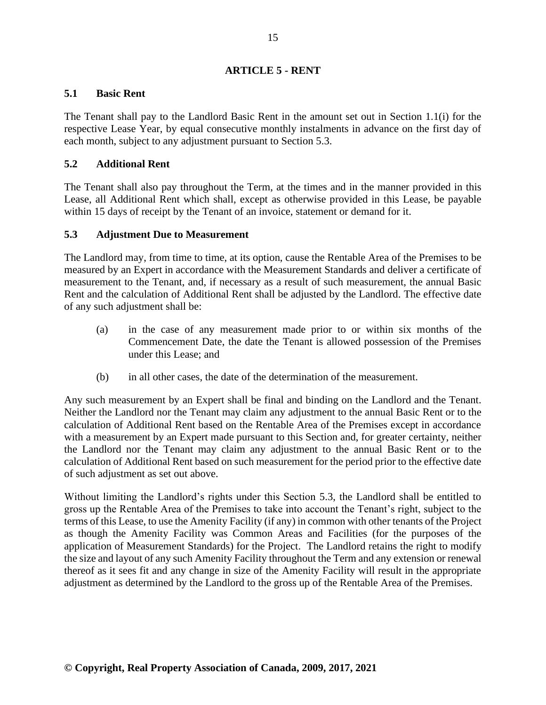# **ARTICLE 5 - RENT**

### <span id="page-24-1"></span><span id="page-24-0"></span>**5.1 Basic Rent**

The Tenant shall pay to the Landlord Basic Rent in the amount set out in Section 1.1(i) for the respective Lease Year, by equal consecutive monthly instalments in advance on the first day of each month, subject to any adjustment pursuant to Section 5.3.

# <span id="page-24-2"></span>**5.2 Additional Rent**

The Tenant shall also pay throughout the Term, at the times and in the manner provided in this Lease, all Additional Rent which shall, except as otherwise provided in this Lease, be payable within 15 days of receipt by the Tenant of an invoice, statement or demand for it.

#### <span id="page-24-3"></span>**5.3 Adjustment Due to Measurement**

The Landlord may, from time to time, at its option, cause the Rentable Area of the Premises to be measured by an Expert in accordance with the Measurement Standards and deliver a certificate of measurement to the Tenant, and, if necessary as a result of such measurement, the annual Basic Rent and the calculation of Additional Rent shall be adjusted by the Landlord. The effective date of any such adjustment shall be:

- (a) in the case of any measurement made prior to or within six months of the Commencement Date, the date the Tenant is allowed possession of the Premises under this Lease; and
- (b) in all other cases, the date of the determination of the measurement.

Any such measurement by an Expert shall be final and binding on the Landlord and the Tenant. Neither the Landlord nor the Tenant may claim any adjustment to the annual Basic Rent or to the calculation of Additional Rent based on the Rentable Area of the Premises except in accordance with a measurement by an Expert made pursuant to this Section and, for greater certainty, neither the Landlord nor the Tenant may claim any adjustment to the annual Basic Rent or to the calculation of Additional Rent based on such measurement for the period prior to the effective date of such adjustment as set out above.

Without limiting the Landlord's rights under this Section 5.3, the Landlord shall be entitled to gross up the Rentable Area of the Premises to take into account the Tenant's right, subject to the terms of this Lease, to use the Amenity Facility (if any) in common with other tenants of the Project as though the Amenity Facility was Common Areas and Facilities (for the purposes of the application of Measurement Standards) for the Project. The Landlord retains the right to modify the size and layout of any such Amenity Facility throughout the Term and any extension or renewal thereof as it sees fit and any change in size of the Amenity Facility will result in the appropriate adjustment as determined by the Landlord to the gross up of the Rentable Area of the Premises.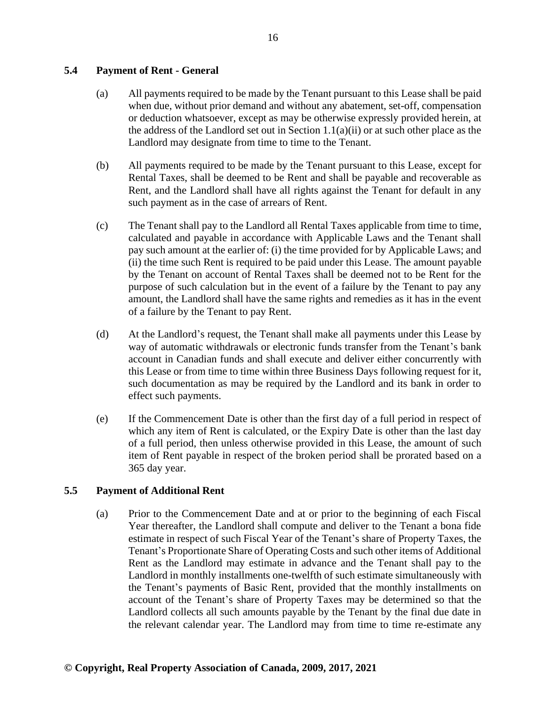#### <span id="page-25-0"></span>**5.4 Payment of Rent - General**

- (a) All payments required to be made by the Tenant pursuant to this Lease shall be paid when due, without prior demand and without any abatement, set-off, compensation or deduction whatsoever, except as may be otherwise expressly provided herein, at the address of the Landlord set out in Section  $1.1(a)(ii)$  or at such other place as the Landlord may designate from time to time to the Tenant.
- (b) All payments required to be made by the Tenant pursuant to this Lease, except for Rental Taxes, shall be deemed to be Rent and shall be payable and recoverable as Rent, and the Landlord shall have all rights against the Tenant for default in any such payment as in the case of arrears of Rent.
- (c) The Tenant shall pay to the Landlord all Rental Taxes applicable from time to time, calculated and payable in accordance with Applicable Laws and the Tenant shall pay such amount at the earlier of: (i) the time provided for by Applicable Laws; and (ii) the time such Rent is required to be paid under this Lease. The amount payable by the Tenant on account of Rental Taxes shall be deemed not to be Rent for the purpose of such calculation but in the event of a failure by the Tenant to pay any amount, the Landlord shall have the same rights and remedies as it has in the event of a failure by the Tenant to pay Rent.
- (d) At the Landlord's request, the Tenant shall make all payments under this Lease by way of automatic withdrawals or electronic funds transfer from the Tenant's bank account in Canadian funds and shall execute and deliver either concurrently with this Lease or from time to time within three Business Days following request for it, such documentation as may be required by the Landlord and its bank in order to effect such payments.
- (e) If the Commencement Date is other than the first day of a full period in respect of which any item of Rent is calculated, or the Expiry Date is other than the last day of a full period, then unless otherwise provided in this Lease, the amount of such item of Rent payable in respect of the broken period shall be prorated based on a 365 day year.

#### <span id="page-25-1"></span>**5.5 Payment of Additional Rent**

(a) Prior to the Commencement Date and at or prior to the beginning of each Fiscal Year thereafter, the Landlord shall compute and deliver to the Tenant a bona fide estimate in respect of such Fiscal Year of the Tenant's share of Property Taxes, the Tenant's Proportionate Share of Operating Costs and such other items of Additional Rent as the Landlord may estimate in advance and the Tenant shall pay to the Landlord in monthly installments one-twelfth of such estimate simultaneously with the Tenant's payments of Basic Rent, provided that the monthly installments on account of the Tenant's share of Property Taxes may be determined so that the Landlord collects all such amounts payable by the Tenant by the final due date in the relevant calendar year. The Landlord may from time to time re-estimate any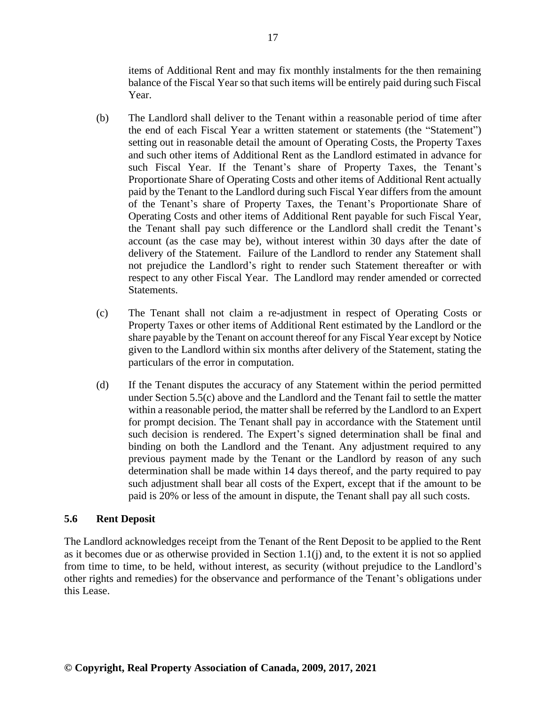items of Additional Rent and may fix monthly instalments for the then remaining balance of the Fiscal Year so that such items will be entirely paid during such Fiscal Year.

- (b) The Landlord shall deliver to the Tenant within a reasonable period of time after the end of each Fiscal Year a written statement or statements (the "Statement") setting out in reasonable detail the amount of Operating Costs, the Property Taxes and such other items of Additional Rent as the Landlord estimated in advance for such Fiscal Year. If the Tenant's share of Property Taxes, the Tenant's Proportionate Share of Operating Costs and other items of Additional Rent actually paid by the Tenant to the Landlord during such Fiscal Year differs from the amount of the Tenant's share of Property Taxes, the Tenant's Proportionate Share of Operating Costs and other items of Additional Rent payable for such Fiscal Year, the Tenant shall pay such difference or the Landlord shall credit the Tenant's account (as the case may be), without interest within 30 days after the date of delivery of the Statement. Failure of the Landlord to render any Statement shall not prejudice the Landlord's right to render such Statement thereafter or with respect to any other Fiscal Year. The Landlord may render amended or corrected Statements.
- (c) The Tenant shall not claim a re-adjustment in respect of Operating Costs or Property Taxes or other items of Additional Rent estimated by the Landlord or the share payable by the Tenant on account thereof for any Fiscal Year except by Notice given to the Landlord within six months after delivery of the Statement, stating the particulars of the error in computation.
- (d) If the Tenant disputes the accuracy of any Statement within the period permitted under Section 5.5(c) above and the Landlord and the Tenant fail to settle the matter within a reasonable period, the matter shall be referred by the Landlord to an Expert for prompt decision. The Tenant shall pay in accordance with the Statement until such decision is rendered. The Expert's signed determination shall be final and binding on both the Landlord and the Tenant. Any adjustment required to any previous payment made by the Tenant or the Landlord by reason of any such determination shall be made within 14 days thereof, and the party required to pay such adjustment shall bear all costs of the Expert, except that if the amount to be paid is 20% or less of the amount in dispute, the Tenant shall pay all such costs.

#### <span id="page-26-0"></span>**5.6 Rent Deposit**

The Landlord acknowledges receipt from the Tenant of the Rent Deposit to be applied to the Rent as it becomes due or as otherwise provided in Section 1.1(j) and, to the extent it is not so applied from time to time, to be held, without interest, as security (without prejudice to the Landlord's other rights and remedies) for the observance and performance of the Tenant's obligations under this Lease.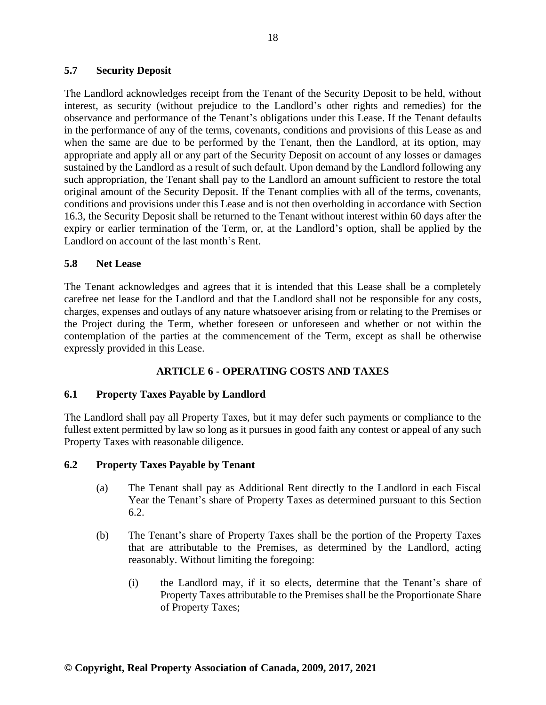#### <span id="page-27-0"></span>**5.7 Security Deposit**

The Landlord acknowledges receipt from the Tenant of the Security Deposit to be held, without interest, as security (without prejudice to the Landlord's other rights and remedies) for the observance and performance of the Tenant's obligations under this Lease. If the Tenant defaults in the performance of any of the terms, covenants, conditions and provisions of this Lease as and when the same are due to be performed by the Tenant, then the Landlord, at its option, may appropriate and apply all or any part of the Security Deposit on account of any losses or damages sustained by the Landlord as a result of such default. Upon demand by the Landlord following any such appropriation, the Tenant shall pay to the Landlord an amount sufficient to restore the total original amount of the Security Deposit. If the Tenant complies with all of the terms, covenants, conditions and provisions under this Lease and is not then overholding in accordance with Section 16.3, the Security Deposit shall be returned to the Tenant without interest within 60 days after the expiry or earlier termination of the Term, or, at the Landlord's option, shall be applied by the Landlord on account of the last month's Rent.

#### <span id="page-27-1"></span>**5.8 Net Lease**

The Tenant acknowledges and agrees that it is intended that this Lease shall be a completely carefree net lease for the Landlord and that the Landlord shall not be responsible for any costs, charges, expenses and outlays of any nature whatsoever arising from or relating to the Premises or the Project during the Term, whether foreseen or unforeseen and whether or not within the contemplation of the parties at the commencement of the Term, except as shall be otherwise expressly provided in this Lease.

#### **ARTICLE 6 - OPERATING COSTS AND TAXES**

#### <span id="page-27-3"></span><span id="page-27-2"></span>**6.1 Property Taxes Payable by Landlord**

The Landlord shall pay all Property Taxes, but it may defer such payments or compliance to the fullest extent permitted by law so long as it pursues in good faith any contest or appeal of any such Property Taxes with reasonable diligence.

#### <span id="page-27-4"></span>**6.2 Property Taxes Payable by Tenant**

- (a) The Tenant shall pay as Additional Rent directly to the Landlord in each Fiscal Year the Tenant's share of Property Taxes as determined pursuant to this Section 6.2.
- (b) The Tenant's share of Property Taxes shall be the portion of the Property Taxes that are attributable to the Premises, as determined by the Landlord, acting reasonably. Without limiting the foregoing:
	- (i) the Landlord may, if it so elects, determine that the Tenant's share of Property Taxes attributable to the Premises shall be the Proportionate Share of Property Taxes;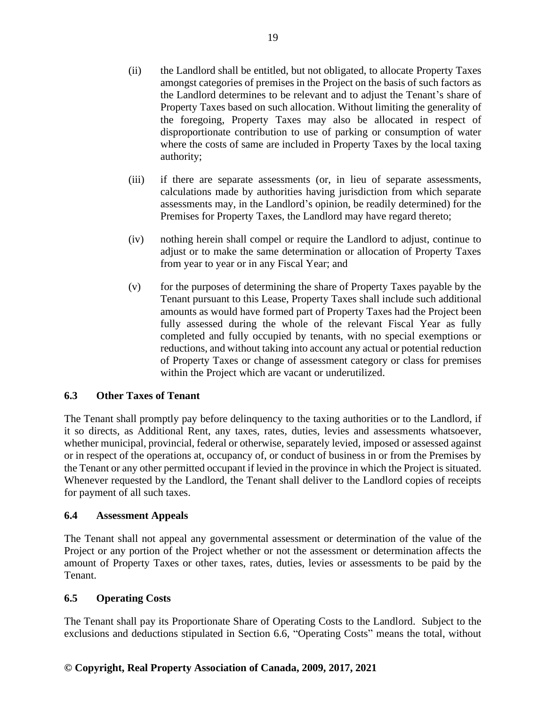- (ii) the Landlord shall be entitled, but not obligated, to allocate Property Taxes amongst categories of premises in the Project on the basis of such factors as the Landlord determines to be relevant and to adjust the Tenant's share of Property Taxes based on such allocation. Without limiting the generality of the foregoing, Property Taxes may also be allocated in respect of disproportionate contribution to use of parking or consumption of water where the costs of same are included in Property Taxes by the local taxing authority;
- (iii) if there are separate assessments (or, in lieu of separate assessments, calculations made by authorities having jurisdiction from which separate assessments may, in the Landlord's opinion, be readily determined) for the Premises for Property Taxes, the Landlord may have regard thereto;
- (iv) nothing herein shall compel or require the Landlord to adjust, continue to adjust or to make the same determination or allocation of Property Taxes from year to year or in any Fiscal Year; and
- (v) for the purposes of determining the share of Property Taxes payable by the Tenant pursuant to this Lease, Property Taxes shall include such additional amounts as would have formed part of Property Taxes had the Project been fully assessed during the whole of the relevant Fiscal Year as fully completed and fully occupied by tenants, with no special exemptions or reductions, and without taking into account any actual or potential reduction of Property Taxes or change of assessment category or class for premises within the Project which are vacant or underutilized.

# <span id="page-28-0"></span>**6.3 Other Taxes of Tenant**

The Tenant shall promptly pay before delinquency to the taxing authorities or to the Landlord, if it so directs, as Additional Rent, any taxes, rates, duties, levies and assessments whatsoever, whether municipal, provincial, federal or otherwise, separately levied, imposed or assessed against or in respect of the operations at, occupancy of, or conduct of business in or from the Premises by the Tenant or any other permitted occupant if levied in the province in which the Project is situated. Whenever requested by the Landlord, the Tenant shall deliver to the Landlord copies of receipts for payment of all such taxes.

# <span id="page-28-1"></span>**6.4 Assessment Appeals**

The Tenant shall not appeal any governmental assessment or determination of the value of the Project or any portion of the Project whether or not the assessment or determination affects the amount of Property Taxes or other taxes, rates, duties, levies or assessments to be paid by the Tenant.

# <span id="page-28-2"></span>**6.5 Operating Costs**

The Tenant shall pay its Proportionate Share of Operating Costs to the Landlord. Subject to the exclusions and deductions stipulated in Section 6.6, "Operating Costs" means the total, without

# **© Copyright, Real Property Association of Canada, 2009, 2017, 2021**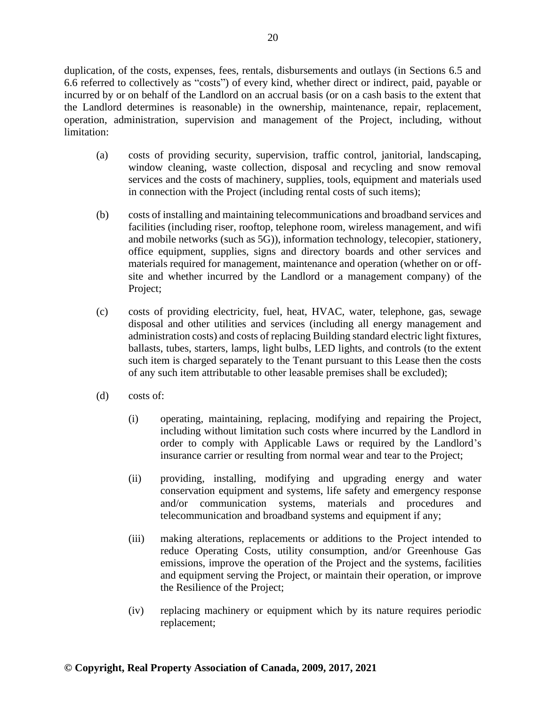duplication, of the costs, expenses, fees, rentals, disbursements and outlays (in Sections 6.5 and 6.6 referred to collectively as "costs") of every kind, whether direct or indirect, paid, payable or incurred by or on behalf of the Landlord on an accrual basis (or on a cash basis to the extent that the Landlord determines is reasonable) in the ownership, maintenance, repair, replacement, operation, administration, supervision and management of the Project, including, without limitation:

- (a) costs of providing security, supervision, traffic control, janitorial, landscaping, window cleaning, waste collection, disposal and recycling and snow removal services and the costs of machinery, supplies, tools, equipment and materials used in connection with the Project (including rental costs of such items);
- (b) costs of installing and maintaining telecommunications and broadband services and facilities (including riser, rooftop, telephone room, wireless management, and wifi and mobile networks (such as 5G)), information technology, telecopier, stationery, office equipment, supplies, signs and directory boards and other services and materials required for management, maintenance and operation (whether on or offsite and whether incurred by the Landlord or a management company) of the Project;
- (c) costs of providing electricity, fuel, heat, HVAC, water, telephone, gas, sewage disposal and other utilities and services (including all energy management and administration costs) and costs of replacing Building standard electric light fixtures, ballasts, tubes, starters, lamps, light bulbs, LED lights, and controls (to the extent such item is charged separately to the Tenant pursuant to this Lease then the costs of any such item attributable to other leasable premises shall be excluded);
- (d) costs of:
	- (i) operating, maintaining, replacing, modifying and repairing the Project, including without limitation such costs where incurred by the Landlord in order to comply with Applicable Laws or required by the Landlord's insurance carrier or resulting from normal wear and tear to the Project;
	- (ii) providing, installing, modifying and upgrading energy and water conservation equipment and systems, life safety and emergency response and/or communication systems, materials and procedures and telecommunication and broadband systems and equipment if any;
	- (iii) making alterations, replacements or additions to the Project intended to reduce Operating Costs, utility consumption, and/or Greenhouse Gas emissions, improve the operation of the Project and the systems, facilities and equipment serving the Project, or maintain their operation, or improve the Resilience of the Project;
	- (iv) replacing machinery or equipment which by its nature requires periodic replacement;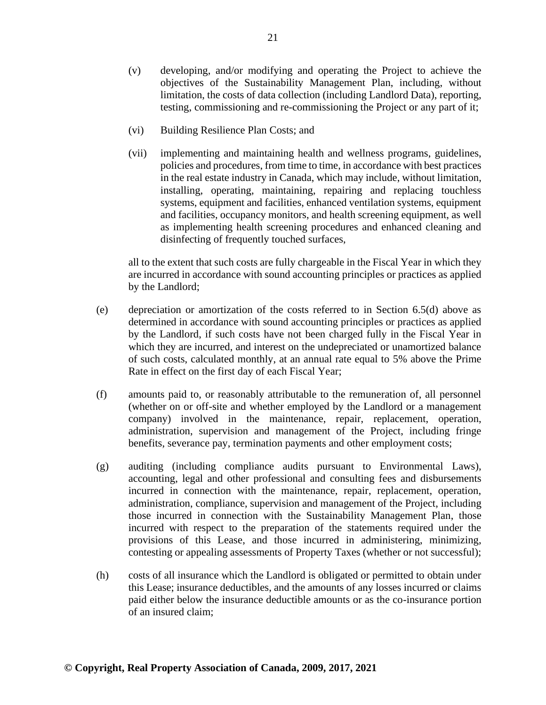- (v) developing, and/or modifying and operating the Project to achieve the objectives of the Sustainability Management Plan, including, without limitation, the costs of data collection (including Landlord Data), reporting, testing, commissioning and re-commissioning the Project or any part of it;
- (vi) Building Resilience Plan Costs; and
- (vii) implementing and maintaining health and wellness programs, guidelines, policies and procedures, from time to time, in accordance with best practices in the real estate industry in Canada, which may include, without limitation, installing, operating, maintaining, repairing and replacing touchless systems, equipment and facilities, enhanced ventilation systems, equipment and facilities, occupancy monitors, and health screening equipment, as well as implementing health screening procedures and enhanced cleaning and disinfecting of frequently touched surfaces,

all to the extent that such costs are fully chargeable in the Fiscal Year in which they are incurred in accordance with sound accounting principles or practices as applied by the Landlord;

- (e) depreciation or amortization of the costs referred to in Section 6.5(d) above as determined in accordance with sound accounting principles or practices as applied by the Landlord, if such costs have not been charged fully in the Fiscal Year in which they are incurred, and interest on the undepreciated or unamortized balance of such costs, calculated monthly, at an annual rate equal to 5% above the Prime Rate in effect on the first day of each Fiscal Year;
- (f) amounts paid to, or reasonably attributable to the remuneration of, all personnel (whether on or off-site and whether employed by the Landlord or a management company) involved in the maintenance, repair, replacement, operation, administration, supervision and management of the Project, including fringe benefits, severance pay, termination payments and other employment costs;
- (g) auditing (including compliance audits pursuant to Environmental Laws), accounting, legal and other professional and consulting fees and disbursements incurred in connection with the maintenance, repair, replacement, operation, administration, compliance, supervision and management of the Project, including those incurred in connection with the Sustainability Management Plan, those incurred with respect to the preparation of the statements required under the provisions of this Lease, and those incurred in administering, minimizing, contesting or appealing assessments of Property Taxes (whether or not successful);
- (h) costs of all insurance which the Landlord is obligated or permitted to obtain under this Lease; insurance deductibles, and the amounts of any losses incurred or claims paid either below the insurance deductible amounts or as the co-insurance portion of an insured claim;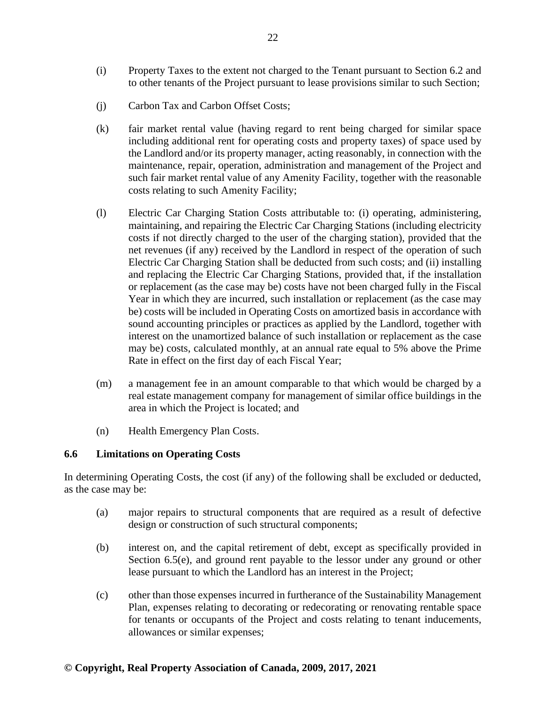- (i) Property Taxes to the extent not charged to the Tenant pursuant to Section 6.2 and to other tenants of the Project pursuant to lease provisions similar to such Section;
- (j) Carbon Tax and Carbon Offset Costs;
- (k) fair market rental value (having regard to rent being charged for similar space including additional rent for operating costs and property taxes) of space used by the Landlord and/or its property manager, acting reasonably, in connection with the maintenance, repair, operation, administration and management of the Project and such fair market rental value of any Amenity Facility, together with the reasonable costs relating to such Amenity Facility;
- (l) Electric Car Charging Station Costs attributable to: (i) operating, administering, maintaining, and repairing the Electric Car Charging Stations (including electricity costs if not directly charged to the user of the charging station), provided that the net revenues (if any) received by the Landlord in respect of the operation of such Electric Car Charging Station shall be deducted from such costs; and (ii) installing and replacing the Electric Car Charging Stations, provided that, if the installation or replacement (as the case may be) costs have not been charged fully in the Fiscal Year in which they are incurred, such installation or replacement (as the case may be) costs will be included in Operating Costs on amortized basis in accordance with sound accounting principles or practices as applied by the Landlord, together with interest on the unamortized balance of such installation or replacement as the case may be) costs, calculated monthly, at an annual rate equal to 5% above the Prime Rate in effect on the first day of each Fiscal Year;
- (m) a management fee in an amount comparable to that which would be charged by a real estate management company for management of similar office buildings in the area in which the Project is located; and
- (n) Health Emergency Plan Costs.

#### <span id="page-31-0"></span>**6.6 Limitations on Operating Costs**

In determining Operating Costs, the cost (if any) of the following shall be excluded or deducted, as the case may be:

- (a) major repairs to structural components that are required as a result of defective design or construction of such structural components;
- (b) interest on, and the capital retirement of debt, except as specifically provided in Section 6.5(e), and ground rent payable to the lessor under any ground or other lease pursuant to which the Landlord has an interest in the Project;
- (c) other than those expenses incurred in furtherance of the Sustainability Management Plan, expenses relating to decorating or redecorating or renovating rentable space for tenants or occupants of the Project and costs relating to tenant inducements, allowances or similar expenses;

#### **© Copyright, Real Property Association of Canada, 2009, 2017, 2021**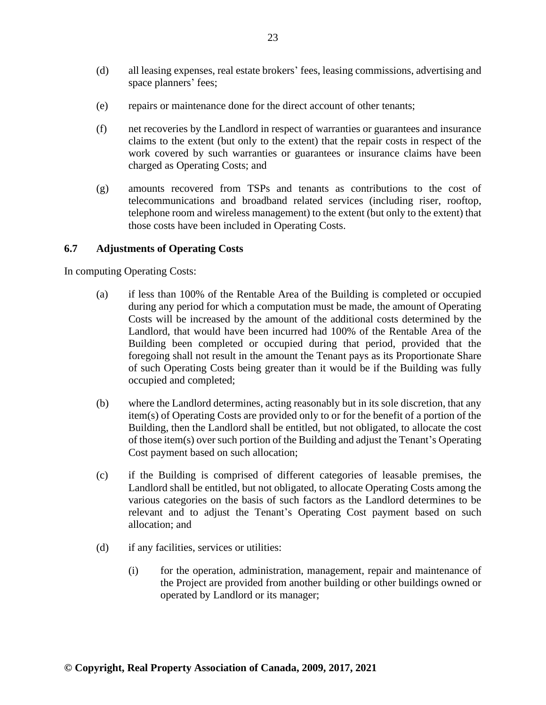- (d) all leasing expenses, real estate brokers' fees, leasing commissions, advertising and space planners' fees;
- (e) repairs or maintenance done for the direct account of other tenants;
- (f) net recoveries by the Landlord in respect of warranties or guarantees and insurance claims to the extent (but only to the extent) that the repair costs in respect of the work covered by such warranties or guarantees or insurance claims have been charged as Operating Costs; and
- (g) amounts recovered from TSPs and tenants as contributions to the cost of telecommunications and broadband related services (including riser, rooftop, telephone room and wireless management) to the extent (but only to the extent) that those costs have been included in Operating Costs.

#### <span id="page-32-0"></span>**6.7 Adjustments of Operating Costs**

In computing Operating Costs:

- (a) if less than 100% of the Rentable Area of the Building is completed or occupied during any period for which a computation must be made, the amount of Operating Costs will be increased by the amount of the additional costs determined by the Landlord, that would have been incurred had 100% of the Rentable Area of the Building been completed or occupied during that period, provided that the foregoing shall not result in the amount the Tenant pays as its Proportionate Share of such Operating Costs being greater than it would be if the Building was fully occupied and completed;
- (b) where the Landlord determines, acting reasonably but in its sole discretion, that any item(s) of Operating Costs are provided only to or for the benefit of a portion of the Building, then the Landlord shall be entitled, but not obligated, to allocate the cost of those item(s) over such portion of the Building and adjust the Tenant's Operating Cost payment based on such allocation;
- (c) if the Building is comprised of different categories of leasable premises, the Landlord shall be entitled, but not obligated, to allocate Operating Costs among the various categories on the basis of such factors as the Landlord determines to be relevant and to adjust the Tenant's Operating Cost payment based on such allocation; and
- (d) if any facilities, services or utilities:
	- (i) for the operation, administration, management, repair and maintenance of the Project are provided from another building or other buildings owned or operated by Landlord or its manager;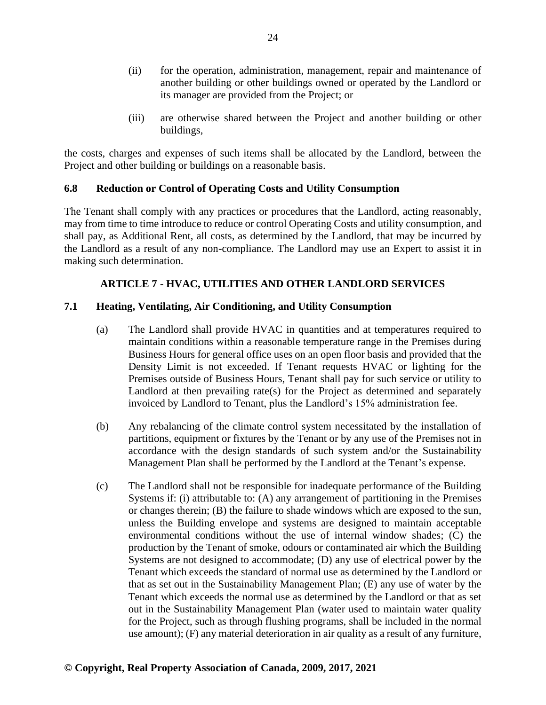- (ii) for the operation, administration, management, repair and maintenance of another building or other buildings owned or operated by the Landlord or its manager are provided from the Project; or
- (iii) are otherwise shared between the Project and another building or other buildings,

the costs, charges and expenses of such items shall be allocated by the Landlord, between the Project and other building or buildings on a reasonable basis.

# <span id="page-33-0"></span>**6.8 Reduction or Control of Operating Costs and Utility Consumption**

The Tenant shall comply with any practices or procedures that the Landlord, acting reasonably, may from time to time introduce to reduce or control Operating Costs and utility consumption, and shall pay, as Additional Rent, all costs, as determined by the Landlord, that may be incurred by the Landlord as a result of any non-compliance. The Landlord may use an Expert to assist it in making such determination.

# **ARTICLE 7 - HVAC, UTILITIES AND OTHER LANDLORD SERVICES**

# <span id="page-33-2"></span><span id="page-33-1"></span>**7.1 Heating, Ventilating, Air Conditioning, and Utility Consumption**

- (a) The Landlord shall provide HVAC in quantities and at temperatures required to maintain conditions within a reasonable temperature range in the Premises during Business Hours for general office uses on an open floor basis and provided that the Density Limit is not exceeded. If Tenant requests HVAC or lighting for the Premises outside of Business Hours, Tenant shall pay for such service or utility to Landlord at then prevailing rate(s) for the Project as determined and separately invoiced by Landlord to Tenant, plus the Landlord's 15% administration fee.
- (b) Any rebalancing of the climate control system necessitated by the installation of partitions, equipment or fixtures by the Tenant or by any use of the Premises not in accordance with the design standards of such system and/or the Sustainability Management Plan shall be performed by the Landlord at the Tenant's expense.
- (c) The Landlord shall not be responsible for inadequate performance of the Building Systems if: (i) attributable to: (A) any arrangement of partitioning in the Premises or changes therein; (B) the failure to shade windows which are exposed to the sun, unless the Building envelope and systems are designed to maintain acceptable environmental conditions without the use of internal window shades; (C) the production by the Tenant of smoke, odours or contaminated air which the Building Systems are not designed to accommodate; (D) any use of electrical power by the Tenant which exceeds the standard of normal use as determined by the Landlord or that as set out in the Sustainability Management Plan; (E) any use of water by the Tenant which exceeds the normal use as determined by the Landlord or that as set out in the Sustainability Management Plan (water used to maintain water quality for the Project, such as through flushing programs, shall be included in the normal use amount); (F) any material deterioration in air quality as a result of any furniture,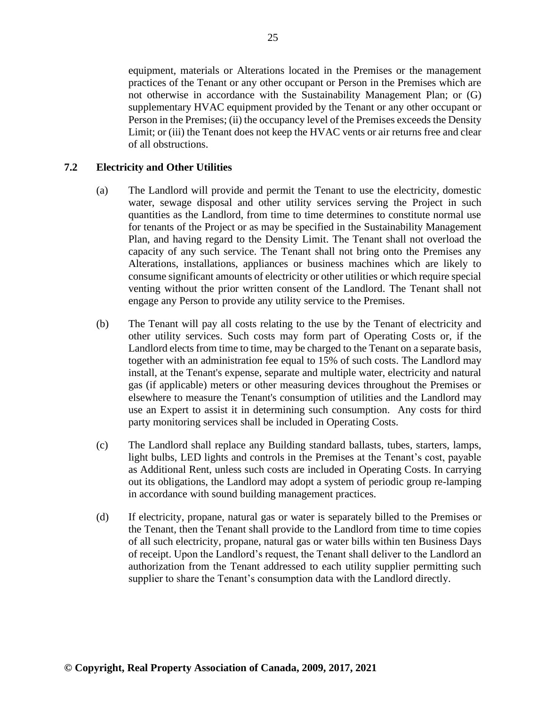equipment, materials or Alterations located in the Premises or the management practices of the Tenant or any other occupant or Person in the Premises which are not otherwise in accordance with the Sustainability Management Plan; or (G) supplementary HVAC equipment provided by the Tenant or any other occupant or Person in the Premises; (ii) the occupancy level of the Premises exceeds the Density Limit; or (iii) the Tenant does not keep the HVAC vents or air returns free and clear of all obstructions.

#### <span id="page-34-0"></span>**7.2 Electricity and Other Utilities**

- (a) The Landlord will provide and permit the Tenant to use the electricity, domestic water, sewage disposal and other utility services serving the Project in such quantities as the Landlord, from time to time determines to constitute normal use for tenants of the Project or as may be specified in the Sustainability Management Plan, and having regard to the Density Limit. The Tenant shall not overload the capacity of any such service. The Tenant shall not bring onto the Premises any Alterations, installations, appliances or business machines which are likely to consume significant amounts of electricity or other utilities or which require special venting without the prior written consent of the Landlord. The Tenant shall not engage any Person to provide any utility service to the Premises.
- (b) The Tenant will pay all costs relating to the use by the Tenant of electricity and other utility services. Such costs may form part of Operating Costs or, if the Landlord elects from time to time, may be charged to the Tenant on a separate basis, together with an administration fee equal to 15% of such costs. The Landlord may install, at the Tenant's expense, separate and multiple water, electricity and natural gas (if applicable) meters or other measuring devices throughout the Premises or elsewhere to measure the Tenant's consumption of utilities and the Landlord may use an Expert to assist it in determining such consumption. Any costs for third party monitoring services shall be included in Operating Costs.
- (c) The Landlord shall replace any Building standard ballasts, tubes, starters, lamps, light bulbs, LED lights and controls in the Premises at the Tenant's cost, payable as Additional Rent, unless such costs are included in Operating Costs. In carrying out its obligations, the Landlord may adopt a system of periodic group re-lamping in accordance with sound building management practices.
- (d) If electricity, propane, natural gas or water is separately billed to the Premises or the Tenant, then the Tenant shall provide to the Landlord from time to time copies of all such electricity, propane, natural gas or water bills within ten Business Days of receipt. Upon the Landlord's request, the Tenant shall deliver to the Landlord an authorization from the Tenant addressed to each utility supplier permitting such supplier to share the Tenant's consumption data with the Landlord directly.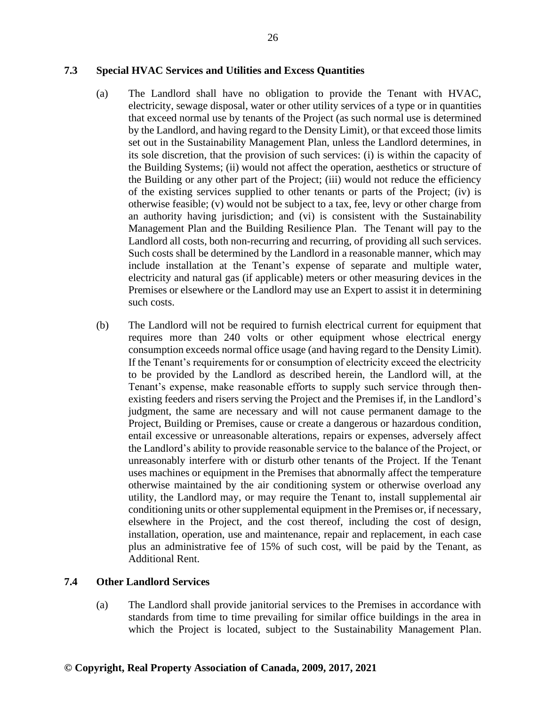#### <span id="page-35-0"></span>**7.3 Special HVAC Services and Utilities and Excess Quantities**

- (a) The Landlord shall have no obligation to provide the Tenant with HVAC, electricity, sewage disposal, water or other utility services of a type or in quantities that exceed normal use by tenants of the Project (as such normal use is determined by the Landlord, and having regard to the Density Limit), or that exceed those limits set out in the Sustainability Management Plan, unless the Landlord determines, in its sole discretion, that the provision of such services: (i) is within the capacity of the Building Systems; (ii) would not affect the operation, aesthetics or structure of the Building or any other part of the Project; (iii) would not reduce the efficiency of the existing services supplied to other tenants or parts of the Project; (iv) is otherwise feasible; (v) would not be subject to a tax, fee, levy or other charge from an authority having jurisdiction; and (vi) is consistent with the Sustainability Management Plan and the Building Resilience Plan. The Tenant will pay to the Landlord all costs, both non-recurring and recurring, of providing all such services. Such costs shall be determined by the Landlord in a reasonable manner, which may include installation at the Tenant's expense of separate and multiple water, electricity and natural gas (if applicable) meters or other measuring devices in the Premises or elsewhere or the Landlord may use an Expert to assist it in determining such costs.
- (b) The Landlord will not be required to furnish electrical current for equipment that requires more than 240 volts or other equipment whose electrical energy consumption exceeds normal office usage (and having regard to the Density Limit). If the Tenant's requirements for or consumption of electricity exceed the electricity to be provided by the Landlord as described herein, the Landlord will, at the Tenant's expense, make reasonable efforts to supply such service through thenexisting feeders and risers serving the Project and the Premises if, in the Landlord's judgment, the same are necessary and will not cause permanent damage to the Project, Building or Premises, cause or create a dangerous or hazardous condition, entail excessive or unreasonable alterations, repairs or expenses, adversely affect the Landlord's ability to provide reasonable service to the balance of the Project, or unreasonably interfere with or disturb other tenants of the Project. If the Tenant uses machines or equipment in the Premises that abnormally affect the temperature otherwise maintained by the air conditioning system or otherwise overload any utility, the Landlord may, or may require the Tenant to, install supplemental air conditioning units or other supplemental equipment in the Premises or, if necessary, elsewhere in the Project, and the cost thereof, including the cost of design, installation, operation, use and maintenance, repair and replacement, in each case plus an administrative fee of 15% of such cost, will be paid by the Tenant, as Additional Rent.

#### <span id="page-35-1"></span>**7.4 Other Landlord Services**

(a) The Landlord shall provide janitorial services to the Premises in accordance with standards from time to time prevailing for similar office buildings in the area in which the Project is located, subject to the Sustainability Management Plan.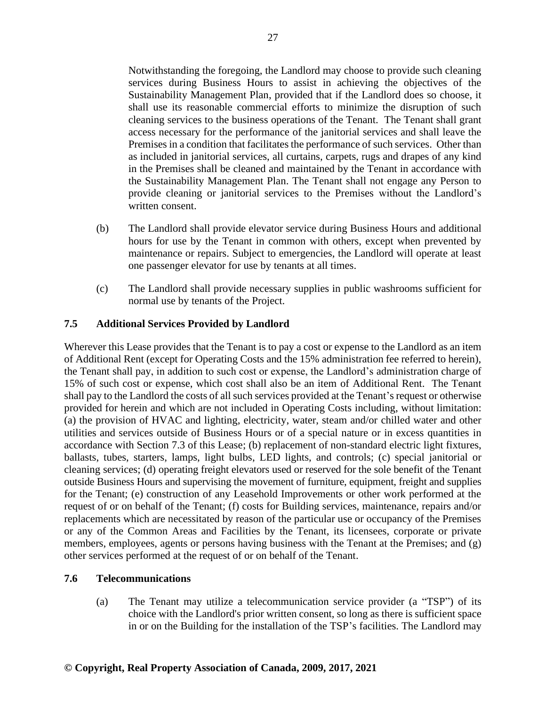Notwithstanding the foregoing, the Landlord may choose to provide such cleaning services during Business Hours to assist in achieving the objectives of the Sustainability Management Plan, provided that if the Landlord does so choose, it shall use its reasonable commercial efforts to minimize the disruption of such cleaning services to the business operations of the Tenant. The Tenant shall grant access necessary for the performance of the janitorial services and shall leave the Premises in a condition that facilitates the performance of such services. Other than as included in janitorial services, all curtains, carpets, rugs and drapes of any kind in the Premises shall be cleaned and maintained by the Tenant in accordance with the Sustainability Management Plan. The Tenant shall not engage any Person to provide cleaning or janitorial services to the Premises without the Landlord's written consent.

- (b) The Landlord shall provide elevator service during Business Hours and additional hours for use by the Tenant in common with others, except when prevented by maintenance or repairs. Subject to emergencies, the Landlord will operate at least one passenger elevator for use by tenants at all times.
- (c) The Landlord shall provide necessary supplies in public washrooms sufficient for normal use by tenants of the Project.

## **7.5 Additional Services Provided by Landlord**

Wherever this Lease provides that the Tenant is to pay a cost or expense to the Landlord as an item of Additional Rent (except for Operating Costs and the 15% administration fee referred to herein), the Tenant shall pay, in addition to such cost or expense, the Landlord's administration charge of 15% of such cost or expense, which cost shall also be an item of Additional Rent. The Tenant shall pay to the Landlord the costs of all such services provided at the Tenant's request or otherwise provided for herein and which are not included in Operating Costs including, without limitation: (a) the provision of HVAC and lighting, electricity, water, steam and/or chilled water and other utilities and services outside of Business Hours or of a special nature or in excess quantities in accordance with Section 7.3 of this Lease; (b) replacement of non-standard electric light fixtures, ballasts, tubes, starters, lamps, light bulbs, LED lights, and controls; (c) special janitorial or cleaning services; (d) operating freight elevators used or reserved for the sole benefit of the Tenant outside Business Hours and supervising the movement of furniture, equipment, freight and supplies for the Tenant; (e) construction of any Leasehold Improvements or other work performed at the request of or on behalf of the Tenant; (f) costs for Building services, maintenance, repairs and/or replacements which are necessitated by reason of the particular use or occupancy of the Premises or any of the Common Areas and Facilities by the Tenant, its licensees, corporate or private members, employees, agents or persons having business with the Tenant at the Premises; and (g) other services performed at the request of or on behalf of the Tenant.

## **7.6 Telecommunications**

(a) The Tenant may utilize a telecommunication service provider (a "TSP") of its choice with the Landlord's prior written consent, so long as there is sufficient space in or on the Building for the installation of the TSP's facilities. The Landlord may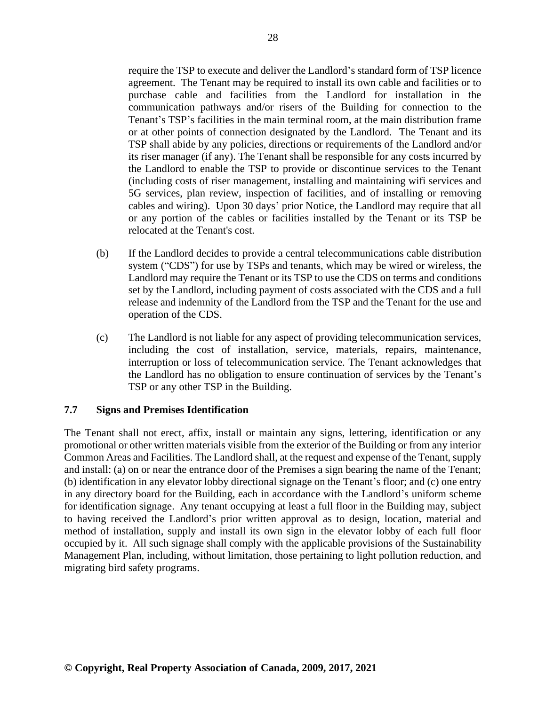require the TSP to execute and deliver the Landlord's standard form of TSP licence agreement. The Tenant may be required to install its own cable and facilities or to purchase cable and facilities from the Landlord for installation in the communication pathways and/or risers of the Building for connection to the Tenant's TSP's facilities in the main terminal room, at the main distribution frame or at other points of connection designated by the Landlord. The Tenant and its TSP shall abide by any policies, directions or requirements of the Landlord and/or its riser manager (if any). The Tenant shall be responsible for any costs incurred by the Landlord to enable the TSP to provide or discontinue services to the Tenant (including costs of riser management, installing and maintaining wifi services and 5G services, plan review, inspection of facilities, and of installing or removing cables and wiring). Upon 30 days' prior Notice, the Landlord may require that all or any portion of the cables or facilities installed by the Tenant or its TSP be relocated at the Tenant's cost.

- (b) If the Landlord decides to provide a central telecommunications cable distribution system ("CDS") for use by TSPs and tenants, which may be wired or wireless, the Landlord may require the Tenant or its TSP to use the CDS on terms and conditions set by the Landlord, including payment of costs associated with the CDS and a full release and indemnity of the Landlord from the TSP and the Tenant for the use and operation of the CDS.
- (c) The Landlord is not liable for any aspect of providing telecommunication services, including the cost of installation, service, materials, repairs, maintenance, interruption or loss of telecommunication service. The Tenant acknowledges that the Landlord has no obligation to ensure continuation of services by the Tenant's TSP or any other TSP in the Building.

## **7.7 Signs and Premises Identification**

The Tenant shall not erect, affix, install or maintain any signs, lettering, identification or any promotional or other written materials visible from the exterior of the Building or from any interior Common Areas and Facilities. The Landlord shall, at the request and expense of the Tenant, supply and install: (a) on or near the entrance door of the Premises a sign bearing the name of the Tenant; (b) identification in any elevator lobby directional signage on the Tenant's floor; and (c) one entry in any directory board for the Building, each in accordance with the Landlord's uniform scheme for identification signage. Any tenant occupying at least a full floor in the Building may, subject to having received the Landlord's prior written approval as to design, location, material and method of installation, supply and install its own sign in the elevator lobby of each full floor occupied by it. All such signage shall comply with the applicable provisions of the Sustainability Management Plan, including, without limitation, those pertaining to light pollution reduction, and migrating bird safety programs.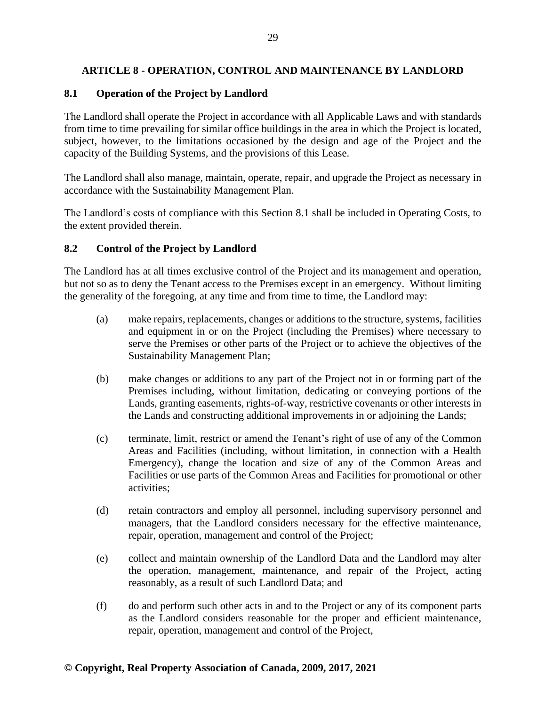# **ARTICLE 8 - OPERATION, CONTROL AND MAINTENANCE BY LANDLORD**

# **8.1 Operation of the Project by Landlord**

The Landlord shall operate the Project in accordance with all Applicable Laws and with standards from time to time prevailing for similar office buildings in the area in which the Project is located, subject, however, to the limitations occasioned by the design and age of the Project and the capacity of the Building Systems, and the provisions of this Lease.

The Landlord shall also manage, maintain, operate, repair, and upgrade the Project as necessary in accordance with the Sustainability Management Plan.

The Landlord's costs of compliance with this Section 8.1 shall be included in Operating Costs, to the extent provided therein.

## **8.2 Control of the Project by Landlord**

The Landlord has at all times exclusive control of the Project and its management and operation, but not so as to deny the Tenant access to the Premises except in an emergency. Without limiting the generality of the foregoing, at any time and from time to time, the Landlord may:

- (a) make repairs, replacements, changes or additions to the structure, systems, facilities and equipment in or on the Project (including the Premises) where necessary to serve the Premises or other parts of the Project or to achieve the objectives of the Sustainability Management Plan;
- (b) make changes or additions to any part of the Project not in or forming part of the Premises including, without limitation, dedicating or conveying portions of the Lands, granting easements, rights-of-way, restrictive covenants or other interests in the Lands and constructing additional improvements in or adjoining the Lands;
- (c) terminate, limit, restrict or amend the Tenant's right of use of any of the Common Areas and Facilities (including, without limitation, in connection with a Health Emergency), change the location and size of any of the Common Areas and Facilities or use parts of the Common Areas and Facilities for promotional or other activities;
- (d) retain contractors and employ all personnel, including supervisory personnel and managers, that the Landlord considers necessary for the effective maintenance, repair, operation, management and control of the Project;
- (e) collect and maintain ownership of the Landlord Data and the Landlord may alter the operation, management, maintenance, and repair of the Project, acting reasonably, as a result of such Landlord Data; and
- (f) do and perform such other acts in and to the Project or any of its component parts as the Landlord considers reasonable for the proper and efficient maintenance, repair, operation, management and control of the Project,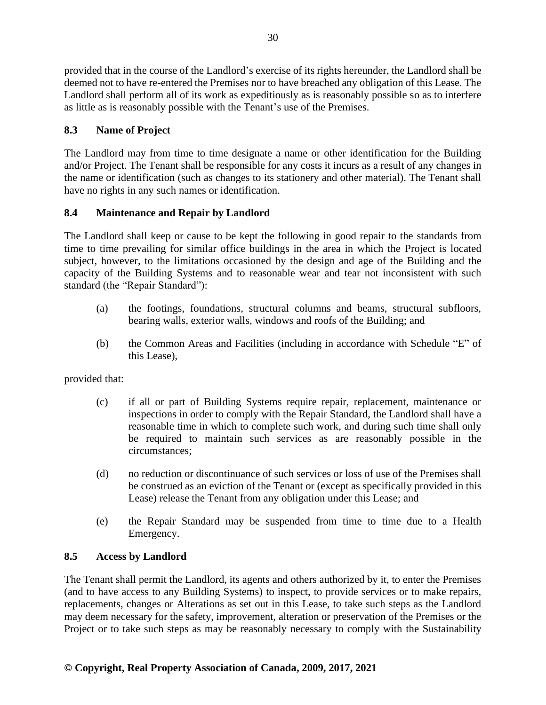provided that in the course of the Landlord's exercise of its rights hereunder, the Landlord shall be deemed not to have re-entered the Premises nor to have breached any obligation of this Lease. The Landlord shall perform all of its work as expeditiously as is reasonably possible so as to interfere as little as is reasonably possible with the Tenant's use of the Premises.

# **8.3 Name of Project**

The Landlord may from time to time designate a name or other identification for the Building and/or Project. The Tenant shall be responsible for any costs it incurs as a result of any changes in the name or identification (such as changes to its stationery and other material). The Tenant shall have no rights in any such names or identification.

# **8.4 Maintenance and Repair by Landlord**

The Landlord shall keep or cause to be kept the following in good repair to the standards from time to time prevailing for similar office buildings in the area in which the Project is located subject, however, to the limitations occasioned by the design and age of the Building and the capacity of the Building Systems and to reasonable wear and tear not inconsistent with such standard (the "Repair Standard"):

- (a) the footings, foundations, structural columns and beams, structural subfloors, bearing walls, exterior walls, windows and roofs of the Building; and
- (b) the Common Areas and Facilities (including in accordance with Schedule "E" of this Lease),

provided that:

- (c) if all or part of Building Systems require repair, replacement, maintenance or inspections in order to comply with the Repair Standard, the Landlord shall have a reasonable time in which to complete such work, and during such time shall only be required to maintain such services as are reasonably possible in the circumstances;
- (d) no reduction or discontinuance of such services or loss of use of the Premises shall be construed as an eviction of the Tenant or (except as specifically provided in this Lease) release the Tenant from any obligation under this Lease; and
- (e) the Repair Standard may be suspended from time to time due to a Health Emergency.

# **8.5 Access by Landlord**

The Tenant shall permit the Landlord, its agents and others authorized by it, to enter the Premises (and to have access to any Building Systems) to inspect, to provide services or to make repairs, replacements, changes or Alterations as set out in this Lease, to take such steps as the Landlord may deem necessary for the safety, improvement, alteration or preservation of the Premises or the Project or to take such steps as may be reasonably necessary to comply with the Sustainability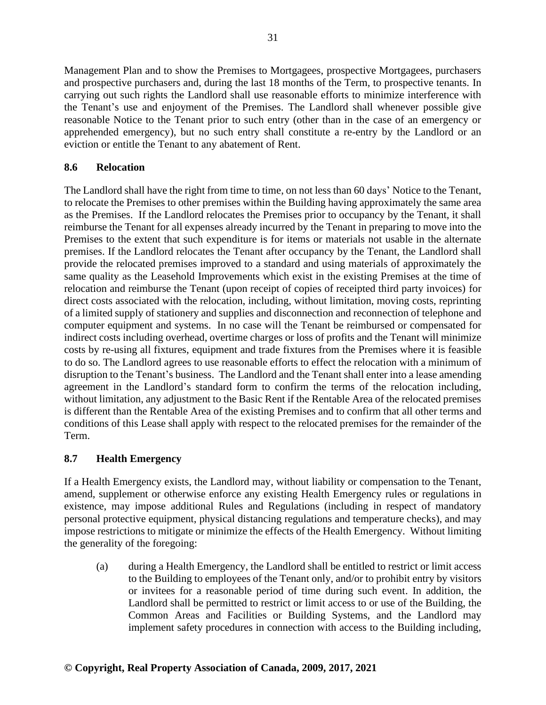Management Plan and to show the Premises to Mortgagees, prospective Mortgagees, purchasers and prospective purchasers and, during the last 18 months of the Term, to prospective tenants. In carrying out such rights the Landlord shall use reasonable efforts to minimize interference with the Tenant's use and enjoyment of the Premises. The Landlord shall whenever possible give reasonable Notice to the Tenant prior to such entry (other than in the case of an emergency or apprehended emergency), but no such entry shall constitute a re-entry by the Landlord or an eviction or entitle the Tenant to any abatement of Rent.

# **8.6 Relocation**

The Landlord shall have the right from time to time, on not less than 60 days' Notice to the Tenant, to relocate the Premises to other premises within the Building having approximately the same area as the Premises. If the Landlord relocates the Premises prior to occupancy by the Tenant, it shall reimburse the Tenant for all expenses already incurred by the Tenant in preparing to move into the Premises to the extent that such expenditure is for items or materials not usable in the alternate premises. If the Landlord relocates the Tenant after occupancy by the Tenant, the Landlord shall provide the relocated premises improved to a standard and using materials of approximately the same quality as the Leasehold Improvements which exist in the existing Premises at the time of relocation and reimburse the Tenant (upon receipt of copies of receipted third party invoices) for direct costs associated with the relocation, including, without limitation, moving costs, reprinting of a limited supply of stationery and supplies and disconnection and reconnection of telephone and computer equipment and systems. In no case will the Tenant be reimbursed or compensated for indirect costs including overhead, overtime charges or loss of profits and the Tenant will minimize costs by re-using all fixtures, equipment and trade fixtures from the Premises where it is feasible to do so. The Landlord agrees to use reasonable efforts to effect the relocation with a minimum of disruption to the Tenant's business. The Landlord and the Tenant shall enter into a lease amending agreement in the Landlord's standard form to confirm the terms of the relocation including, without limitation, any adjustment to the Basic Rent if the Rentable Area of the relocated premises is different than the Rentable Area of the existing Premises and to confirm that all other terms and conditions of this Lease shall apply with respect to the relocated premises for the remainder of the Term.

## **8.7 Health Emergency**

If a Health Emergency exists, the Landlord may, without liability or compensation to the Tenant, amend, supplement or otherwise enforce any existing Health Emergency rules or regulations in existence, may impose additional Rules and Regulations (including in respect of mandatory personal protective equipment, physical distancing regulations and temperature checks), and may impose restrictions to mitigate or minimize the effects of the Health Emergency. Without limiting the generality of the foregoing:

(a) during a Health Emergency, the Landlord shall be entitled to restrict or limit access to the Building to employees of the Tenant only, and/or to prohibit entry by visitors or invitees for a reasonable period of time during such event. In addition, the Landlord shall be permitted to restrict or limit access to or use of the Building, the Common Areas and Facilities or Building Systems, and the Landlord may implement safety procedures in connection with access to the Building including,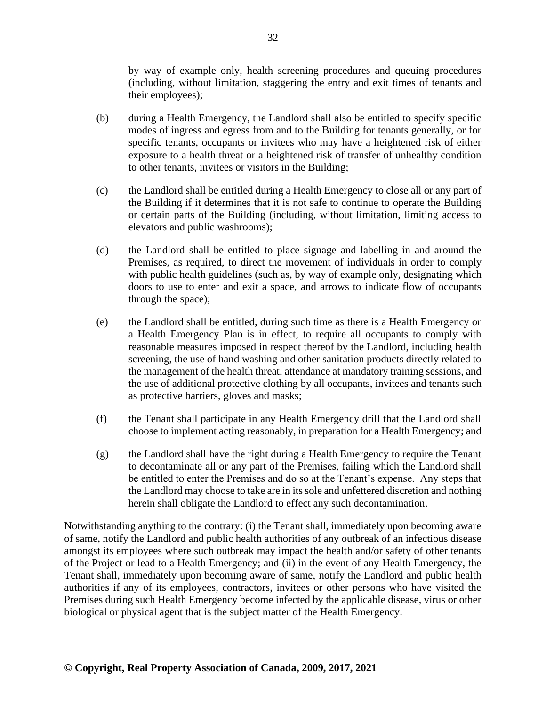by way of example only, health screening procedures and queuing procedures (including, without limitation, staggering the entry and exit times of tenants and their employees);

- (b) during a Health Emergency, the Landlord shall also be entitled to specify specific modes of ingress and egress from and to the Building for tenants generally, or for specific tenants, occupants or invitees who may have a heightened risk of either exposure to a health threat or a heightened risk of transfer of unhealthy condition to other tenants, invitees or visitors in the Building;
- (c) the Landlord shall be entitled during a Health Emergency to close all or any part of the Building if it determines that it is not safe to continue to operate the Building or certain parts of the Building (including, without limitation, limiting access to elevators and public washrooms);
- (d) the Landlord shall be entitled to place signage and labelling in and around the Premises, as required, to direct the movement of individuals in order to comply with public health guidelines (such as, by way of example only, designating which doors to use to enter and exit a space, and arrows to indicate flow of occupants through the space);
- (e) the Landlord shall be entitled, during such time as there is a Health Emergency or a Health Emergency Plan is in effect, to require all occupants to comply with reasonable measures imposed in respect thereof by the Landlord, including health screening, the use of hand washing and other sanitation products directly related to the management of the health threat, attendance at mandatory training sessions, and the use of additional protective clothing by all occupants, invitees and tenants such as protective barriers, gloves and masks;
- (f) the Tenant shall participate in any Health Emergency drill that the Landlord shall choose to implement acting reasonably, in preparation for a Health Emergency; and
- (g) the Landlord shall have the right during a Health Emergency to require the Tenant to decontaminate all or any part of the Premises, failing which the Landlord shall be entitled to enter the Premises and do so at the Tenant's expense. Any steps that the Landlord may choose to take are in its sole and unfettered discretion and nothing herein shall obligate the Landlord to effect any such decontamination.

Notwithstanding anything to the contrary: (i) the Tenant shall, immediately upon becoming aware of same, notify the Landlord and public health authorities of any outbreak of an infectious disease amongst its employees where such outbreak may impact the health and/or safety of other tenants of the Project or lead to a Health Emergency; and (ii) in the event of any Health Emergency, the Tenant shall, immediately upon becoming aware of same, notify the Landlord and public health authorities if any of its employees, contractors, invitees or other persons who have visited the Premises during such Health Emergency become infected by the applicable disease, virus or other biological or physical agent that is the subject matter of the Health Emergency.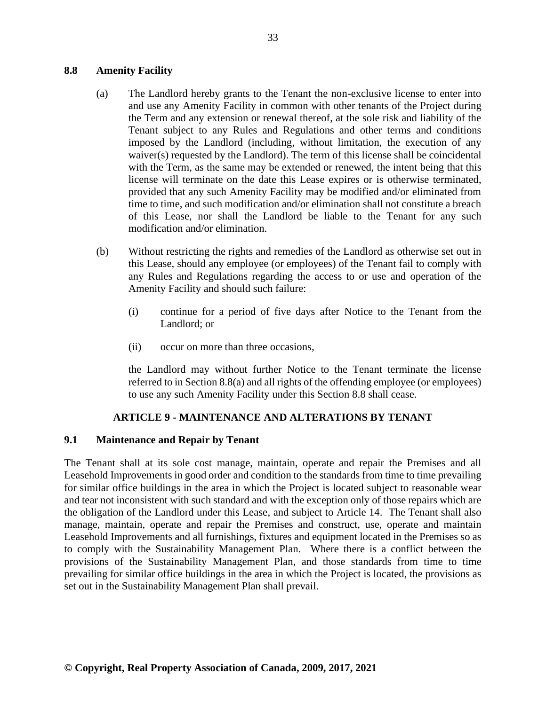## **8.8 Amenity Facility**

- (a) The Landlord hereby grants to the Tenant the non-exclusive license to enter into and use any Amenity Facility in common with other tenants of the Project during the Term and any extension or renewal thereof, at the sole risk and liability of the Tenant subject to any Rules and Regulations and other terms and conditions imposed by the Landlord (including, without limitation, the execution of any waiver(s) requested by the Landlord). The term of this license shall be coincidental with the Term, as the same may be extended or renewed, the intent being that this license will terminate on the date this Lease expires or is otherwise terminated, provided that any such Amenity Facility may be modified and/or eliminated from time to time, and such modification and/or elimination shall not constitute a breach of this Lease, nor shall the Landlord be liable to the Tenant for any such modification and/or elimination.
- (b) Without restricting the rights and remedies of the Landlord as otherwise set out in this Lease, should any employee (or employees) of the Tenant fail to comply with any Rules and Regulations regarding the access to or use and operation of the Amenity Facility and should such failure:
	- (i) continue for a period of five days after Notice to the Tenant from the Landlord; or
	- (ii) occur on more than three occasions,

the Landlord may without further Notice to the Tenant terminate the license referred to in Section 8.8(a) and all rights of the offending employee (or employees) to use any such Amenity Facility under this Section 8.8 shall cease.

## **ARTICLE 9 - MAINTENANCE AND ALTERATIONS BY TENANT**

## **9.1 Maintenance and Repair by Tenant**

The Tenant shall at its sole cost manage, maintain, operate and repair the Premises and all Leasehold Improvements in good order and condition to the standards from time to time prevailing for similar office buildings in the area in which the Project is located subject to reasonable wear and tear not inconsistent with such standard and with the exception only of those repairs which are the obligation of the Landlord under this Lease, and subject to Article 14. The Tenant shall also manage, maintain, operate and repair the Premises and construct, use, operate and maintain Leasehold Improvements and all furnishings, fixtures and equipment located in the Premises so as to comply with the Sustainability Management Plan. Where there is a conflict between the provisions of the Sustainability Management Plan, and those standards from time to time prevailing for similar office buildings in the area in which the Project is located, the provisions as set out in the Sustainability Management Plan shall prevail.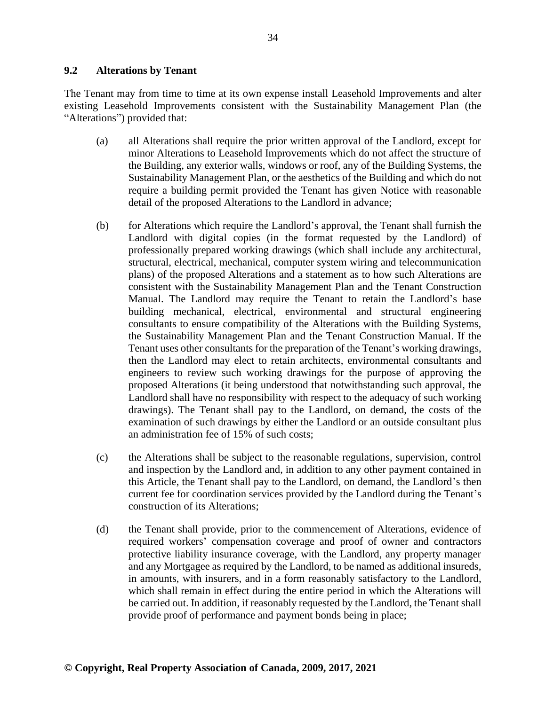# **9.2 Alterations by Tenant**

The Tenant may from time to time at its own expense install Leasehold Improvements and alter existing Leasehold Improvements consistent with the Sustainability Management Plan (the "Alterations") provided that:

- (a) all Alterations shall require the prior written approval of the Landlord, except for minor Alterations to Leasehold Improvements which do not affect the structure of the Building, any exterior walls, windows or roof, any of the Building Systems, the Sustainability Management Plan, or the aesthetics of the Building and which do not require a building permit provided the Tenant has given Notice with reasonable detail of the proposed Alterations to the Landlord in advance;
- (b) for Alterations which require the Landlord's approval, the Tenant shall furnish the Landlord with digital copies (in the format requested by the Landlord) of professionally prepared working drawings (which shall include any architectural, structural, electrical, mechanical, computer system wiring and telecommunication plans) of the proposed Alterations and a statement as to how such Alterations are consistent with the Sustainability Management Plan and the Tenant Construction Manual. The Landlord may require the Tenant to retain the Landlord's base building mechanical, electrical, environmental and structural engineering consultants to ensure compatibility of the Alterations with the Building Systems, the Sustainability Management Plan and the Tenant Construction Manual. If the Tenant uses other consultants for the preparation of the Tenant's working drawings, then the Landlord may elect to retain architects, environmental consultants and engineers to review such working drawings for the purpose of approving the proposed Alterations (it being understood that notwithstanding such approval, the Landlord shall have no responsibility with respect to the adequacy of such working drawings). The Tenant shall pay to the Landlord, on demand, the costs of the examination of such drawings by either the Landlord or an outside consultant plus an administration fee of 15% of such costs;
- (c) the Alterations shall be subject to the reasonable regulations, supervision, control and inspection by the Landlord and, in addition to any other payment contained in this Article, the Tenant shall pay to the Landlord, on demand, the Landlord's then current fee for coordination services provided by the Landlord during the Tenant's construction of its Alterations;
- (d) the Tenant shall provide, prior to the commencement of Alterations, evidence of required workers' compensation coverage and proof of owner and contractors protective liability insurance coverage, with the Landlord, any property manager and any Mortgagee as required by the Landlord, to be named as additional insureds, in amounts, with insurers, and in a form reasonably satisfactory to the Landlord, which shall remain in effect during the entire period in which the Alterations will be carried out. In addition, if reasonably requested by the Landlord, the Tenant shall provide proof of performance and payment bonds being in place;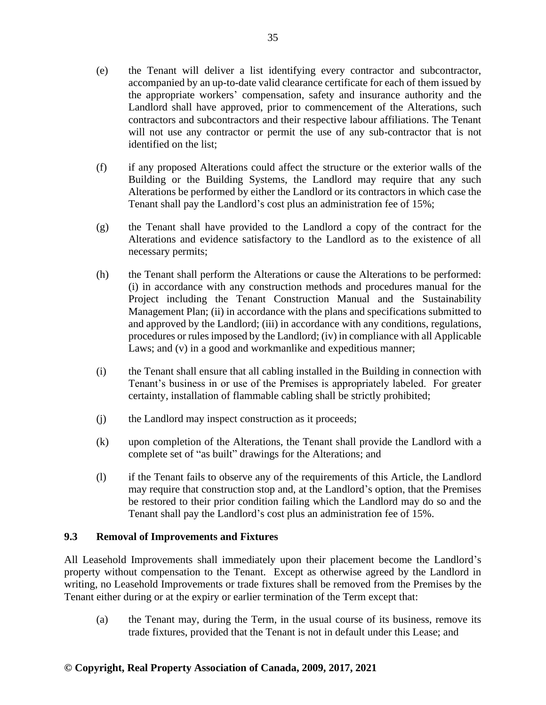- (e) the Tenant will deliver a list identifying every contractor and subcontractor, accompanied by an up-to-date valid clearance certificate for each of them issued by the appropriate workers' compensation, safety and insurance authority and the Landlord shall have approved, prior to commencement of the Alterations, such contractors and subcontractors and their respective labour affiliations. The Tenant will not use any contractor or permit the use of any sub-contractor that is not identified on the list;
- (f) if any proposed Alterations could affect the structure or the exterior walls of the Building or the Building Systems, the Landlord may require that any such Alterations be performed by either the Landlord or its contractors in which case the Tenant shall pay the Landlord's cost plus an administration fee of 15%;
- (g) the Tenant shall have provided to the Landlord a copy of the contract for the Alterations and evidence satisfactory to the Landlord as to the existence of all necessary permits;
- (h) the Tenant shall perform the Alterations or cause the Alterations to be performed: (i) in accordance with any construction methods and procedures manual for the Project including the Tenant Construction Manual and the Sustainability Management Plan; (ii) in accordance with the plans and specifications submitted to and approved by the Landlord; (iii) in accordance with any conditions, regulations, procedures or rules imposed by the Landlord; (iv) in compliance with all Applicable Laws; and (v) in a good and workmanlike and expeditious manner;
- (i) the Tenant shall ensure that all cabling installed in the Building in connection with Tenant's business in or use of the Premises is appropriately labeled. For greater certainty, installation of flammable cabling shall be strictly prohibited;
- (j) the Landlord may inspect construction as it proceeds;
- (k) upon completion of the Alterations, the Tenant shall provide the Landlord with a complete set of "as built" drawings for the Alterations; and
- (l) if the Tenant fails to observe any of the requirements of this Article, the Landlord may require that construction stop and, at the Landlord's option, that the Premises be restored to their prior condition failing which the Landlord may do so and the Tenant shall pay the Landlord's cost plus an administration fee of 15%.

## **9.3 Removal of Improvements and Fixtures**

All Leasehold Improvements shall immediately upon their placement become the Landlord's property without compensation to the Tenant. Except as otherwise agreed by the Landlord in writing, no Leasehold Improvements or trade fixtures shall be removed from the Premises by the Tenant either during or at the expiry or earlier termination of the Term except that:

(a) the Tenant may, during the Term, in the usual course of its business, remove its trade fixtures, provided that the Tenant is not in default under this Lease; and

# **© Copyright, Real Property Association of Canada, 2009, 2017, 2021**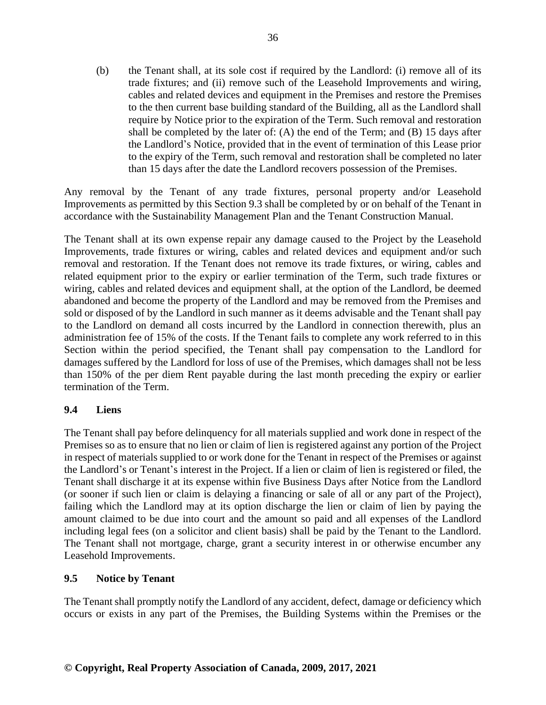(b) the Tenant shall, at its sole cost if required by the Landlord: (i) remove all of its trade fixtures; and (ii) remove such of the Leasehold Improvements and wiring, cables and related devices and equipment in the Premises and restore the Premises to the then current base building standard of the Building, all as the Landlord shall require by Notice prior to the expiration of the Term. Such removal and restoration shall be completed by the later of: (A) the end of the Term; and (B) 15 days after the Landlord's Notice, provided that in the event of termination of this Lease prior to the expiry of the Term, such removal and restoration shall be completed no later than 15 days after the date the Landlord recovers possession of the Premises.

Any removal by the Tenant of any trade fixtures, personal property and/or Leasehold Improvements as permitted by this Section 9.3 shall be completed by or on behalf of the Tenant in accordance with the Sustainability Management Plan and the Tenant Construction Manual.

The Tenant shall at its own expense repair any damage caused to the Project by the Leasehold Improvements, trade fixtures or wiring, cables and related devices and equipment and/or such removal and restoration. If the Tenant does not remove its trade fixtures, or wiring, cables and related equipment prior to the expiry or earlier termination of the Term, such trade fixtures or wiring, cables and related devices and equipment shall, at the option of the Landlord, be deemed abandoned and become the property of the Landlord and may be removed from the Premises and sold or disposed of by the Landlord in such manner as it deems advisable and the Tenant shall pay to the Landlord on demand all costs incurred by the Landlord in connection therewith, plus an administration fee of 15% of the costs. If the Tenant fails to complete any work referred to in this Section within the period specified, the Tenant shall pay compensation to the Landlord for damages suffered by the Landlord for loss of use of the Premises, which damages shall not be less than 150% of the per diem Rent payable during the last month preceding the expiry or earlier termination of the Term.

# **9.4 Liens**

The Tenant shall pay before delinquency for all materials supplied and work done in respect of the Premises so as to ensure that no lien or claim of lien is registered against any portion of the Project in respect of materials supplied to or work done for the Tenant in respect of the Premises or against the Landlord's or Tenant's interest in the Project. If a lien or claim of lien is registered or filed, the Tenant shall discharge it at its expense within five Business Days after Notice from the Landlord (or sooner if such lien or claim is delaying a financing or sale of all or any part of the Project), failing which the Landlord may at its option discharge the lien or claim of lien by paying the amount claimed to be due into court and the amount so paid and all expenses of the Landlord including legal fees (on a solicitor and client basis) shall be paid by the Tenant to the Landlord. The Tenant shall not mortgage, charge, grant a security interest in or otherwise encumber any Leasehold Improvements.

## **9.5 Notice by Tenant**

The Tenant shall promptly notify the Landlord of any accident, defect, damage or deficiency which occurs or exists in any part of the Premises, the Building Systems within the Premises or the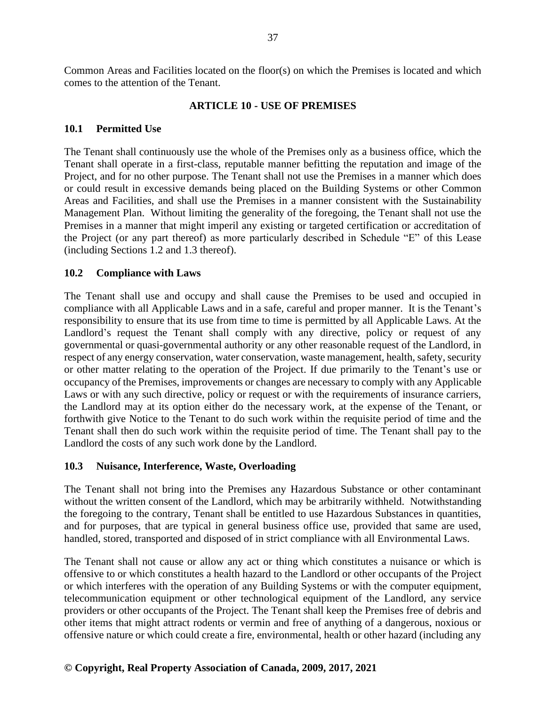Common Areas and Facilities located on the floor(s) on which the Premises is located and which comes to the attention of the Tenant.

#### **ARTICLE 10 - USE OF PREMISES**

#### **10.1 Permitted Use**

The Tenant shall continuously use the whole of the Premises only as a business office, which the Tenant shall operate in a first-class, reputable manner befitting the reputation and image of the Project, and for no other purpose. The Tenant shall not use the Premises in a manner which does or could result in excessive demands being placed on the Building Systems or other Common Areas and Facilities, and shall use the Premises in a manner consistent with the Sustainability Management Plan. Without limiting the generality of the foregoing, the Tenant shall not use the Premises in a manner that might imperil any existing or targeted certification or accreditation of the Project (or any part thereof) as more particularly described in Schedule "E" of this Lease (including Sections 1.2 and 1.3 thereof).

#### **10.2 Compliance with Laws**

The Tenant shall use and occupy and shall cause the Premises to be used and occupied in compliance with all Applicable Laws and in a safe, careful and proper manner. It is the Tenant's responsibility to ensure that its use from time to time is permitted by all Applicable Laws. At the Landlord's request the Tenant shall comply with any directive, policy or request of any governmental or quasi-governmental authority or any other reasonable request of the Landlord, in respect of any energy conservation, water conservation, waste management, health, safety, security or other matter relating to the operation of the Project. If due primarily to the Tenant's use or occupancy of the Premises, improvements or changes are necessary to comply with any Applicable Laws or with any such directive, policy or request or with the requirements of insurance carriers, the Landlord may at its option either do the necessary work, at the expense of the Tenant, or forthwith give Notice to the Tenant to do such work within the requisite period of time and the Tenant shall then do such work within the requisite period of time. The Tenant shall pay to the Landlord the costs of any such work done by the Landlord.

## **10.3 Nuisance, Interference, Waste, Overloading**

The Tenant shall not bring into the Premises any Hazardous Substance or other contaminant without the written consent of the Landlord, which may be arbitrarily withheld. Notwithstanding the foregoing to the contrary, Tenant shall be entitled to use Hazardous Substances in quantities, and for purposes, that are typical in general business office use, provided that same are used, handled, stored, transported and disposed of in strict compliance with all Environmental Laws.

The Tenant shall not cause or allow any act or thing which constitutes a nuisance or which is offensive to or which constitutes a health hazard to the Landlord or other occupants of the Project or which interferes with the operation of any Building Systems or with the computer equipment, telecommunication equipment or other technological equipment of the Landlord, any service providers or other occupants of the Project. The Tenant shall keep the Premises free of debris and other items that might attract rodents or vermin and free of anything of a dangerous, noxious or offensive nature or which could create a fire, environmental, health or other hazard (including any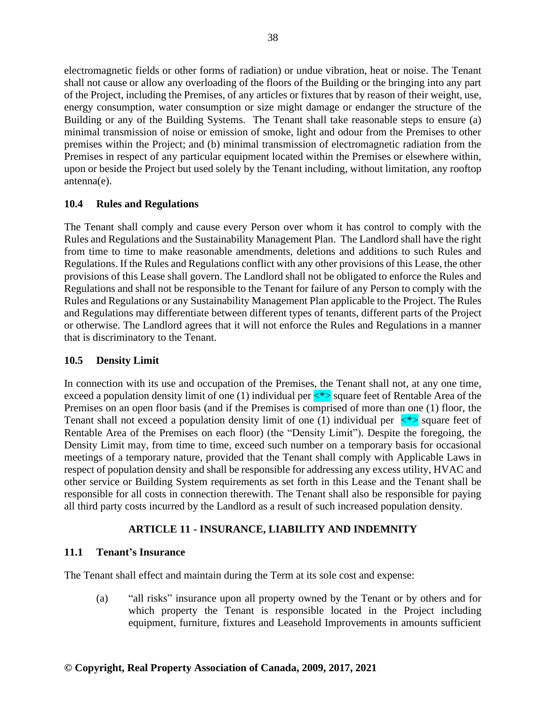electromagnetic fields or other forms of radiation) or undue vibration, heat or noise. The Tenant shall not cause or allow any overloading of the floors of the Building or the bringing into any part of the Project, including the Premises, of any articles or fixtures that by reason of their weight, use, energy consumption, water consumption or size might damage or endanger the structure of the Building or any of the Building Systems. The Tenant shall take reasonable steps to ensure (a) minimal transmission of noise or emission of smoke, light and odour from the Premises to other premises within the Project; and (b) minimal transmission of electromagnetic radiation from the Premises in respect of any particular equipment located within the Premises or elsewhere within, upon or beside the Project but used solely by the Tenant including, without limitation, any rooftop antenna(e).

# **10.4 Rules and Regulations**

The Tenant shall comply and cause every Person over whom it has control to comply with the Rules and Regulations and the Sustainability Management Plan. The Landlord shall have the right from time to time to make reasonable amendments, deletions and additions to such Rules and Regulations. If the Rules and Regulations conflict with any other provisions of this Lease, the other provisions of this Lease shall govern. The Landlord shall not be obligated to enforce the Rules and Regulations and shall not be responsible to the Tenant for failure of any Person to comply with the Rules and Regulations or any Sustainability Management Plan applicable to the Project. The Rules and Regulations may differentiate between different types of tenants, different parts of the Project or otherwise. The Landlord agrees that it will not enforce the Rules and Regulations in a manner that is discriminatory to the Tenant.

## **10.5 Density Limit**

In connection with its use and occupation of the Premises, the Tenant shall not, at any one time, exceed a population density limit of one (1) individual per  $\langle\star\rangle$  square feet of Rentable Area of the Premises on an open floor basis (and if the Premises is comprised of more than one (1) floor, the Tenant shall not exceed a population density limit of one (1) individual per  $\langle\hat{\cdot}\rangle$  square feet of Rentable Area of the Premises on each floor) (the "Density Limit"). Despite the foregoing, the Density Limit may, from time to time, exceed such number on a temporary basis for occasional meetings of a temporary nature, provided that the Tenant shall comply with Applicable Laws in respect of population density and shall be responsible for addressing any excess utility, HVAC and other service or Building System requirements as set forth in this Lease and the Tenant shall be responsible for all costs in connection therewith. The Tenant shall also be responsible for paying all third party costs incurred by the Landlord as a result of such increased population density.

# **ARTICLE 11 - INSURANCE, LIABILITY AND INDEMNITY**

# **11.1 Tenant's Insurance**

The Tenant shall effect and maintain during the Term at its sole cost and expense:

(a) "all risks" insurance upon all property owned by the Tenant or by others and for which property the Tenant is responsible located in the Project including equipment, furniture, fixtures and Leasehold Improvements in amounts sufficient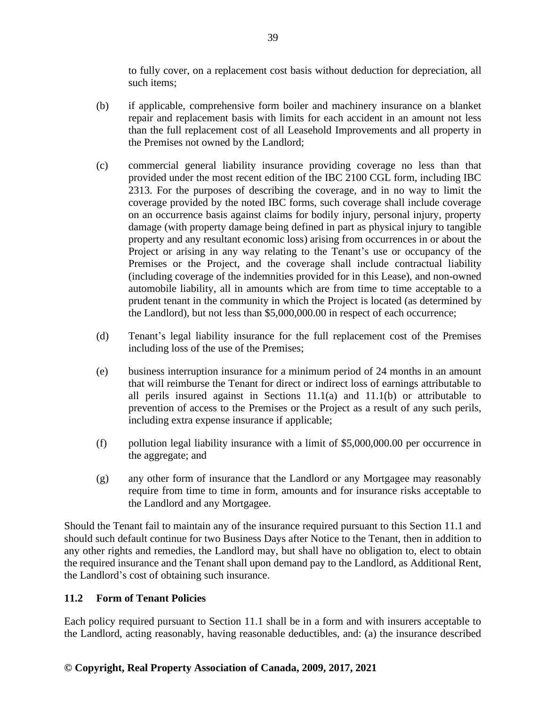to fully cover, on a replacement cost basis without deduction for depreciation, all such items;

- (b) if applicable, comprehensive form boiler and machinery insurance on a blanket repair and replacement basis with limits for each accident in an amount not less than the full replacement cost of all Leasehold Improvements and all property in the Premises not owned by the Landlord;
- (c) commercial general liability insurance providing coverage no less than that provided under the most recent edition of the IBC 2100 CGL form, including IBC 2313. For the purposes of describing the coverage, and in no way to limit the coverage provided by the noted IBC forms, such coverage shall include coverage on an occurrence basis against claims for bodily injury, personal injury, property damage (with property damage being defined in part as physical injury to tangible property and any resultant economic loss) arising from occurrences in or about the Project or arising in any way relating to the Tenant's use or occupancy of the Premises or the Project, and the coverage shall include contractual liability (including coverage of the indemnities provided for in this Lease), and non-owned automobile liability, all in amounts which are from time to time acceptable to a prudent tenant in the community in which the Project is located (as determined by the Landlord), but not less than \$5,000,000.00 in respect of each occurrence;
- (d) Tenant's legal liability insurance for the full replacement cost of the Premises including loss of the use of the Premises;
- (e) business interruption insurance for a minimum period of 24 months in an amount that will reimburse the Tenant for direct or indirect loss of earnings attributable to all perils insured against in Sections 11.1(a) and 11.1(b) or attributable to prevention of access to the Premises or the Project as a result of any such perils, including extra expense insurance if applicable;
- (f) pollution legal liability insurance with a limit of \$5,000,000.00 per occurrence in the aggregate; and
- (g) any other form of insurance that the Landlord or any Mortgagee may reasonably require from time to time in form, amounts and for insurance risks acceptable to the Landlord and any Mortgagee.

Should the Tenant fail to maintain any of the insurance required pursuant to this Section 11.1 and should such default continue for two Business Days after Notice to the Tenant, then in addition to any other rights and remedies, the Landlord may, but shall have no obligation to, elect to obtain the required insurance and the Tenant shall upon demand pay to the Landlord, as Additional Rent, the Landlord's cost of obtaining such insurance.

# **11.2 Form of Tenant Policies**

Each policy required pursuant to Section 11.1 shall be in a form and with insurers acceptable to the Landlord, acting reasonably, having reasonable deductibles, and: (a) the insurance described

# **© Copyright, Real Property Association of Canada, 2009, 2017, 2021**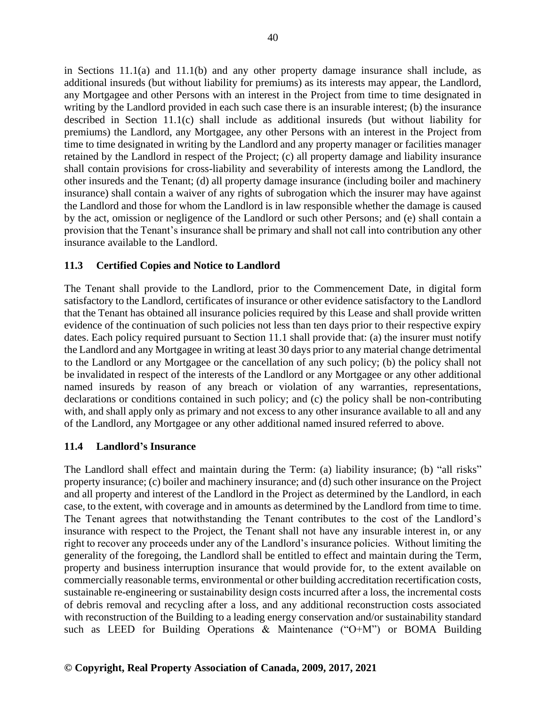in Sections 11.1(a) and 11.1(b) and any other property damage insurance shall include, as additional insureds (but without liability for premiums) as its interests may appear, the Landlord, any Mortgagee and other Persons with an interest in the Project from time to time designated in writing by the Landlord provided in each such case there is an insurable interest; (b) the insurance described in Section 11.1(c) shall include as additional insureds (but without liability for premiums) the Landlord, any Mortgagee, any other Persons with an interest in the Project from time to time designated in writing by the Landlord and any property manager or facilities manager retained by the Landlord in respect of the Project; (c) all property damage and liability insurance shall contain provisions for cross-liability and severability of interests among the Landlord, the other insureds and the Tenant; (d) all property damage insurance (including boiler and machinery insurance) shall contain a waiver of any rights of subrogation which the insurer may have against the Landlord and those for whom the Landlord is in law responsible whether the damage is caused by the act, omission or negligence of the Landlord or such other Persons; and (e) shall contain a provision that the Tenant's insurance shall be primary and shall not call into contribution any other insurance available to the Landlord.

# **11.3 Certified Copies and Notice to Landlord**

The Tenant shall provide to the Landlord, prior to the Commencement Date, in digital form satisfactory to the Landlord, certificates of insurance or other evidence satisfactory to the Landlord that the Tenant has obtained all insurance policies required by this Lease and shall provide written evidence of the continuation of such policies not less than ten days prior to their respective expiry dates. Each policy required pursuant to Section 11.1 shall provide that: (a) the insurer must notify the Landlord and any Mortgagee in writing at least 30 days prior to any material change detrimental to the Landlord or any Mortgagee or the cancellation of any such policy; (b) the policy shall not be invalidated in respect of the interests of the Landlord or any Mortgagee or any other additional named insureds by reason of any breach or violation of any warranties, representations, declarations or conditions contained in such policy; and (c) the policy shall be non-contributing with, and shall apply only as primary and not excess to any other insurance available to all and any of the Landlord, any Mortgagee or any other additional named insured referred to above.

## **11.4 Landlord's Insurance**

The Landlord shall effect and maintain during the Term: (a) liability insurance; (b) "all risks" property insurance; (c) boiler and machinery insurance; and (d) such other insurance on the Project and all property and interest of the Landlord in the Project as determined by the Landlord, in each case, to the extent, with coverage and in amounts as determined by the Landlord from time to time. The Tenant agrees that notwithstanding the Tenant contributes to the cost of the Landlord's insurance with respect to the Project, the Tenant shall not have any insurable interest in, or any right to recover any proceeds under any of the Landlord's insurance policies. Without limiting the generality of the foregoing, the Landlord shall be entitled to effect and maintain during the Term, property and business interruption insurance that would provide for, to the extent available on commercially reasonable terms, environmental or other building accreditation recertification costs, sustainable re-engineering or sustainability design costs incurred after a loss, the incremental costs of debris removal and recycling after a loss, and any additional reconstruction costs associated with reconstruction of the Building to a leading energy conservation and/or sustainability standard such as LEED for Building Operations & Maintenance ("O+M") or BOMA Building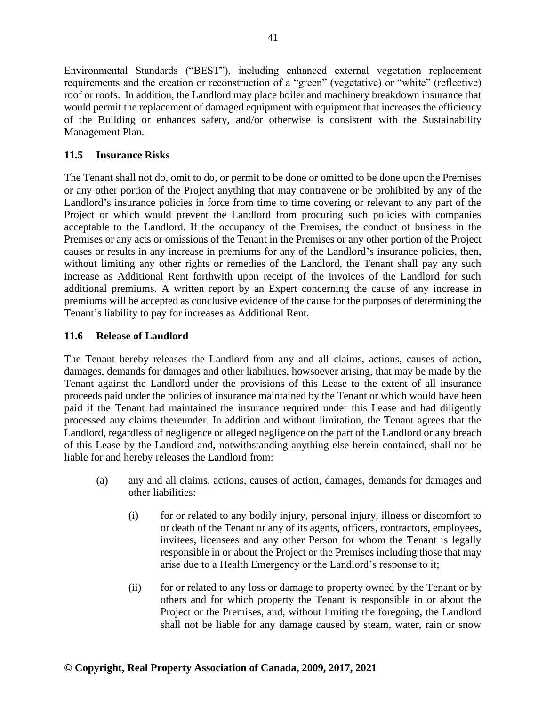Environmental Standards ("BEST"), including enhanced external vegetation replacement requirements and the creation or reconstruction of a "green" (vegetative) or "white" (reflective) roof or roofs. In addition, the Landlord may place boiler and machinery breakdown insurance that would permit the replacement of damaged equipment with equipment that increases the efficiency of the Building or enhances safety, and/or otherwise is consistent with the Sustainability Management Plan.

# **11.5 Insurance Risks**

The Tenant shall not do, omit to do, or permit to be done or omitted to be done upon the Premises or any other portion of the Project anything that may contravene or be prohibited by any of the Landlord's insurance policies in force from time to time covering or relevant to any part of the Project or which would prevent the Landlord from procuring such policies with companies acceptable to the Landlord. If the occupancy of the Premises, the conduct of business in the Premises or any acts or omissions of the Tenant in the Premises or any other portion of the Project causes or results in any increase in premiums for any of the Landlord's insurance policies, then, without limiting any other rights or remedies of the Landlord, the Tenant shall pay any such increase as Additional Rent forthwith upon receipt of the invoices of the Landlord for such additional premiums. A written report by an Expert concerning the cause of any increase in premiums will be accepted as conclusive evidence of the cause for the purposes of determining the Tenant's liability to pay for increases as Additional Rent.

# **11.6 Release of Landlord**

The Tenant hereby releases the Landlord from any and all claims, actions, causes of action, damages, demands for damages and other liabilities, howsoever arising, that may be made by the Tenant against the Landlord under the provisions of this Lease to the extent of all insurance proceeds paid under the policies of insurance maintained by the Tenant or which would have been paid if the Tenant had maintained the insurance required under this Lease and had diligently processed any claims thereunder. In addition and without limitation, the Tenant agrees that the Landlord, regardless of negligence or alleged negligence on the part of the Landlord or any breach of this Lease by the Landlord and, notwithstanding anything else herein contained, shall not be liable for and hereby releases the Landlord from:

- (a) any and all claims, actions, causes of action, damages, demands for damages and other liabilities:
	- (i) for or related to any bodily injury, personal injury, illness or discomfort to or death of the Tenant or any of its agents, officers, contractors, employees, invitees, licensees and any other Person for whom the Tenant is legally responsible in or about the Project or the Premises including those that may arise due to a Health Emergency or the Landlord's response to it;
	- (ii) for or related to any loss or damage to property owned by the Tenant or by others and for which property the Tenant is responsible in or about the Project or the Premises, and, without limiting the foregoing, the Landlord shall not be liable for any damage caused by steam, water, rain or snow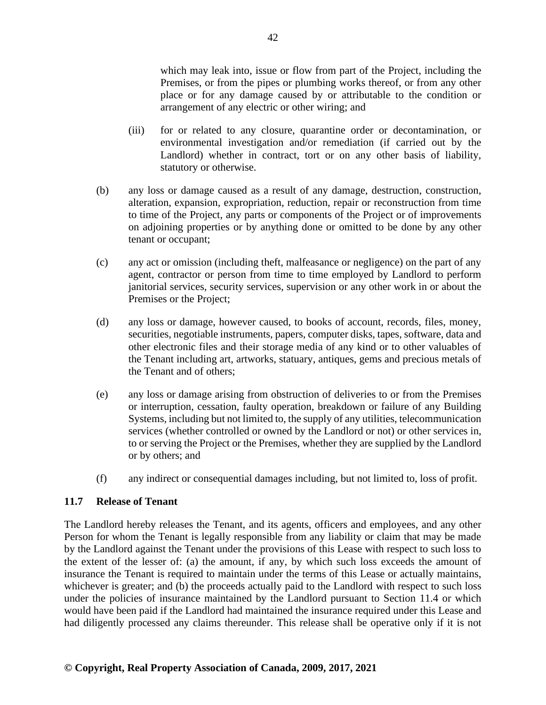which may leak into, issue or flow from part of the Project, including the Premises, or from the pipes or plumbing works thereof, or from any other place or for any damage caused by or attributable to the condition or arrangement of any electric or other wiring; and

- (iii) for or related to any closure, quarantine order or decontamination, or environmental investigation and/or remediation (if carried out by the Landlord) whether in contract, tort or on any other basis of liability, statutory or otherwise.
- (b) any loss or damage caused as a result of any damage, destruction, construction, alteration, expansion, expropriation, reduction, repair or reconstruction from time to time of the Project, any parts or components of the Project or of improvements on adjoining properties or by anything done or omitted to be done by any other tenant or occupant;
- (c) any act or omission (including theft, malfeasance or negligence) on the part of any agent, contractor or person from time to time employed by Landlord to perform janitorial services, security services, supervision or any other work in or about the Premises or the Project;
- (d) any loss or damage, however caused, to books of account, records, files, money, securities, negotiable instruments, papers, computer disks, tapes, software, data and other electronic files and their storage media of any kind or to other valuables of the Tenant including art, artworks, statuary, antiques, gems and precious metals of the Tenant and of others;
- (e) any loss or damage arising from obstruction of deliveries to or from the Premises or interruption, cessation, faulty operation, breakdown or failure of any Building Systems, including but not limited to, the supply of any utilities, telecommunication services (whether controlled or owned by the Landlord or not) or other services in, to or serving the Project or the Premises, whether they are supplied by the Landlord or by others; and
- (f) any indirect or consequential damages including, but not limited to, loss of profit.

#### **11.7 Release of Tenant**

The Landlord hereby releases the Tenant, and its agents, officers and employees, and any other Person for whom the Tenant is legally responsible from any liability or claim that may be made by the Landlord against the Tenant under the provisions of this Lease with respect to such loss to the extent of the lesser of: (a) the amount, if any, by which such loss exceeds the amount of insurance the Tenant is required to maintain under the terms of this Lease or actually maintains, whichever is greater; and (b) the proceeds actually paid to the Landlord with respect to such loss under the policies of insurance maintained by the Landlord pursuant to Section 11.4 or which would have been paid if the Landlord had maintained the insurance required under this Lease and had diligently processed any claims thereunder. This release shall be operative only if it is not

42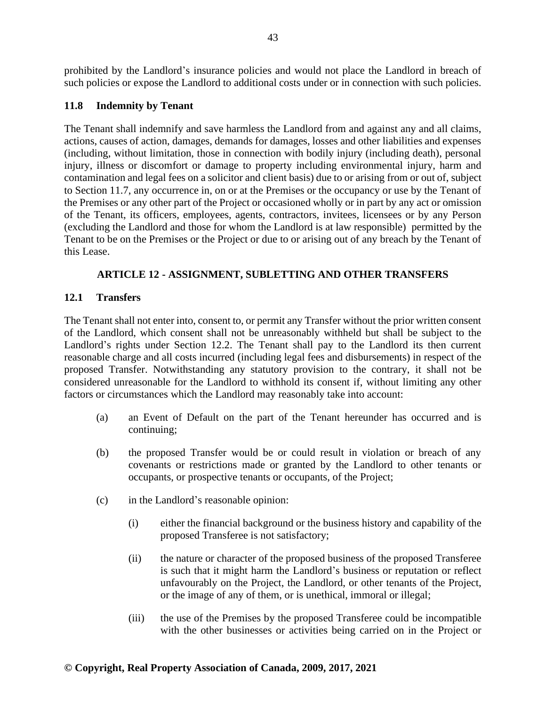prohibited by the Landlord's insurance policies and would not place the Landlord in breach of such policies or expose the Landlord to additional costs under or in connection with such policies.

# **11.8 Indemnity by Tenant**

The Tenant shall indemnify and save harmless the Landlord from and against any and all claims, actions, causes of action, damages, demands for damages, losses and other liabilities and expenses (including, without limitation, those in connection with bodily injury (including death), personal injury, illness or discomfort or damage to property including environmental injury, harm and contamination and legal fees on a solicitor and client basis) due to or arising from or out of, subject to Section 11.7, any occurrence in, on or at the Premises or the occupancy or use by the Tenant of the Premises or any other part of the Project or occasioned wholly or in part by any act or omission of the Tenant, its officers, employees, agents, contractors, invitees, licensees or by any Person (excluding the Landlord and those for whom the Landlord is at law responsible) permitted by the Tenant to be on the Premises or the Project or due to or arising out of any breach by the Tenant of this Lease.

# **ARTICLE 12 - ASSIGNMENT, SUBLETTING AND OTHER TRANSFERS**

## **12.1 Transfers**

The Tenant shall not enter into, consent to, or permit any Transfer without the prior written consent of the Landlord, which consent shall not be unreasonably withheld but shall be subject to the Landlord's rights under Section 12.2. The Tenant shall pay to the Landlord its then current reasonable charge and all costs incurred (including legal fees and disbursements) in respect of the proposed Transfer. Notwithstanding any statutory provision to the contrary, it shall not be considered unreasonable for the Landlord to withhold its consent if, without limiting any other factors or circumstances which the Landlord may reasonably take into account:

- (a) an Event of Default on the part of the Tenant hereunder has occurred and is continuing;
- (b) the proposed Transfer would be or could result in violation or breach of any covenants or restrictions made or granted by the Landlord to other tenants or occupants, or prospective tenants or occupants, of the Project;
- (c) in the Landlord's reasonable opinion:
	- (i) either the financial background or the business history and capability of the proposed Transferee is not satisfactory;
	- (ii) the nature or character of the proposed business of the proposed Transferee is such that it might harm the Landlord's business or reputation or reflect unfavourably on the Project, the Landlord, or other tenants of the Project, or the image of any of them, or is unethical, immoral or illegal;
	- (iii) the use of the Premises by the proposed Transferee could be incompatible with the other businesses or activities being carried on in the Project or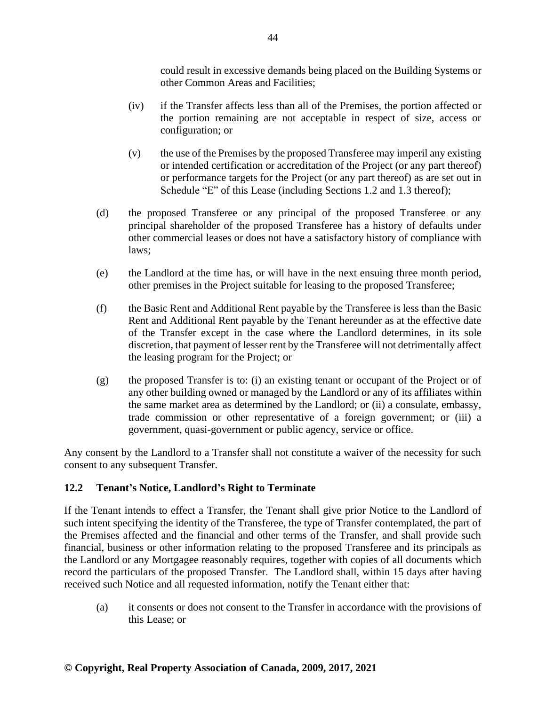could result in excessive demands being placed on the Building Systems or other Common Areas and Facilities;

- (iv) if the Transfer affects less than all of the Premises, the portion affected or the portion remaining are not acceptable in respect of size, access or configuration; or
- (v) the use of the Premises by the proposed Transferee may imperil any existing or intended certification or accreditation of the Project (or any part thereof) or performance targets for the Project (or any part thereof) as are set out in Schedule "E" of this Lease (including Sections 1.2 and 1.3 thereof);
- (d) the proposed Transferee or any principal of the proposed Transferee or any principal shareholder of the proposed Transferee has a history of defaults under other commercial leases or does not have a satisfactory history of compliance with laws;
- (e) the Landlord at the time has, or will have in the next ensuing three month period, other premises in the Project suitable for leasing to the proposed Transferee;
- (f) the Basic Rent and Additional Rent payable by the Transferee is less than the Basic Rent and Additional Rent payable by the Tenant hereunder as at the effective date of the Transfer except in the case where the Landlord determines, in its sole discretion, that payment of lesser rent by the Transferee will not detrimentally affect the leasing program for the Project; or
- (g) the proposed Transfer is to: (i) an existing tenant or occupant of the Project or of any other building owned or managed by the Landlord or any of its affiliates within the same market area as determined by the Landlord; or (ii) a consulate, embassy, trade commission or other representative of a foreign government; or (iii) a government, quasi-government or public agency, service or office.

Any consent by the Landlord to a Transfer shall not constitute a waiver of the necessity for such consent to any subsequent Transfer.

# **12.2 Tenant's Notice, Landlord's Right to Terminate**

If the Tenant intends to effect a Transfer, the Tenant shall give prior Notice to the Landlord of such intent specifying the identity of the Transferee, the type of Transfer contemplated, the part of the Premises affected and the financial and other terms of the Transfer, and shall provide such financial, business or other information relating to the proposed Transferee and its principals as the Landlord or any Mortgagee reasonably requires, together with copies of all documents which record the particulars of the proposed Transfer. The Landlord shall, within 15 days after having received such Notice and all requested information, notify the Tenant either that:

(a) it consents or does not consent to the Transfer in accordance with the provisions of this Lease; or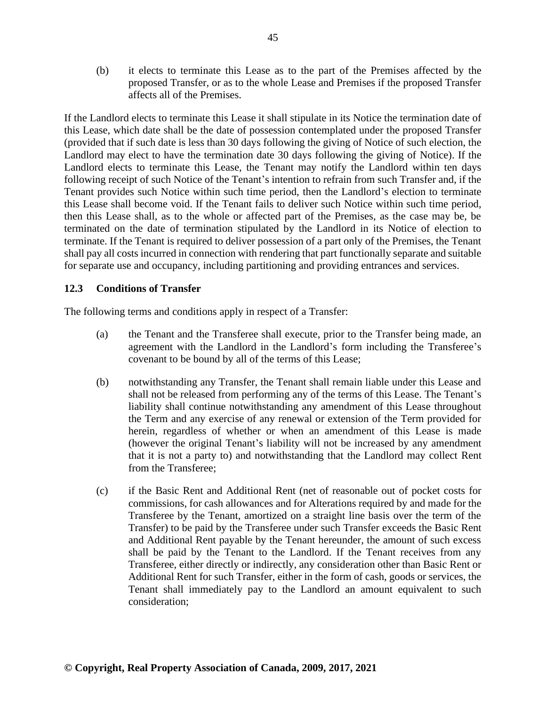(b) it elects to terminate this Lease as to the part of the Premises affected by the proposed Transfer, or as to the whole Lease and Premises if the proposed Transfer affects all of the Premises.

If the Landlord elects to terminate this Lease it shall stipulate in its Notice the termination date of this Lease, which date shall be the date of possession contemplated under the proposed Transfer (provided that if such date is less than 30 days following the giving of Notice of such election, the Landlord may elect to have the termination date 30 days following the giving of Notice). If the Landlord elects to terminate this Lease, the Tenant may notify the Landlord within ten days following receipt of such Notice of the Tenant's intention to refrain from such Transfer and, if the Tenant provides such Notice within such time period, then the Landlord's election to terminate this Lease shall become void. If the Tenant fails to deliver such Notice within such time period, then this Lease shall, as to the whole or affected part of the Premises, as the case may be, be terminated on the date of termination stipulated by the Landlord in its Notice of election to terminate. If the Tenant is required to deliver possession of a part only of the Premises, the Tenant shall pay all costs incurred in connection with rendering that part functionally separate and suitable for separate use and occupancy, including partitioning and providing entrances and services.

# **12.3 Conditions of Transfer**

The following terms and conditions apply in respect of a Transfer:

- (a) the Tenant and the Transferee shall execute, prior to the Transfer being made, an agreement with the Landlord in the Landlord's form including the Transferee's covenant to be bound by all of the terms of this Lease;
- (b) notwithstanding any Transfer, the Tenant shall remain liable under this Lease and shall not be released from performing any of the terms of this Lease. The Tenant's liability shall continue notwithstanding any amendment of this Lease throughout the Term and any exercise of any renewal or extension of the Term provided for herein, regardless of whether or when an amendment of this Lease is made (however the original Tenant's liability will not be increased by any amendment that it is not a party to) and notwithstanding that the Landlord may collect Rent from the Transferee;
- (c) if the Basic Rent and Additional Rent (net of reasonable out of pocket costs for commissions, for cash allowances and for Alterations required by and made for the Transferee by the Tenant, amortized on a straight line basis over the term of the Transfer) to be paid by the Transferee under such Transfer exceeds the Basic Rent and Additional Rent payable by the Tenant hereunder, the amount of such excess shall be paid by the Tenant to the Landlord. If the Tenant receives from any Transferee, either directly or indirectly, any consideration other than Basic Rent or Additional Rent for such Transfer, either in the form of cash, goods or services, the Tenant shall immediately pay to the Landlord an amount equivalent to such consideration;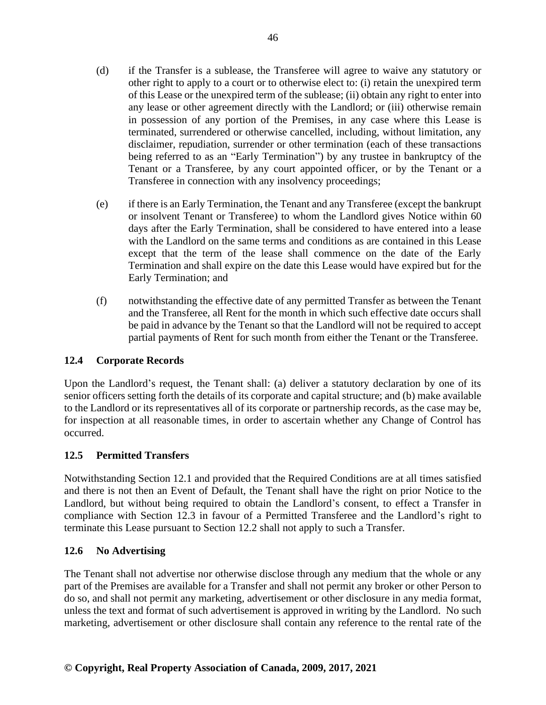- (d) if the Transfer is a sublease, the Transferee will agree to waive any statutory or other right to apply to a court or to otherwise elect to: (i) retain the unexpired term of this Lease or the unexpired term of the sublease; (ii) obtain any right to enter into any lease or other agreement directly with the Landlord; or (iii) otherwise remain in possession of any portion of the Premises, in any case where this Lease is terminated, surrendered or otherwise cancelled, including, without limitation, any disclaimer, repudiation, surrender or other termination (each of these transactions being referred to as an "Early Termination") by any trustee in bankruptcy of the Tenant or a Transferee, by any court appointed officer, or by the Tenant or a Transferee in connection with any insolvency proceedings;
- (e) if there is an Early Termination, the Tenant and any Transferee (except the bankrupt or insolvent Tenant or Transferee) to whom the Landlord gives Notice within 60 days after the Early Termination, shall be considered to have entered into a lease with the Landlord on the same terms and conditions as are contained in this Lease except that the term of the lease shall commence on the date of the Early Termination and shall expire on the date this Lease would have expired but for the Early Termination; and
- (f) notwithstanding the effective date of any permitted Transfer as between the Tenant and the Transferee, all Rent for the month in which such effective date occurs shall be paid in advance by the Tenant so that the Landlord will not be required to accept partial payments of Rent for such month from either the Tenant or the Transferee.

# **12.4 Corporate Records**

Upon the Landlord's request, the Tenant shall: (a) deliver a statutory declaration by one of its senior officers setting forth the details of its corporate and capital structure; and (b) make available to the Landlord or its representatives all of its corporate or partnership records, as the case may be, for inspection at all reasonable times, in order to ascertain whether any Change of Control has occurred.

# **12.5 Permitted Transfers**

Notwithstanding Section 12.1 and provided that the Required Conditions are at all times satisfied and there is not then an Event of Default, the Tenant shall have the right on prior Notice to the Landlord, but without being required to obtain the Landlord's consent, to effect a Transfer in compliance with Section 12.3 in favour of a Permitted Transferee and the Landlord's right to terminate this Lease pursuant to Section 12.2 shall not apply to such a Transfer.

# **12.6 No Advertising**

The Tenant shall not advertise nor otherwise disclose through any medium that the whole or any part of the Premises are available for a Transfer and shall not permit any broker or other Person to do so, and shall not permit any marketing, advertisement or other disclosure in any media format, unless the text and format of such advertisement is approved in writing by the Landlord. No such marketing, advertisement or other disclosure shall contain any reference to the rental rate of the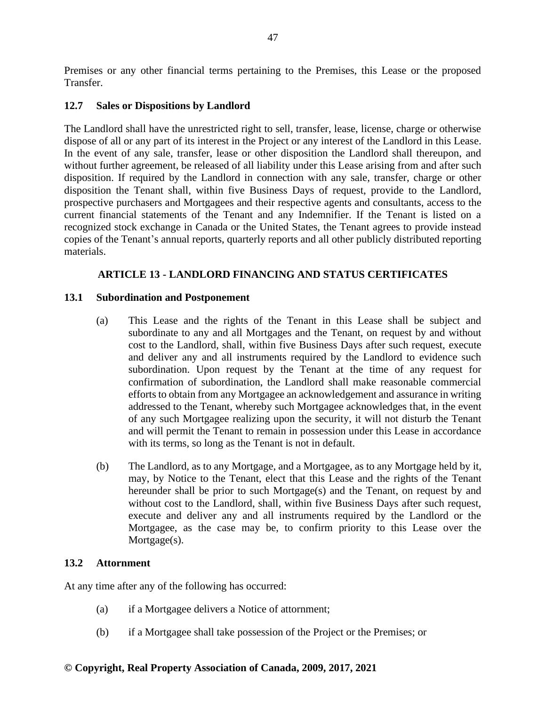Premises or any other financial terms pertaining to the Premises, this Lease or the proposed Transfer.

## **12.7 Sales or Dispositions by Landlord**

The Landlord shall have the unrestricted right to sell, transfer, lease, license, charge or otherwise dispose of all or any part of its interest in the Project or any interest of the Landlord in this Lease. In the event of any sale, transfer, lease or other disposition the Landlord shall thereupon, and without further agreement, be released of all liability under this Lease arising from and after such disposition. If required by the Landlord in connection with any sale, transfer, charge or other disposition the Tenant shall, within five Business Days of request, provide to the Landlord, prospective purchasers and Mortgagees and their respective agents and consultants, access to the current financial statements of the Tenant and any Indemnifier. If the Tenant is listed on a recognized stock exchange in Canada or the United States, the Tenant agrees to provide instead copies of the Tenant's annual reports, quarterly reports and all other publicly distributed reporting materials.

# **ARTICLE 13 - LANDLORD FINANCING AND STATUS CERTIFICATES**

## **13.1 Subordination and Postponement**

- (a) This Lease and the rights of the Tenant in this Lease shall be subject and subordinate to any and all Mortgages and the Tenant, on request by and without cost to the Landlord, shall, within five Business Days after such request, execute and deliver any and all instruments required by the Landlord to evidence such subordination. Upon request by the Tenant at the time of any request for confirmation of subordination, the Landlord shall make reasonable commercial efforts to obtain from any Mortgagee an acknowledgement and assurance in writing addressed to the Tenant, whereby such Mortgagee acknowledges that, in the event of any such Mortgagee realizing upon the security, it will not disturb the Tenant and will permit the Tenant to remain in possession under this Lease in accordance with its terms, so long as the Tenant is not in default.
- (b) The Landlord, as to any Mortgage, and a Mortgagee, as to any Mortgage held by it, may, by Notice to the Tenant, elect that this Lease and the rights of the Tenant hereunder shall be prior to such Mortgage(s) and the Tenant, on request by and without cost to the Landlord, shall, within five Business Days after such request, execute and deliver any and all instruments required by the Landlord or the Mortgagee, as the case may be, to confirm priority to this Lease over the Mortgage(s).

## **13.2 Attornment**

At any time after any of the following has occurred:

- (a) if a Mortgagee delivers a Notice of attornment;
- (b) if a Mortgagee shall take possession of the Project or the Premises; or

#### **© Copyright, Real Property Association of Canada, 2009, 2017, 2021**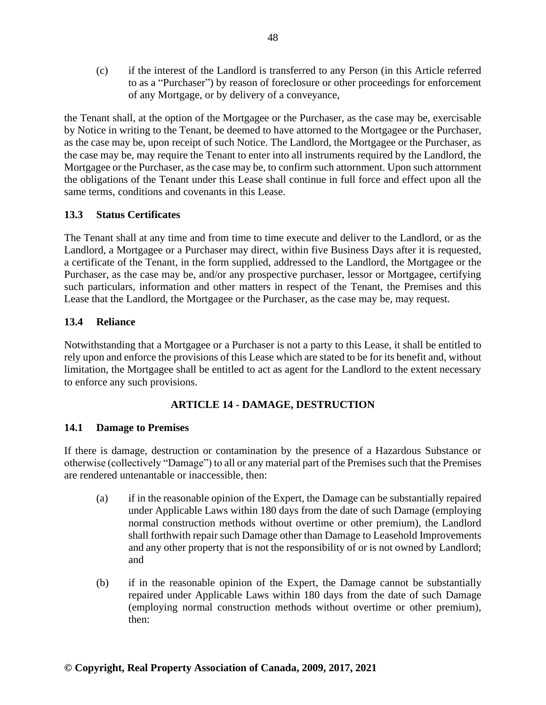(c) if the interest of the Landlord is transferred to any Person (in this Article referred to as a "Purchaser") by reason of foreclosure or other proceedings for enforcement of any Mortgage, or by delivery of a conveyance,

the Tenant shall, at the option of the Mortgagee or the Purchaser, as the case may be, exercisable by Notice in writing to the Tenant, be deemed to have attorned to the Mortgagee or the Purchaser, as the case may be, upon receipt of such Notice. The Landlord, the Mortgagee or the Purchaser, as the case may be, may require the Tenant to enter into all instruments required by the Landlord, the Mortgagee or the Purchaser, as the case may be, to confirm such attornment. Upon such attornment the obligations of the Tenant under this Lease shall continue in full force and effect upon all the same terms, conditions and covenants in this Lease.

# **13.3 Status Certificates**

The Tenant shall at any time and from time to time execute and deliver to the Landlord, or as the Landlord, a Mortgagee or a Purchaser may direct, within five Business Days after it is requested, a certificate of the Tenant, in the form supplied, addressed to the Landlord, the Mortgagee or the Purchaser, as the case may be, and/or any prospective purchaser, lessor or Mortgagee, certifying such particulars, information and other matters in respect of the Tenant, the Premises and this Lease that the Landlord, the Mortgagee or the Purchaser, as the case may be, may request.

# **13.4 Reliance**

Notwithstanding that a Mortgagee or a Purchaser is not a party to this Lease, it shall be entitled to rely upon and enforce the provisions of this Lease which are stated to be for its benefit and, without limitation, the Mortgagee shall be entitled to act as agent for the Landlord to the extent necessary to enforce any such provisions.

# **ARTICLE 14 - DAMAGE, DESTRUCTION**

# **14.1 Damage to Premises**

If there is damage, destruction or contamination by the presence of a Hazardous Substance or otherwise (collectively "Damage") to all or any material part of the Premises such that the Premises are rendered untenantable or inaccessible, then:

- (a) if in the reasonable opinion of the Expert, the Damage can be substantially repaired under Applicable Laws within 180 days from the date of such Damage (employing normal construction methods without overtime or other premium), the Landlord shall forthwith repair such Damage other than Damage to Leasehold Improvements and any other property that is not the responsibility of or is not owned by Landlord; and
- (b) if in the reasonable opinion of the Expert, the Damage cannot be substantially repaired under Applicable Laws within 180 days from the date of such Damage (employing normal construction methods without overtime or other premium), then: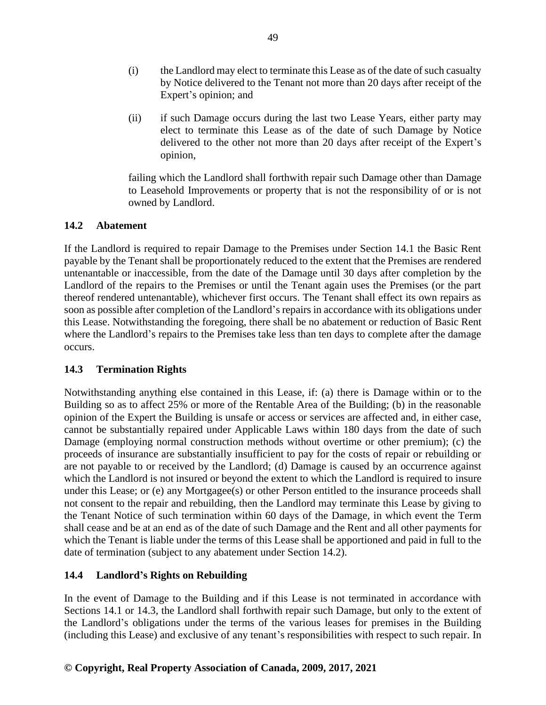- (i) the Landlord may elect to terminate this Lease as of the date of such casualty by Notice delivered to the Tenant not more than 20 days after receipt of the Expert's opinion; and
- (ii) if such Damage occurs during the last two Lease Years, either party may elect to terminate this Lease as of the date of such Damage by Notice delivered to the other not more than 20 days after receipt of the Expert's opinion,

failing which the Landlord shall forthwith repair such Damage other than Damage to Leasehold Improvements or property that is not the responsibility of or is not owned by Landlord.

# **14.2 Abatement**

If the Landlord is required to repair Damage to the Premises under Section 14.1 the Basic Rent payable by the Tenant shall be proportionately reduced to the extent that the Premises are rendered untenantable or inaccessible, from the date of the Damage until 30 days after completion by the Landlord of the repairs to the Premises or until the Tenant again uses the Premises (or the part thereof rendered untenantable), whichever first occurs. The Tenant shall effect its own repairs as soon as possible after completion of the Landlord's repairs in accordance with its obligations under this Lease. Notwithstanding the foregoing, there shall be no abatement or reduction of Basic Rent where the Landlord's repairs to the Premises take less than ten days to complete after the damage occurs.

## **14.3 Termination Rights**

Notwithstanding anything else contained in this Lease, if: (a) there is Damage within or to the Building so as to affect 25% or more of the Rentable Area of the Building; (b) in the reasonable opinion of the Expert the Building is unsafe or access or services are affected and, in either case, cannot be substantially repaired under Applicable Laws within 180 days from the date of such Damage (employing normal construction methods without overtime or other premium); (c) the proceeds of insurance are substantially insufficient to pay for the costs of repair or rebuilding or are not payable to or received by the Landlord; (d) Damage is caused by an occurrence against which the Landlord is not insured or beyond the extent to which the Landlord is required to insure under this Lease; or (e) any Mortgagee(s) or other Person entitled to the insurance proceeds shall not consent to the repair and rebuilding, then the Landlord may terminate this Lease by giving to the Tenant Notice of such termination within 60 days of the Damage, in which event the Term shall cease and be at an end as of the date of such Damage and the Rent and all other payments for which the Tenant is liable under the terms of this Lease shall be apportioned and paid in full to the date of termination (subject to any abatement under Section 14.2).

# **14.4 Landlord's Rights on Rebuilding**

In the event of Damage to the Building and if this Lease is not terminated in accordance with Sections 14.1 or 14.3, the Landlord shall forthwith repair such Damage, but only to the extent of the Landlord's obligations under the terms of the various leases for premises in the Building (including this Lease) and exclusive of any tenant's responsibilities with respect to such repair. In

## **© Copyright, Real Property Association of Canada, 2009, 2017, 2021**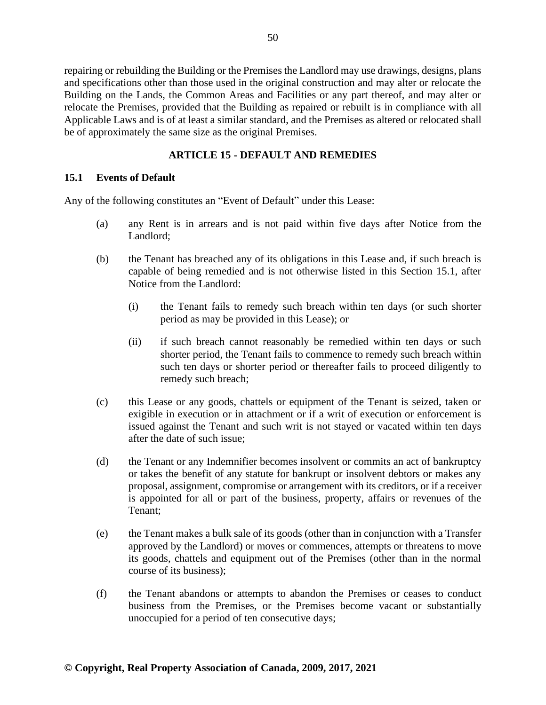repairing or rebuilding the Building or the Premises the Landlord may use drawings, designs, plans and specifications other than those used in the original construction and may alter or relocate the Building on the Lands, the Common Areas and Facilities or any part thereof, and may alter or relocate the Premises, provided that the Building as repaired or rebuilt is in compliance with all Applicable Laws and is of at least a similar standard, and the Premises as altered or relocated shall be of approximately the same size as the original Premises.

# **ARTICLE 15 - DEFAULT AND REMEDIES**

## **15.1 Events of Default**

Any of the following constitutes an "Event of Default" under this Lease:

- (a) any Rent is in arrears and is not paid within five days after Notice from the Landlord;
- (b) the Tenant has breached any of its obligations in this Lease and, if such breach is capable of being remedied and is not otherwise listed in this Section 15.1, after Notice from the Landlord:
	- (i) the Tenant fails to remedy such breach within ten days (or such shorter period as may be provided in this Lease); or
	- (ii) if such breach cannot reasonably be remedied within ten days or such shorter period, the Tenant fails to commence to remedy such breach within such ten days or shorter period or thereafter fails to proceed diligently to remedy such breach;
- (c) this Lease or any goods, chattels or equipment of the Tenant is seized, taken or exigible in execution or in attachment or if a writ of execution or enforcement is issued against the Tenant and such writ is not stayed or vacated within ten days after the date of such issue;
- (d) the Tenant or any Indemnifier becomes insolvent or commits an act of bankruptcy or takes the benefit of any statute for bankrupt or insolvent debtors or makes any proposal, assignment, compromise or arrangement with its creditors, or if a receiver is appointed for all or part of the business, property, affairs or revenues of the Tenant;
- (e) the Tenant makes a bulk sale of its goods (other than in conjunction with a Transfer approved by the Landlord) or moves or commences, attempts or threatens to move its goods, chattels and equipment out of the Premises (other than in the normal course of its business);
- (f) the Tenant abandons or attempts to abandon the Premises or ceases to conduct business from the Premises, or the Premises become vacant or substantially unoccupied for a period of ten consecutive days;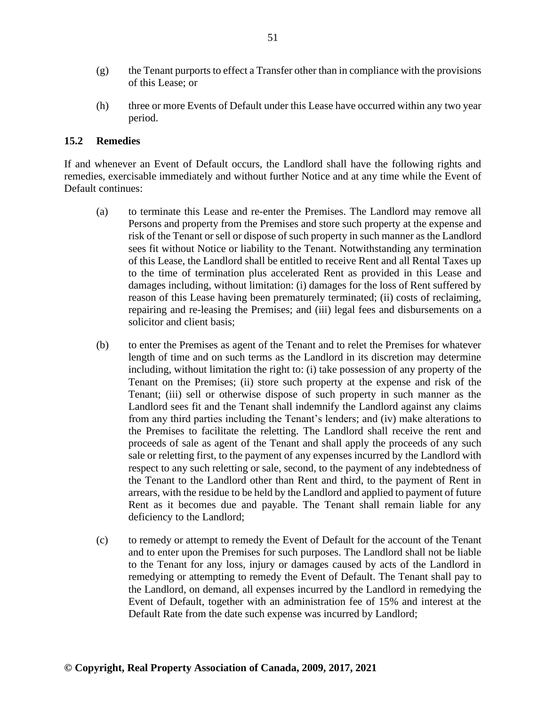- (g) the Tenant purports to effect a Transfer other than in compliance with the provisions of this Lease; or
- (h) three or more Events of Default under this Lease have occurred within any two year period.

#### **15.2 Remedies**

If and whenever an Event of Default occurs, the Landlord shall have the following rights and remedies, exercisable immediately and without further Notice and at any time while the Event of Default continues:

- (a) to terminate this Lease and re-enter the Premises. The Landlord may remove all Persons and property from the Premises and store such property at the expense and risk of the Tenant or sell or dispose of such property in such manner as the Landlord sees fit without Notice or liability to the Tenant. Notwithstanding any termination of this Lease, the Landlord shall be entitled to receive Rent and all Rental Taxes up to the time of termination plus accelerated Rent as provided in this Lease and damages including, without limitation: (i) damages for the loss of Rent suffered by reason of this Lease having been prematurely terminated; (ii) costs of reclaiming, repairing and re-leasing the Premises; and (iii) legal fees and disbursements on a solicitor and client basis;
- (b) to enter the Premises as agent of the Tenant and to relet the Premises for whatever length of time and on such terms as the Landlord in its discretion may determine including, without limitation the right to: (i) take possession of any property of the Tenant on the Premises; (ii) store such property at the expense and risk of the Tenant; (iii) sell or otherwise dispose of such property in such manner as the Landlord sees fit and the Tenant shall indemnify the Landlord against any claims from any third parties including the Tenant's lenders; and (iv) make alterations to the Premises to facilitate the reletting. The Landlord shall receive the rent and proceeds of sale as agent of the Tenant and shall apply the proceeds of any such sale or reletting first, to the payment of any expenses incurred by the Landlord with respect to any such reletting or sale, second, to the payment of any indebtedness of the Tenant to the Landlord other than Rent and third, to the payment of Rent in arrears, with the residue to be held by the Landlord and applied to payment of future Rent as it becomes due and payable. The Tenant shall remain liable for any deficiency to the Landlord;
- (c) to remedy or attempt to remedy the Event of Default for the account of the Tenant and to enter upon the Premises for such purposes. The Landlord shall not be liable to the Tenant for any loss, injury or damages caused by acts of the Landlord in remedying or attempting to remedy the Event of Default. The Tenant shall pay to the Landlord, on demand, all expenses incurred by the Landlord in remedying the Event of Default, together with an administration fee of 15% and interest at the Default Rate from the date such expense was incurred by Landlord;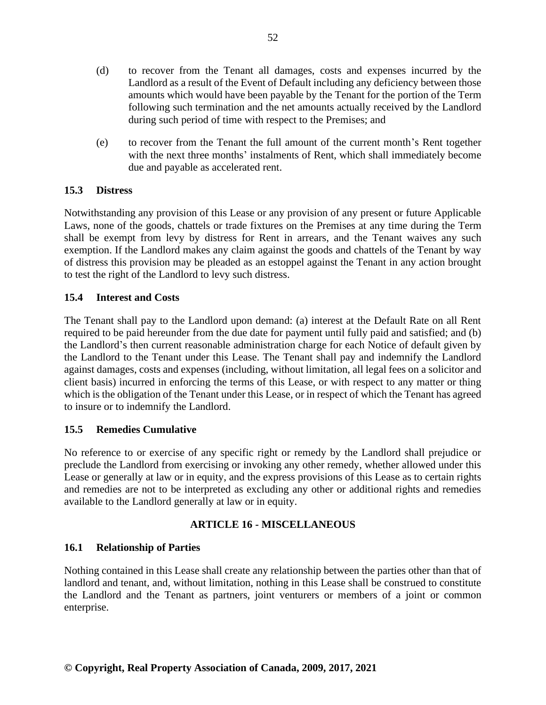- (d) to recover from the Tenant all damages, costs and expenses incurred by the Landlord as a result of the Event of Default including any deficiency between those amounts which would have been payable by the Tenant for the portion of the Term following such termination and the net amounts actually received by the Landlord during such period of time with respect to the Premises; and
- (e) to recover from the Tenant the full amount of the current month's Rent together with the next three months' instalments of Rent, which shall immediately become due and payable as accelerated rent.

# **15.3 Distress**

Notwithstanding any provision of this Lease or any provision of any present or future Applicable Laws, none of the goods, chattels or trade fixtures on the Premises at any time during the Term shall be exempt from levy by distress for Rent in arrears, and the Tenant waives any such exemption. If the Landlord makes any claim against the goods and chattels of the Tenant by way of distress this provision may be pleaded as an estoppel against the Tenant in any action brought to test the right of the Landlord to levy such distress.

# **15.4 Interest and Costs**

The Tenant shall pay to the Landlord upon demand: (a) interest at the Default Rate on all Rent required to be paid hereunder from the due date for payment until fully paid and satisfied; and (b) the Landlord's then current reasonable administration charge for each Notice of default given by the Landlord to the Tenant under this Lease. The Tenant shall pay and indemnify the Landlord against damages, costs and expenses (including, without limitation, all legal fees on a solicitor and client basis) incurred in enforcing the terms of this Lease, or with respect to any matter or thing which is the obligation of the Tenant under this Lease, or in respect of which the Tenant has agreed to insure or to indemnify the Landlord.

# **15.5 Remedies Cumulative**

No reference to or exercise of any specific right or remedy by the Landlord shall prejudice or preclude the Landlord from exercising or invoking any other remedy, whether allowed under this Lease or generally at law or in equity, and the express provisions of this Lease as to certain rights and remedies are not to be interpreted as excluding any other or additional rights and remedies available to the Landlord generally at law or in equity.

# **ARTICLE 16 - MISCELLANEOUS**

# **16.1 Relationship of Parties**

Nothing contained in this Lease shall create any relationship between the parties other than that of landlord and tenant, and, without limitation, nothing in this Lease shall be construed to constitute the Landlord and the Tenant as partners, joint venturers or members of a joint or common enterprise.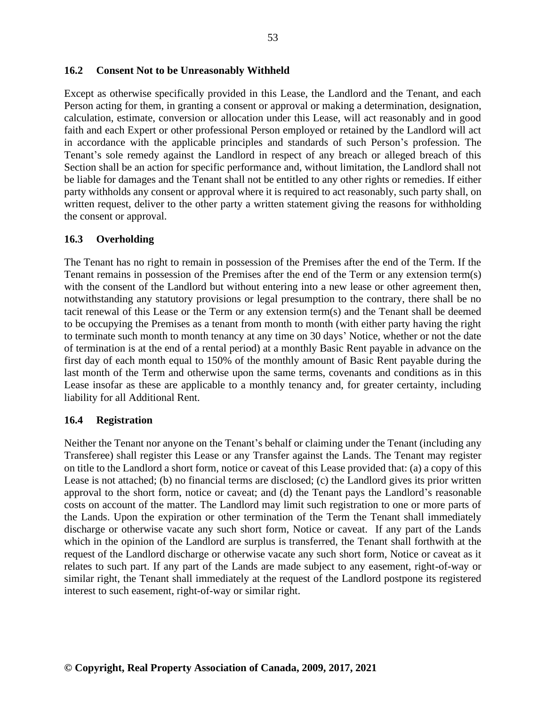#### **16.2 Consent Not to be Unreasonably Withheld**

Except as otherwise specifically provided in this Lease, the Landlord and the Tenant, and each Person acting for them, in granting a consent or approval or making a determination, designation, calculation, estimate, conversion or allocation under this Lease, will act reasonably and in good faith and each Expert or other professional Person employed or retained by the Landlord will act in accordance with the applicable principles and standards of such Person's profession. The Tenant's sole remedy against the Landlord in respect of any breach or alleged breach of this Section shall be an action for specific performance and, without limitation, the Landlord shall not be liable for damages and the Tenant shall not be entitled to any other rights or remedies. If either party withholds any consent or approval where it is required to act reasonably, such party shall, on written request, deliver to the other party a written statement giving the reasons for withholding the consent or approval.

#### **16.3 Overholding**

The Tenant has no right to remain in possession of the Premises after the end of the Term. If the Tenant remains in possession of the Premises after the end of the Term or any extension term(s) with the consent of the Landlord but without entering into a new lease or other agreement then, notwithstanding any statutory provisions or legal presumption to the contrary, there shall be no tacit renewal of this Lease or the Term or any extension term(s) and the Tenant shall be deemed to be occupying the Premises as a tenant from month to month (with either party having the right to terminate such month to month tenancy at any time on 30 days' Notice, whether or not the date of termination is at the end of a rental period) at a monthly Basic Rent payable in advance on the first day of each month equal to 150% of the monthly amount of Basic Rent payable during the last month of the Term and otherwise upon the same terms, covenants and conditions as in this Lease insofar as these are applicable to a monthly tenancy and, for greater certainty, including liability for all Additional Rent.

#### **16.4 Registration**

Neither the Tenant nor anyone on the Tenant's behalf or claiming under the Tenant (including any Transferee) shall register this Lease or any Transfer against the Lands. The Tenant may register on title to the Landlord a short form, notice or caveat of this Lease provided that: (a) a copy of this Lease is not attached; (b) no financial terms are disclosed; (c) the Landlord gives its prior written approval to the short form, notice or caveat; and (d) the Tenant pays the Landlord's reasonable costs on account of the matter. The Landlord may limit such registration to one or more parts of the Lands. Upon the expiration or other termination of the Term the Tenant shall immediately discharge or otherwise vacate any such short form, Notice or caveat. If any part of the Lands which in the opinion of the Landlord are surplus is transferred, the Tenant shall forthwith at the request of the Landlord discharge or otherwise vacate any such short form, Notice or caveat as it relates to such part. If any part of the Lands are made subject to any easement, right-of-way or similar right, the Tenant shall immediately at the request of the Landlord postpone its registered interest to such easement, right-of-way or similar right.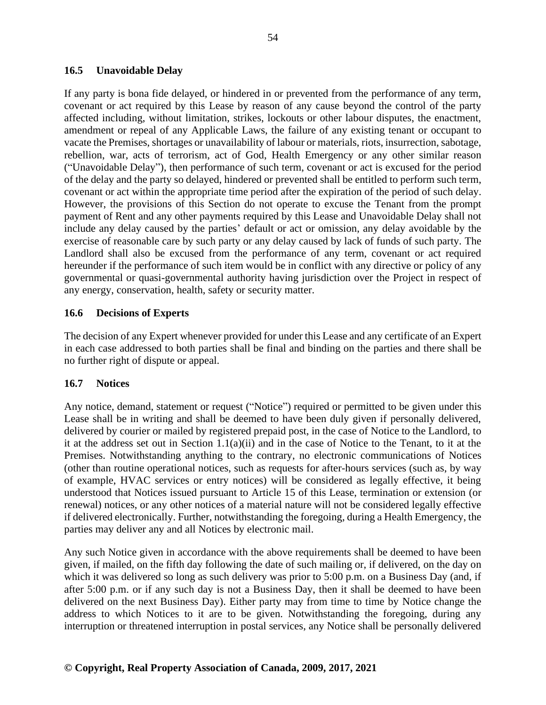## **16.5 Unavoidable Delay**

If any party is bona fide delayed, or hindered in or prevented from the performance of any term, covenant or act required by this Lease by reason of any cause beyond the control of the party affected including, without limitation, strikes, lockouts or other labour disputes, the enactment, amendment or repeal of any Applicable Laws, the failure of any existing tenant or occupant to vacate the Premises, shortages or unavailability of labour or materials, riots, insurrection, sabotage, rebellion, war, acts of terrorism, act of God, Health Emergency or any other similar reason ("Unavoidable Delay"), then performance of such term, covenant or act is excused for the period of the delay and the party so delayed, hindered or prevented shall be entitled to perform such term, covenant or act within the appropriate time period after the expiration of the period of such delay. However, the provisions of this Section do not operate to excuse the Tenant from the prompt payment of Rent and any other payments required by this Lease and Unavoidable Delay shall not include any delay caused by the parties' default or act or omission, any delay avoidable by the exercise of reasonable care by such party or any delay caused by lack of funds of such party. The Landlord shall also be excused from the performance of any term, covenant or act required hereunder if the performance of such item would be in conflict with any directive or policy of any governmental or quasi-governmental authority having jurisdiction over the Project in respect of any energy, conservation, health, safety or security matter.

#### **16.6 Decisions of Experts**

The decision of any Expert whenever provided for under this Lease and any certificate of an Expert in each case addressed to both parties shall be final and binding on the parties and there shall be no further right of dispute or appeal.

#### **16.7 Notices**

Any notice, demand, statement or request ("Notice") required or permitted to be given under this Lease shall be in writing and shall be deemed to have been duly given if personally delivered, delivered by courier or mailed by registered prepaid post, in the case of Notice to the Landlord, to it at the address set out in Section 1.1(a)(ii) and in the case of Notice to the Tenant, to it at the Premises. Notwithstanding anything to the contrary, no electronic communications of Notices (other than routine operational notices, such as requests for after-hours services (such as, by way of example, HVAC services or entry notices) will be considered as legally effective, it being understood that Notices issued pursuant to Article 15 of this Lease, termination or extension (or renewal) notices, or any other notices of a material nature will not be considered legally effective if delivered electronically. Further, notwithstanding the foregoing, during a Health Emergency, the parties may deliver any and all Notices by electronic mail.

Any such Notice given in accordance with the above requirements shall be deemed to have been given, if mailed, on the fifth day following the date of such mailing or, if delivered, on the day on which it was delivered so long as such delivery was prior to 5:00 p.m. on a Business Day (and, if after 5:00 p.m. or if any such day is not a Business Day, then it shall be deemed to have been delivered on the next Business Day). Either party may from time to time by Notice change the address to which Notices to it are to be given. Notwithstanding the foregoing, during any interruption or threatened interruption in postal services, any Notice shall be personally delivered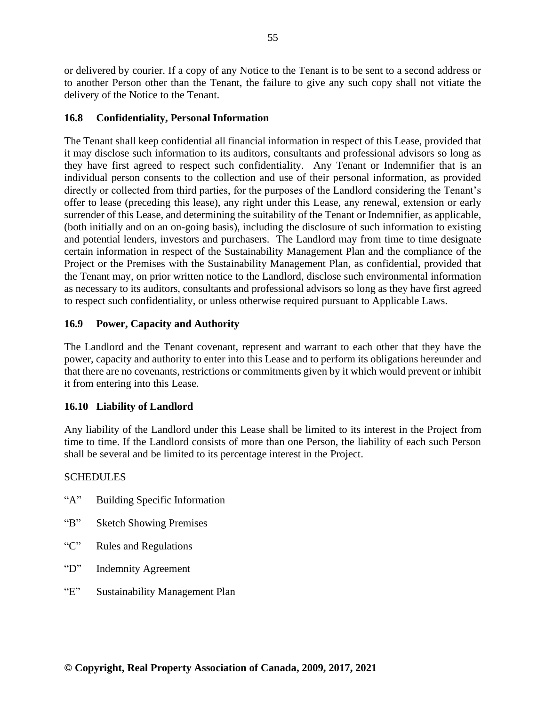or delivered by courier. If a copy of any Notice to the Tenant is to be sent to a second address or to another Person other than the Tenant, the failure to give any such copy shall not vitiate the delivery of the Notice to the Tenant.

## **16.8 Confidentiality, Personal Information**

The Tenant shall keep confidential all financial information in respect of this Lease, provided that it may disclose such information to its auditors, consultants and professional advisors so long as they have first agreed to respect such confidentiality. Any Tenant or Indemnifier that is an individual person consents to the collection and use of their personal information, as provided directly or collected from third parties, for the purposes of the Landlord considering the Tenant's offer to lease (preceding this lease), any right under this Lease, any renewal, extension or early surrender of this Lease, and determining the suitability of the Tenant or Indemnifier, as applicable, (both initially and on an on-going basis), including the disclosure of such information to existing and potential lenders, investors and purchasers. The Landlord may from time to time designate certain information in respect of the Sustainability Management Plan and the compliance of the Project or the Premises with the Sustainability Management Plan, as confidential, provided that the Tenant may, on prior written notice to the Landlord, disclose such environmental information as necessary to its auditors, consultants and professional advisors so long as they have first agreed to respect such confidentiality, or unless otherwise required pursuant to Applicable Laws.

# **16.9 Power, Capacity and Authority**

The Landlord and the Tenant covenant, represent and warrant to each other that they have the power, capacity and authority to enter into this Lease and to perform its obligations hereunder and that there are no covenants, restrictions or commitments given by it which would prevent or inhibit it from entering into this Lease.

# **16.10 Liability of Landlord**

Any liability of the Landlord under this Lease shall be limited to its interest in the Project from time to time. If the Landlord consists of more than one Person, the liability of each such Person shall be several and be limited to its percentage interest in the Project.

## **SCHEDULES**

- "A" Building Specific Information
- "B" Sketch Showing Premises
- "C" Rules and Regulations
- "D" Indemnity Agreement
- "E" Sustainability Management Plan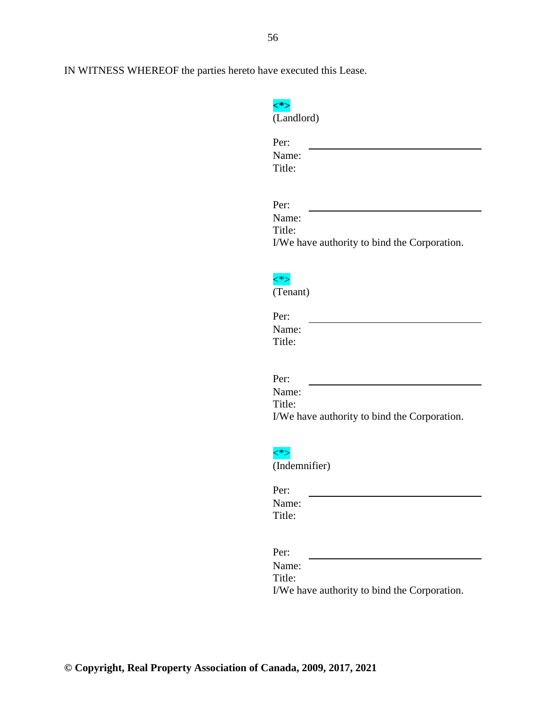| (Landlord) |
|------------|

| Per:   |  |  |  |
|--------|--|--|--|
| Name:  |  |  |  |
| Title: |  |  |  |
|        |  |  |  |

| Name:  |                                              |  |
|--------|----------------------------------------------|--|
| Title: |                                              |  |
|        | I/We have authority to bind the Corporation. |  |



(Tenant)

| Per:   |
|--------|
| Name:  |
| Title: |

| Per:   |                                              |  |
|--------|----------------------------------------------|--|
| Name:  |                                              |  |
| Title: |                                              |  |
|        | I/We have authority to bind the Corporation. |  |



(Indemnifier)

| Per:   |  |  |
|--------|--|--|
| Name:  |  |  |
| Title: |  |  |

Per:

Name: Title: I/We have authority to bind the Corporation.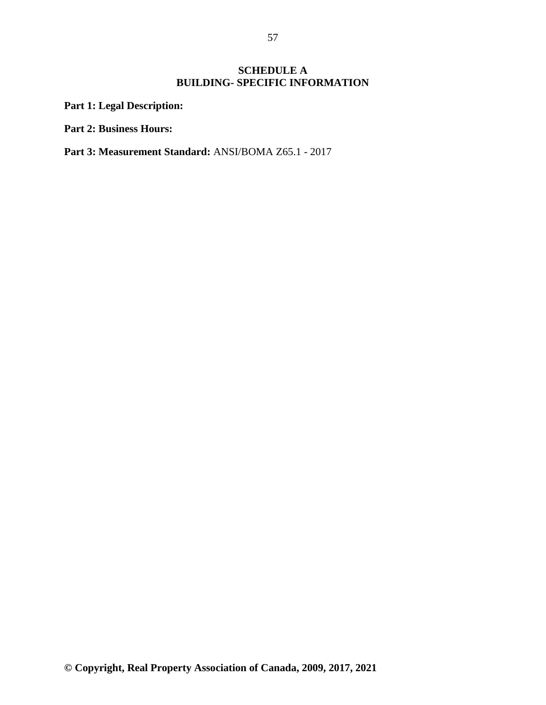# **SCHEDULE A BUILDING- SPECIFIC INFORMATION**

**Part 1: Legal Description:**

**Part 2: Business Hours:**

**Part 3: Measurement Standard:** ANSI/BOMA Z65.1 - 2017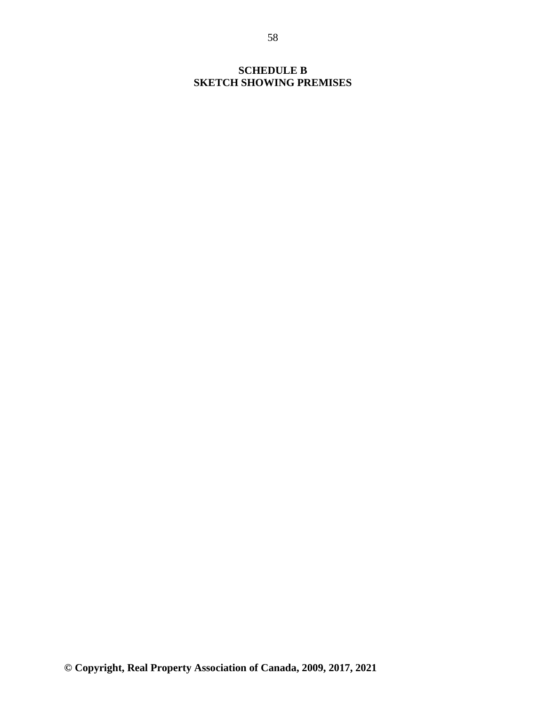# **SCHEDULE B SKETCH SHOWING PREMISES**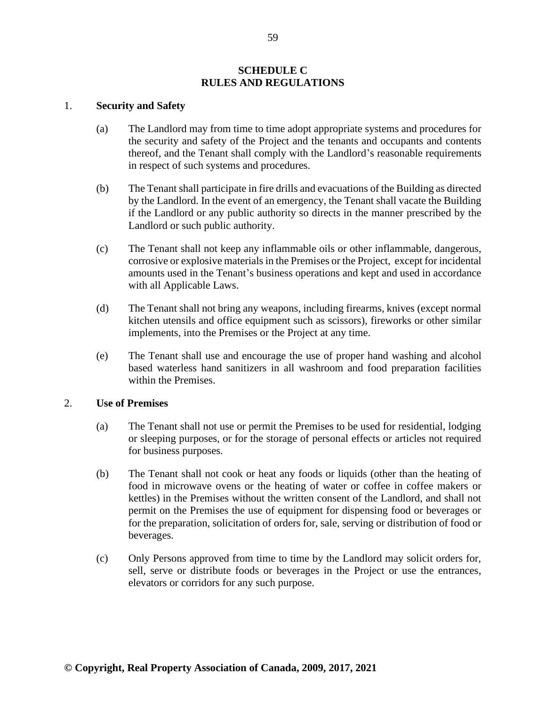#### **SCHEDULE C RULES AND REGULATIONS**

#### 1. **Security and Safety**

- (a) The Landlord may from time to time adopt appropriate systems and procedures for the security and safety of the Project and the tenants and occupants and contents thereof, and the Tenant shall comply with the Landlord's reasonable requirements in respect of such systems and procedures.
- (b) The Tenant shall participate in fire drills and evacuations of the Building as directed by the Landlord. In the event of an emergency, the Tenant shall vacate the Building if the Landlord or any public authority so directs in the manner prescribed by the Landlord or such public authority.
- (c) The Tenant shall not keep any inflammable oils or other inflammable, dangerous, corrosive or explosive materials in the Premises or the Project, except for incidental amounts used in the Tenant's business operations and kept and used in accordance with all Applicable Laws.
- (d) The Tenant shall not bring any weapons, including firearms, knives (except normal kitchen utensils and office equipment such as scissors), fireworks or other similar implements, into the Premises or the Project at any time.
- (e) The Tenant shall use and encourage the use of proper hand washing and alcohol based waterless hand sanitizers in all washroom and food preparation facilities within the Premises.

#### 2. **Use of Premises**

- (a) The Tenant shall not use or permit the Premises to be used for residential, lodging or sleeping purposes, or for the storage of personal effects or articles not required for business purposes.
- (b) The Tenant shall not cook or heat any foods or liquids (other than the heating of food in microwave ovens or the heating of water or coffee in coffee makers or kettles) in the Premises without the written consent of the Landlord, and shall not permit on the Premises the use of equipment for dispensing food or beverages or for the preparation, solicitation of orders for, sale, serving or distribution of food or beverages.
- (c) Only Persons approved from time to time by the Landlord may solicit orders for, sell, serve or distribute foods or beverages in the Project or use the entrances, elevators or corridors for any such purpose.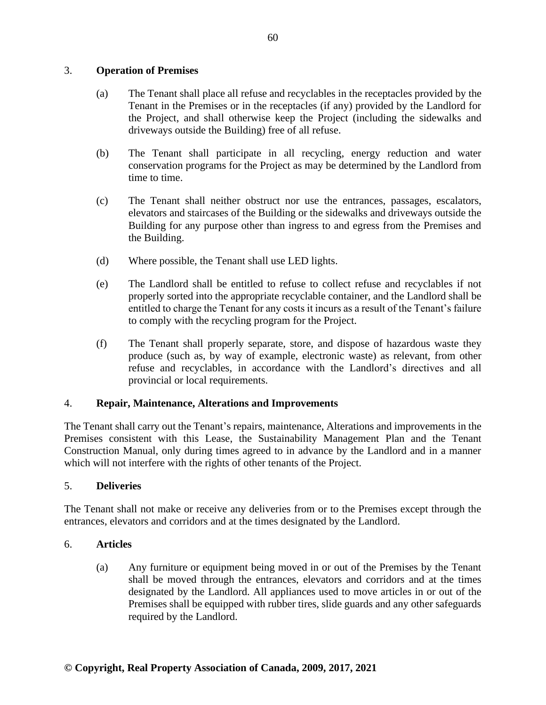# 3. **Operation of Premises**

- (a) The Tenant shall place all refuse and recyclables in the receptacles provided by the Tenant in the Premises or in the receptacles (if any) provided by the Landlord for the Project, and shall otherwise keep the Project (including the sidewalks and driveways outside the Building) free of all refuse.
- (b) The Tenant shall participate in all recycling, energy reduction and water conservation programs for the Project as may be determined by the Landlord from time to time.
- (c) The Tenant shall neither obstruct nor use the entrances, passages, escalators, elevators and staircases of the Building or the sidewalks and driveways outside the Building for any purpose other than ingress to and egress from the Premises and the Building.
- (d) Where possible, the Tenant shall use LED lights.
- (e) The Landlord shall be entitled to refuse to collect refuse and recyclables if not properly sorted into the appropriate recyclable container, and the Landlord shall be entitled to charge the Tenant for any costs it incurs as a result of the Tenant's failure to comply with the recycling program for the Project.
- (f) The Tenant shall properly separate, store, and dispose of hazardous waste they produce (such as, by way of example, electronic waste) as relevant, from other refuse and recyclables, in accordance with the Landlord's directives and all provincial or local requirements.

## 4. **Repair, Maintenance, Alterations and Improvements**

The Tenant shall carry out the Tenant's repairs, maintenance, Alterations and improvements in the Premises consistent with this Lease, the Sustainability Management Plan and the Tenant Construction Manual, only during times agreed to in advance by the Landlord and in a manner which will not interfere with the rights of other tenants of the Project.

## 5. **Deliveries**

The Tenant shall not make or receive any deliveries from or to the Premises except through the entrances, elevators and corridors and at the times designated by the Landlord.

## 6. **Articles**

(a) Any furniture or equipment being moved in or out of the Premises by the Tenant shall be moved through the entrances, elevators and corridors and at the times designated by the Landlord. All appliances used to move articles in or out of the Premises shall be equipped with rubber tires, slide guards and any other safeguards required by the Landlord.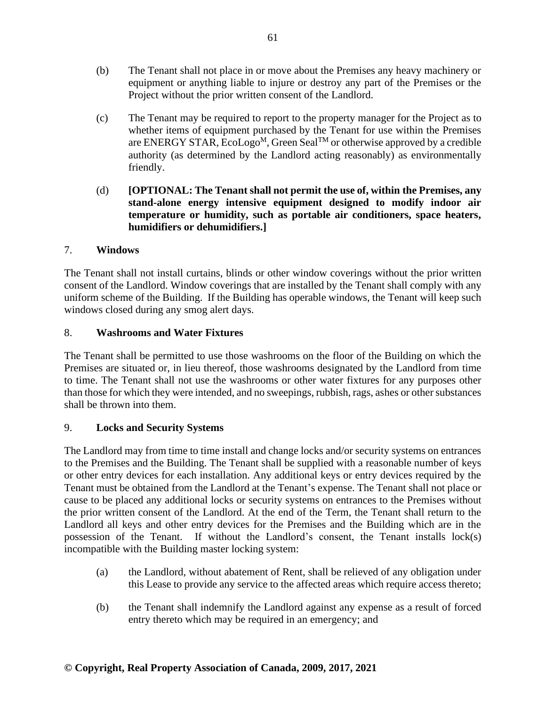- (b) The Tenant shall not place in or move about the Premises any heavy machinery or equipment or anything liable to injure or destroy any part of the Premises or the Project without the prior written consent of the Landlord.
- (c) The Tenant may be required to report to the property manager for the Project as to whether items of equipment purchased by the Tenant for use within the Premises are ENERGY STAR, EcoLogo<sup>M</sup>, Green Seal<sup>TM</sup> or otherwise approved by a credible authority (as determined by the Landlord acting reasonably) as environmentally friendly.
- (d) **[OPTIONAL: The Tenant shall not permit the use of, within the Premises, any stand-alone energy intensive equipment designed to modify indoor air temperature or humidity, such as portable air conditioners, space heaters, humidifiers or dehumidifiers.]**

# 7. **Windows**

The Tenant shall not install curtains, blinds or other window coverings without the prior written consent of the Landlord. Window coverings that are installed by the Tenant shall comply with any uniform scheme of the Building. If the Building has operable windows, the Tenant will keep such windows closed during any smog alert days.

# 8. **Washrooms and Water Fixtures**

The Tenant shall be permitted to use those washrooms on the floor of the Building on which the Premises are situated or, in lieu thereof, those washrooms designated by the Landlord from time to time. The Tenant shall not use the washrooms or other water fixtures for any purposes other than those for which they were intended, and no sweepings, rubbish, rags, ashes or other substances shall be thrown into them.

## 9. **Locks and Security Systems**

The Landlord may from time to time install and change locks and/or security systems on entrances to the Premises and the Building. The Tenant shall be supplied with a reasonable number of keys or other entry devices for each installation. Any additional keys or entry devices required by the Tenant must be obtained from the Landlord at the Tenant's expense. The Tenant shall not place or cause to be placed any additional locks or security systems on entrances to the Premises without the prior written consent of the Landlord. At the end of the Term, the Tenant shall return to the Landlord all keys and other entry devices for the Premises and the Building which are in the possession of the Tenant. If without the Landlord's consent, the Tenant installs lock(s) incompatible with the Building master locking system:

- (a) the Landlord, without abatement of Rent, shall be relieved of any obligation under this Lease to provide any service to the affected areas which require access thereto;
- (b) the Tenant shall indemnify the Landlord against any expense as a result of forced entry thereto which may be required in an emergency; and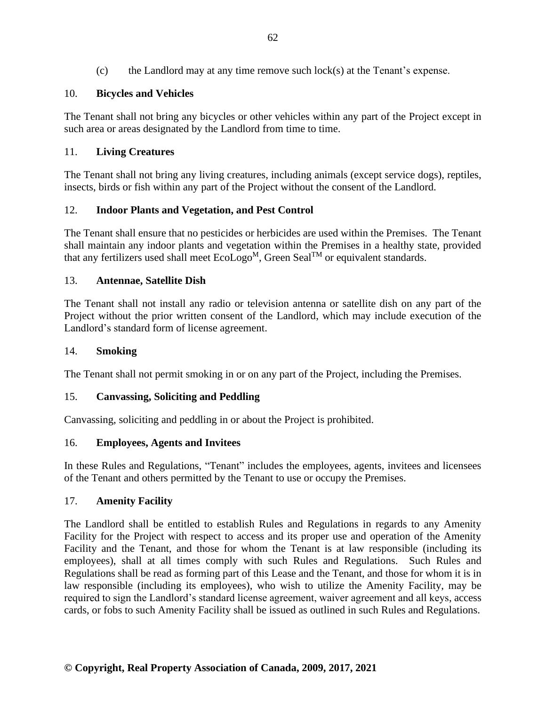# 10. **Bicycles and Vehicles**

The Tenant shall not bring any bicycles or other vehicles within any part of the Project except in such area or areas designated by the Landlord from time to time.

# 11. **Living Creatures**

The Tenant shall not bring any living creatures, including animals (except service dogs), reptiles, insects, birds or fish within any part of the Project without the consent of the Landlord.

# 12. **Indoor Plants and Vegetation, and Pest Control**

The Tenant shall ensure that no pesticides or herbicides are used within the Premises. The Tenant shall maintain any indoor plants and vegetation within the Premises in a healthy state, provided that any fertilizers used shall meet  $Ecolog<sup>M</sup>$ , Green Seal<sup>TM</sup> or equivalent standards.

# 13. **Antennae, Satellite Dish**

The Tenant shall not install any radio or television antenna or satellite dish on any part of the Project without the prior written consent of the Landlord, which may include execution of the Landlord's standard form of license agreement.

## 14. **Smoking**

The Tenant shall not permit smoking in or on any part of the Project, including the Premises.

## 15. **Canvassing, Soliciting and Peddling**

Canvassing, soliciting and peddling in or about the Project is prohibited.

## 16. **Employees, Agents and Invitees**

In these Rules and Regulations, "Tenant" includes the employees, agents, invitees and licensees of the Tenant and others permitted by the Tenant to use or occupy the Premises.

## 17. **Amenity Facility**

The Landlord shall be entitled to establish Rules and Regulations in regards to any Amenity Facility for the Project with respect to access and its proper use and operation of the Amenity Facility and the Tenant, and those for whom the Tenant is at law responsible (including its employees), shall at all times comply with such Rules and Regulations. Such Rules and Regulations shall be read as forming part of this Lease and the Tenant, and those for whom it is in law responsible (including its employees), who wish to utilize the Amenity Facility, may be required to sign the Landlord's standard license agreement, waiver agreement and all keys, access cards, or fobs to such Amenity Facility shall be issued as outlined in such Rules and Regulations.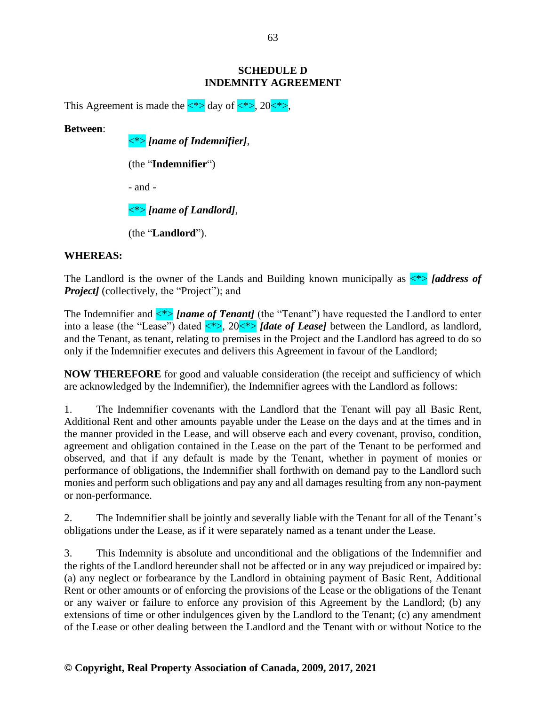### **SCHEDULE D INDEMNITY AGREEMENT**

This Agreement is made the  $\langle\ast\rangle$  day of  $\langle\ast\rangle$ , 20 $\langle\ast\rangle$ ,

**Between**:

<\*> *[name of Indemnifier]*,

(the "**Indemnifier**")

- and -

<\*> *[name of Landlord]*,

(the "**Landlord**").

# **WHEREAS:**

The Landlord is the owner of the Lands and Building known municipally as  $\langle\hat{\cdot}\rangle$  [address of *Project]* (collectively, the "Project"); and

The Indemnifier and  $\langle\!\!\!\!\!\!\rangle$  *{name of Tenant}* (the "Tenant") have requested the Landlord to enter into a lease (the "Lease") dated  $\langle * \rangle$ , 20 $\langle * \rangle$  *[date of Lease]* between the Landlord, as landlord, and the Tenant, as tenant, relating to premises in the Project and the Landlord has agreed to do so only if the Indemnifier executes and delivers this Agreement in favour of the Landlord;

**NOW THEREFORE** for good and valuable consideration (the receipt and sufficiency of which are acknowledged by the Indemnifier), the Indemnifier agrees with the Landlord as follows:

1. The Indemnifier covenants with the Landlord that the Tenant will pay all Basic Rent, Additional Rent and other amounts payable under the Lease on the days and at the times and in the manner provided in the Lease, and will observe each and every covenant, proviso, condition, agreement and obligation contained in the Lease on the part of the Tenant to be performed and observed, and that if any default is made by the Tenant, whether in payment of monies or performance of obligations, the Indemnifier shall forthwith on demand pay to the Landlord such monies and perform such obligations and pay any and all damages resulting from any non-payment or non-performance.

2. The Indemnifier shall be jointly and severally liable with the Tenant for all of the Tenant's obligations under the Lease, as if it were separately named as a tenant under the Lease.

3. This Indemnity is absolute and unconditional and the obligations of the Indemnifier and the rights of the Landlord hereunder shall not be affected or in any way prejudiced or impaired by: (a) any neglect or forbearance by the Landlord in obtaining payment of Basic Rent, Additional Rent or other amounts or of enforcing the provisions of the Lease or the obligations of the Tenant or any waiver or failure to enforce any provision of this Agreement by the Landlord; (b) any extensions of time or other indulgences given by the Landlord to the Tenant; (c) any amendment of the Lease or other dealing between the Landlord and the Tenant with or without Notice to the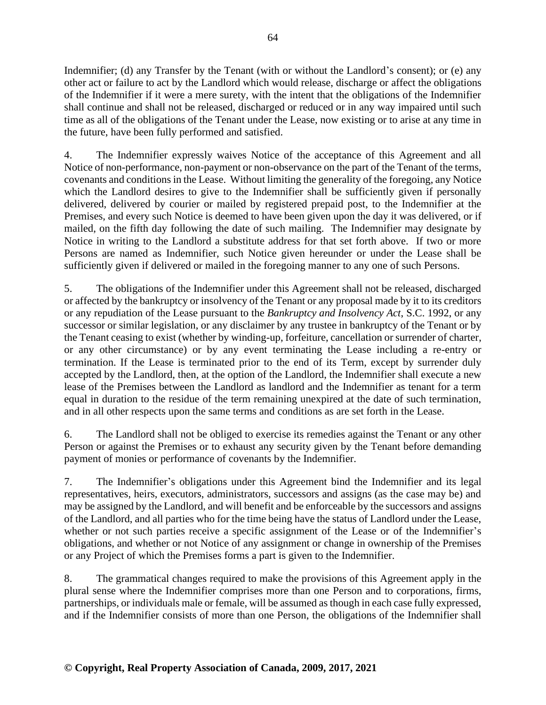Indemnifier; (d) any Transfer by the Tenant (with or without the Landlord's consent); or (e) any other act or failure to act by the Landlord which would release, discharge or affect the obligations of the Indemnifier if it were a mere surety, with the intent that the obligations of the Indemnifier shall continue and shall not be released, discharged or reduced or in any way impaired until such time as all of the obligations of the Tenant under the Lease, now existing or to arise at any time in the future, have been fully performed and satisfied.

4. The Indemnifier expressly waives Notice of the acceptance of this Agreement and all Notice of non-performance, non-payment or non-observance on the part of the Tenant of the terms, covenants and conditions in the Lease. Without limiting the generality of the foregoing, any Notice which the Landlord desires to give to the Indemnifier shall be sufficiently given if personally delivered, delivered by courier or mailed by registered prepaid post, to the Indemnifier at the Premises, and every such Notice is deemed to have been given upon the day it was delivered, or if mailed, on the fifth day following the date of such mailing. The Indemnifier may designate by Notice in writing to the Landlord a substitute address for that set forth above. If two or more Persons are named as Indemnifier, such Notice given hereunder or under the Lease shall be sufficiently given if delivered or mailed in the foregoing manner to any one of such Persons.

5. The obligations of the Indemnifier under this Agreement shall not be released, discharged or affected by the bankruptcy or insolvency of the Tenant or any proposal made by it to its creditors or any repudiation of the Lease pursuant to the *Bankruptcy and Insolvency Act*, S.C. 1992, or any successor or similar legislation, or any disclaimer by any trustee in bankruptcy of the Tenant or by the Tenant ceasing to exist (whether by winding-up, forfeiture, cancellation or surrender of charter, or any other circumstance) or by any event terminating the Lease including a re-entry or termination. If the Lease is terminated prior to the end of its Term, except by surrender duly accepted by the Landlord, then, at the option of the Landlord, the Indemnifier shall execute a new lease of the Premises between the Landlord as landlord and the Indemnifier as tenant for a term equal in duration to the residue of the term remaining unexpired at the date of such termination, and in all other respects upon the same terms and conditions as are set forth in the Lease.

6. The Landlord shall not be obliged to exercise its remedies against the Tenant or any other Person or against the Premises or to exhaust any security given by the Tenant before demanding payment of monies or performance of covenants by the Indemnifier.

7. The Indemnifier's obligations under this Agreement bind the Indemnifier and its legal representatives, heirs, executors, administrators, successors and assigns (as the case may be) and may be assigned by the Landlord, and will benefit and be enforceable by the successors and assigns of the Landlord, and all parties who for the time being have the status of Landlord under the Lease, whether or not such parties receive a specific assignment of the Lease or of the Indemnifier's obligations, and whether or not Notice of any assignment or change in ownership of the Premises or any Project of which the Premises forms a part is given to the Indemnifier.

8. The grammatical changes required to make the provisions of this Agreement apply in the plural sense where the Indemnifier comprises more than one Person and to corporations, firms, partnerships, or individuals male or female, will be assumed as though in each case fully expressed, and if the Indemnifier consists of more than one Person, the obligations of the Indemnifier shall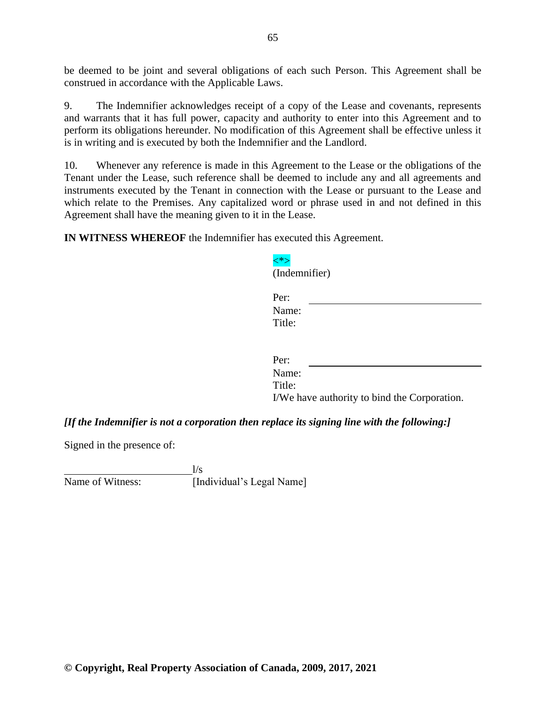be deemed to be joint and several obligations of each such Person. This Agreement shall be construed in accordance with the Applicable Laws.

9. The Indemnifier acknowledges receipt of a copy of the Lease and covenants, represents and warrants that it has full power, capacity and authority to enter into this Agreement and to perform its obligations hereunder. No modification of this Agreement shall be effective unless it is in writing and is executed by both the Indemnifier and the Landlord.

10. Whenever any reference is made in this Agreement to the Lease or the obligations of the Tenant under the Lease, such reference shall be deemed to include any and all agreements and instruments executed by the Tenant in connection with the Lease or pursuant to the Lease and which relate to the Premises. Any capitalized word or phrase used in and not defined in this Agreement shall have the meaning given to it in the Lease.

<\*>

(Indemnifier)

**IN WITNESS WHEREOF** the Indemnifier has executed this Agreement.

| $\mu$                                        |
|----------------------------------------------|
| Per:                                         |
| Name:                                        |
| Title:                                       |
|                                              |
|                                              |
| Per:                                         |
| Name:                                        |
| Title:                                       |
| I/We have authority to bind the Corporation. |

*[If the Indemnifier is not a corporation then replace its signing line with the following:]*

Signed in the presence of:

 $\frac{1}{s}$ Name of Witness: [Individual's Legal Name]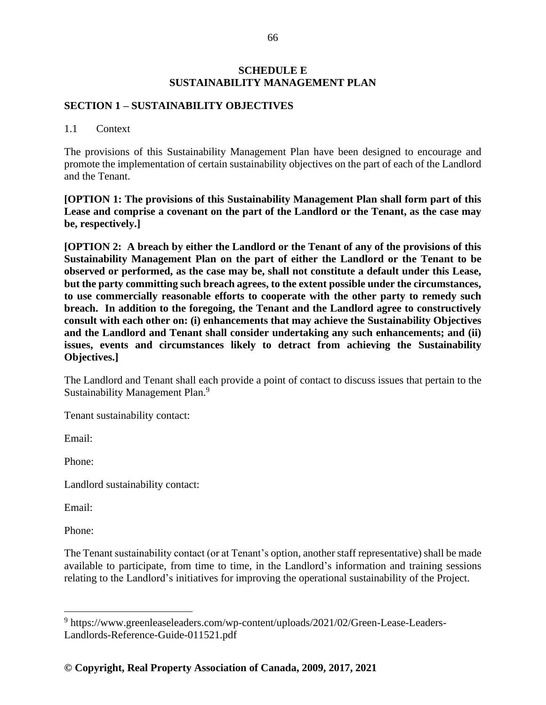### **SCHEDULE E SUSTAINABILITY MANAGEMENT PLAN**

### **SECTION 1 – SUSTAINABILITY OBJECTIVES**

#### 1.1 Context

The provisions of this Sustainability Management Plan have been designed to encourage and promote the implementation of certain sustainability objectives on the part of each of the Landlord and the Tenant.

**[OPTION 1: The provisions of this Sustainability Management Plan shall form part of this Lease and comprise a covenant on the part of the Landlord or the Tenant, as the case may be, respectively.]**

**[OPTION 2: A breach by either the Landlord or the Tenant of any of the provisions of this Sustainability Management Plan on the part of either the Landlord or the Tenant to be observed or performed, as the case may be, shall not constitute a default under this Lease, but the party committing such breach agrees, to the extent possible under the circumstances, to use commercially reasonable efforts to cooperate with the other party to remedy such breach. In addition to the foregoing, the Tenant and the Landlord agree to constructively consult with each other on: (i) enhancements that may achieve the Sustainability Objectives and the Landlord and Tenant shall consider undertaking any such enhancements; and (ii) issues, events and circumstances likely to detract from achieving the Sustainability Objectives.]**

The Landlord and Tenant shall each provide a point of contact to discuss issues that pertain to the Sustainability Management Plan.<sup>9</sup>

Tenant sustainability contact:

Email:

Phone:

Landlord sustainability contact:

Email:

Phone:

The Tenant sustainability contact (or at Tenant's option, another staff representative) shall be made available to participate, from time to time, in the Landlord's information and training sessions relating to the Landlord's initiatives for improving the operational sustainability of the Project.

<sup>&</sup>lt;sup>9</sup> https://www.greenleaseleaders.com/wp-content/uploads/2021/02/Green-Lease-Leaders-Landlords-Reference-Guide-011521.pdf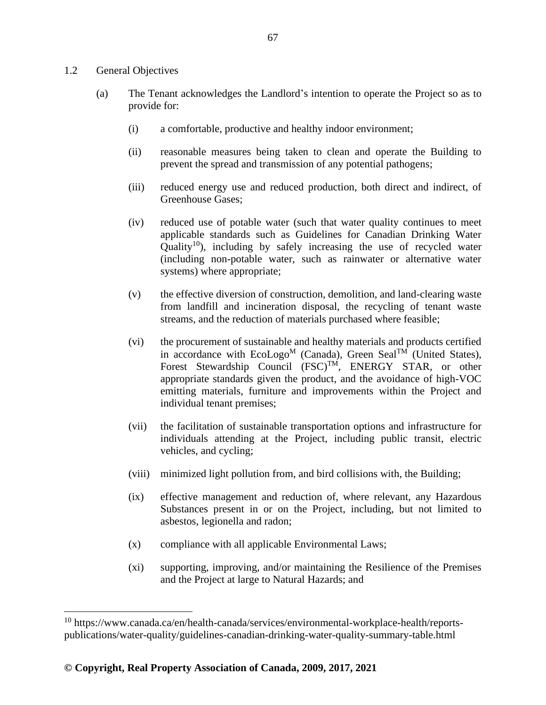#### 1.2 General Objectives

- (a) The Tenant acknowledges the Landlord's intention to operate the Project so as to provide for:
	- (i) a comfortable, productive and healthy indoor environment;
	- (ii) reasonable measures being taken to clean and operate the Building to prevent the spread and transmission of any potential pathogens;
	- (iii) reduced energy use and reduced production, both direct and indirect, of Greenhouse Gases;
	- (iv) reduced use of potable water (such that water quality continues to meet applicable standards such as Guidelines for Canadian Drinking Water Quality<sup>10</sup>), including by safely increasing the use of recycled water (including non-potable water, such as rainwater or alternative water systems) where appropriate;
	- (v) the effective diversion of construction, demolition, and land-clearing waste from landfill and incineration disposal, the recycling of tenant waste streams, and the reduction of materials purchased where feasible;
	- (vi) the procurement of sustainable and healthy materials and products certified in accordance with  $Ecologo<sup>M</sup>$  (Canada), Green Seal<sup>TM</sup> (United States), Forest Stewardship Council (FSC)<sup>TM</sup>, ENERGY STAR, or other appropriate standards given the product, and the avoidance of high-VOC emitting materials, furniture and improvements within the Project and individual tenant premises;
	- (vii) the facilitation of sustainable transportation options and infrastructure for individuals attending at the Project, including public transit, electric vehicles, and cycling;
	- (viii) minimized light pollution from, and bird collisions with, the Building;
	- (ix) effective management and reduction of, where relevant, any Hazardous Substances present in or on the Project, including, but not limited to asbestos, legionella and radon;
	- (x) compliance with all applicable Environmental Laws;
	- (xi) supporting, improving, and/or maintaining the Resilience of the Premises and the Project at large to Natural Hazards; and

<sup>&</sup>lt;sup>10</sup> https://www.canada.ca/en/health-canada/services/environmental-workplace-health/reportspublications/water-quality/guidelines-canadian-drinking-water-quality-summary-table.html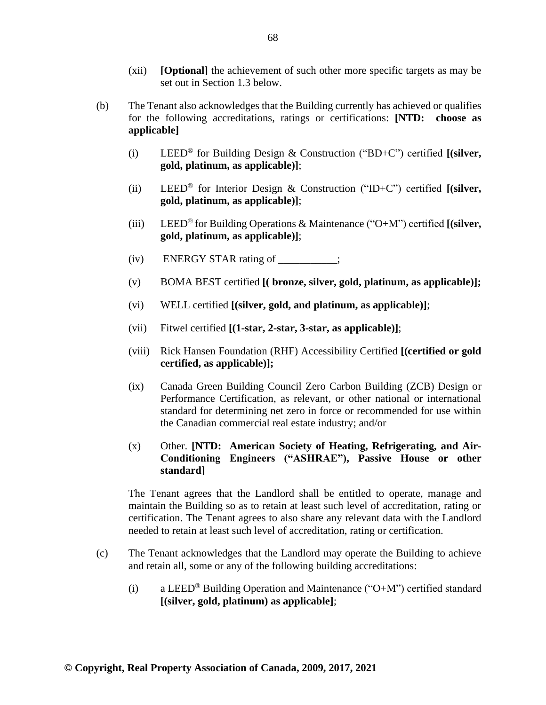- (xii) **[Optional]** the achievement of such other more specific targets as may be set out in Section 1.3 below.
- (b) The Tenant also acknowledges that the Building currently has achieved or qualifies for the following accreditations, ratings or certifications: **[NTD: choose as applicable]**
	- (i) LEED® for Building Design & Construction ("BD+C") certified **[(silver, gold, platinum, as applicable)]**;
	- (ii) LEED® for Interior Design & Construction ("ID+C") certified **[(silver, gold, platinum, as applicable)]**;
	- (iii) LEED® for Building Operations & Maintenance ("O+M") certified **[(silver, gold, platinum, as applicable)]**;
	- $(iv)$  ENERGY STAR rating of  $\qquad$  ;
	- (v) BOMA BEST certified **[( bronze, silver, gold, platinum, as applicable)];**
	- (vi) WELL certified **[(silver, gold, and platinum, as applicable)]**;
	- (vii) Fitwel certified **[(1-star, 2-star, 3-star, as applicable)]**;
	- (viii) Rick Hansen Foundation (RHF) Accessibility Certified **[(certified or gold certified, as applicable)];**
	- (ix) Canada Green Building Council Zero Carbon Building (ZCB) Design or Performance Certification, as relevant, or other national or international standard for determining net zero in force or recommended for use within the Canadian commercial real estate industry; and/or
	- (x) Other. **[NTD: American Society of Heating, Refrigerating, and Air-Conditioning Engineers ("ASHRAE"), Passive House or other standard]**

The Tenant agrees that the Landlord shall be entitled to operate, manage and maintain the Building so as to retain at least such level of accreditation, rating or certification. The Tenant agrees to also share any relevant data with the Landlord needed to retain at least such level of accreditation, rating or certification.

- (c) The Tenant acknowledges that the Landlord may operate the Building to achieve and retain all, some or any of the following building accreditations:
	- (i) a LEED® Building Operation and Maintenance ("O+M") certified standard **[(silver, gold, platinum) as applicable]**;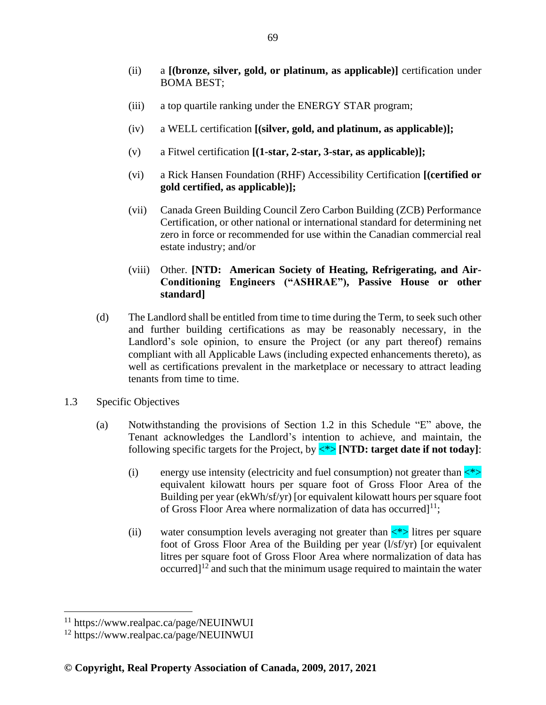- (ii) a **[(bronze, silver, gold, or platinum, as applicable)]** certification under BOMA BEST;
- (iii) a top quartile ranking under the ENERGY STAR program;
- (iv) a WELL certification **[(silver, gold, and platinum, as applicable)];**
- (v) a Fitwel certification **[(1-star, 2-star, 3-star, as applicable)];**
- (vi) a Rick Hansen Foundation (RHF) Accessibility Certification **[(certified or gold certified, as applicable)];**
- (vii) Canada Green Building Council Zero Carbon Building (ZCB) Performance Certification, or other national or international standard for determining net zero in force or recommended for use within the Canadian commercial real estate industry; and/or

## (viii) Other. **[NTD: American Society of Heating, Refrigerating, and Air-Conditioning Engineers ("ASHRAE"), Passive House or other standard]**

- (d) The Landlord shall be entitled from time to time during the Term, to seek such other and further building certifications as may be reasonably necessary, in the Landlord's sole opinion, to ensure the Project (or any part thereof) remains compliant with all Applicable Laws (including expected enhancements thereto), as well as certifications prevalent in the marketplace or necessary to attract leading tenants from time to time.
- 1.3 Specific Objectives
	- (a) Notwithstanding the provisions of Section 1.2 in this Schedule "E" above, the Tenant acknowledges the Landlord's intention to achieve, and maintain, the following specific targets for the Project, by <\*> **[NTD: target date if not today]**:
		- (i) energy use intensity (electricity and fuel consumption) not greater than  $\langle\star\rangle$ equivalent kilowatt hours per square foot of Gross Floor Area of the Building per year (ekWh/sf/yr) [or equivalent kilowatt hours per square foot of Gross Floor Area where normalization of data has occurred] $^{11}$ ;
		- (ii) water consumption levels averaging not greater than  $\langle * \rangle$  litres per square foot of Gross Floor Area of the Building per year (l/sf/yr) [or equivalent litres per square foot of Gross Floor Area where normalization of data has occurred] $12^{\circ}$  and such that the minimum usage required to maintain the water

<sup>11</sup> https://www.realpac.ca/page/NEUINWUI

<sup>12</sup> https://www.realpac.ca/page/NEUINWUI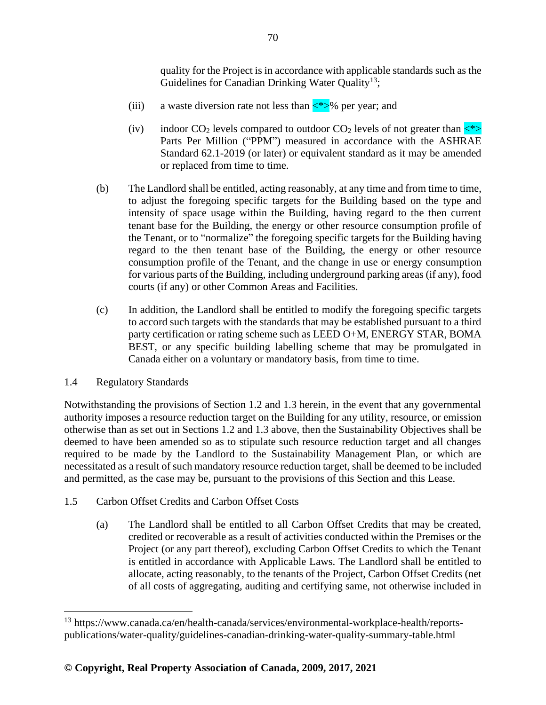quality for the Project is in accordance with applicable standards such as the Guidelines for Canadian Drinking Water Quality<sup>13</sup>;

- (iii) a waste diversion rate not less than  $\langle\frac{*}{\rangle}\%$  per year; and
- (iv) indoor  $CO_2$  levels compared to outdoor  $CO_2$  levels of not greater than  $\langle\gamma\rangle$ Parts Per Million ("PPM") measured in accordance with the ASHRAE Standard 62.1-2019 (or later) or equivalent standard as it may be amended or replaced from time to time.
- (b) The Landlord shall be entitled, acting reasonably, at any time and from time to time, to adjust the foregoing specific targets for the Building based on the type and intensity of space usage within the Building, having regard to the then current tenant base for the Building, the energy or other resource consumption profile of the Tenant, or to "normalize" the foregoing specific targets for the Building having regard to the then tenant base of the Building, the energy or other resource consumption profile of the Tenant, and the change in use or energy consumption for various parts of the Building, including underground parking areas (if any), food courts (if any) or other Common Areas and Facilities.
- (c) In addition, the Landlord shall be entitled to modify the foregoing specific targets to accord such targets with the standards that may be established pursuant to a third party certification or rating scheme such as LEED O+M, ENERGY STAR, BOMA BEST, or any specific building labelling scheme that may be promulgated in Canada either on a voluntary or mandatory basis, from time to time.

# 1.4 Regulatory Standards

Notwithstanding the provisions of Section 1.2 and 1.3 herein, in the event that any governmental authority imposes a resource reduction target on the Building for any utility, resource, or emission otherwise than as set out in Sections 1.2 and 1.3 above, then the Sustainability Objectives shall be deemed to have been amended so as to stipulate such resource reduction target and all changes required to be made by the Landlord to the Sustainability Management Plan, or which are necessitated as a result of such mandatory resource reduction target, shall be deemed to be included and permitted, as the case may be, pursuant to the provisions of this Section and this Lease.

- 1.5 Carbon Offset Credits and Carbon Offset Costs
	- (a) The Landlord shall be entitled to all Carbon Offset Credits that may be created, credited or recoverable as a result of activities conducted within the Premises or the Project (or any part thereof), excluding Carbon Offset Credits to which the Tenant is entitled in accordance with Applicable Laws. The Landlord shall be entitled to allocate, acting reasonably, to the tenants of the Project, Carbon Offset Credits (net of all costs of aggregating, auditing and certifying same, not otherwise included in

<sup>13</sup> https://www.canada.ca/en/health-canada/services/environmental-workplace-health/reportspublications/water-quality/guidelines-canadian-drinking-water-quality-summary-table.html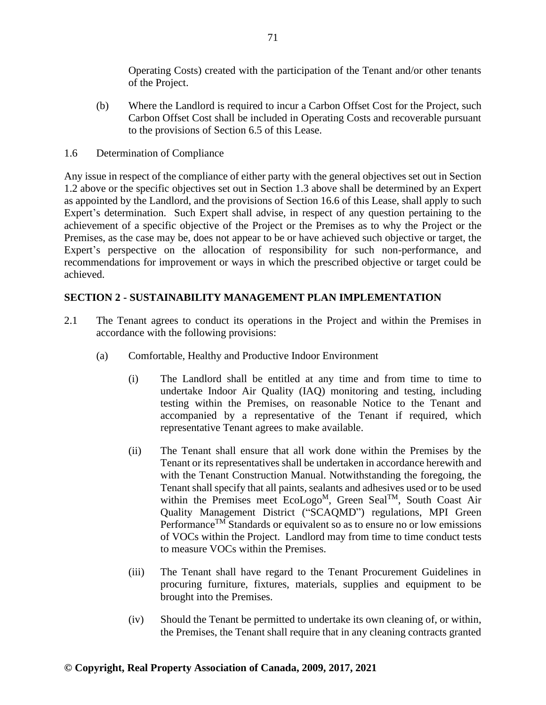Operating Costs) created with the participation of the Tenant and/or other tenants of the Project.

- (b) Where the Landlord is required to incur a Carbon Offset Cost for the Project, such Carbon Offset Cost shall be included in Operating Costs and recoverable pursuant to the provisions of Section 6.5 of this Lease.
- 1.6 Determination of Compliance

Any issue in respect of the compliance of either party with the general objectives set out in Section 1.2 above or the specific objectives set out in Section 1.3 above shall be determined by an Expert as appointed by the Landlord, and the provisions of Section 16.6 of this Lease, shall apply to such Expert's determination. Such Expert shall advise, in respect of any question pertaining to the achievement of a specific objective of the Project or the Premises as to why the Project or the Premises, as the case may be, does not appear to be or have achieved such objective or target, the Expert's perspective on the allocation of responsibility for such non-performance, and recommendations for improvement or ways in which the prescribed objective or target could be achieved.

# **SECTION 2 - SUSTAINABILITY MANAGEMENT PLAN IMPLEMENTATION**

- 2.1 The Tenant agrees to conduct its operations in the Project and within the Premises in accordance with the following provisions:
	- (a) Comfortable, Healthy and Productive Indoor Environment
		- (i) The Landlord shall be entitled at any time and from time to time to undertake Indoor Air Quality (IAQ) monitoring and testing, including testing within the Premises, on reasonable Notice to the Tenant and accompanied by a representative of the Tenant if required, which representative Tenant agrees to make available.
		- (ii) The Tenant shall ensure that all work done within the Premises by the Tenant or its representatives shall be undertaken in accordance herewith and with the Tenant Construction Manual. Notwithstanding the foregoing, the Tenant shall specify that all paints, sealants and adhesives used or to be used within the Premises meet EcoLogo<sup>M</sup>, Green Seal<sup>TM</sup>, South Coast Air Quality Management District ("SCAQMD") regulations, MPI Green Performance<sup>TM</sup> Standards or equivalent so as to ensure no or low emissions of VOCs within the Project. Landlord may from time to time conduct tests to measure VOCs within the Premises.
		- (iii) The Tenant shall have regard to the Tenant Procurement Guidelines in procuring furniture, fixtures, materials, supplies and equipment to be brought into the Premises.
		- (iv) Should the Tenant be permitted to undertake its own cleaning of, or within, the Premises, the Tenant shall require that in any cleaning contracts granted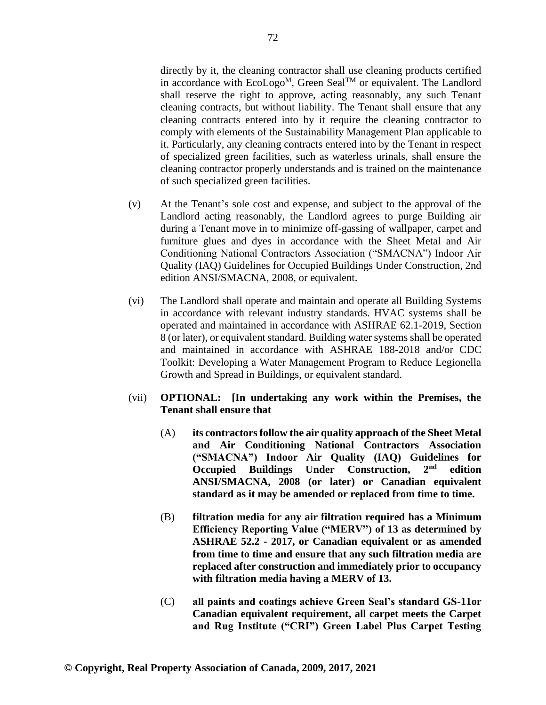directly by it, the cleaning contractor shall use cleaning products certified in accordance with  $EcoLogo^M$ , Green Seal<sup>TM</sup> or equivalent. The Landlord shall reserve the right to approve, acting reasonably, any such Tenant cleaning contracts, but without liability. The Tenant shall ensure that any cleaning contracts entered into by it require the cleaning contractor to comply with elements of the Sustainability Management Plan applicable to it. Particularly, any cleaning contracts entered into by the Tenant in respect of specialized green facilities, such as waterless urinals, shall ensure the cleaning contractor properly understands and is trained on the maintenance of such specialized green facilities.

- (v) At the Tenant's sole cost and expense, and subject to the approval of the Landlord acting reasonably, the Landlord agrees to purge Building air during a Tenant move in to minimize off-gassing of wallpaper, carpet and furniture glues and dyes in accordance with the Sheet Metal and Air Conditioning National Contractors Association ("SMACNA") Indoor Air Quality (IAQ) Guidelines for Occupied Buildings Under Construction, 2nd edition ANSI/SMACNA, 2008, or equivalent.
- (vi) The Landlord shall operate and maintain and operate all Building Systems in accordance with relevant industry standards. HVAC systems shall be operated and maintained in accordance with ASHRAE 62.1-2019, Section 8 (or later), or equivalent standard. Building water systems shall be operated and maintained in accordance with ASHRAE 188-2018 and/or CDC Toolkit: Developing a Water Management Program to Reduce Legionella Growth and Spread in Buildings, or equivalent standard.
- (vii) **OPTIONAL: [In undertaking any work within the Premises, the Tenant shall ensure that**
	- (A) **its contractors follow the air quality approach of the Sheet Metal and Air Conditioning National Contractors Association ("SMACNA") Indoor Air Quality (IAQ) Guidelines for Occupied Buildings Under Construction, 2nd edition ANSI/SMACNA, 2008 (or later) or Canadian equivalent standard as it may be amended or replaced from time to time.**
	- (B) **filtration media for any air filtration required has a Minimum Efficiency Reporting Value ("MERV") of 13 as determined by ASHRAE 52.2 - 2017, or Canadian equivalent or as amended from time to time and ensure that any such filtration media are replaced after construction and immediately prior to occupancy with filtration media having a MERV of 13.**
	- (C) **all paints and coatings achieve Green Seal's standard GS-11or Canadian equivalent requirement, all carpet meets the Carpet and Rug Institute ("CRI") Green Label Plus Carpet Testing**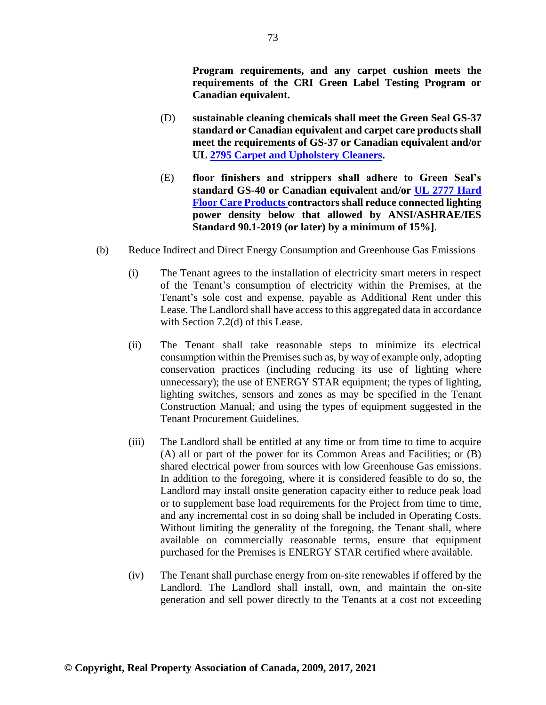**Program requirements, and any carpet cushion meets the requirements of the CRI Green Label Testing Program or Canadian equivalent.**

- (D) **sustainable cleaning chemicals shall meet the Green Seal GS-37 standard or Canadian equivalent and carpet care products shall meet the requirements of GS-37 or Canadian equivalent and/or UL [2795 Carpet and Upholstery Cleaners.](https://www.shopulstandards.com/ProductDetail.aspx?UniqueKey=24123)**
- (E) **floor finishers and strippers shall adhere to Green Seal's standard GS-40 or Canadian equivalent and/or [UL 2777 Hard](https://www.shopulstandards.com/ProductDetail.aspx?UniqueKey=23607)  [Floor Care Products](https://www.shopulstandards.com/ProductDetail.aspx?UniqueKey=23607) contractors shall reduce connected lighting power density below that allowed by ANSI/ASHRAE/IES Standard 90.1-2019 (or later) by a minimum of 15%]**.
- (b) Reduce Indirect and Direct Energy Consumption and Greenhouse Gas Emissions
	- (i) The Tenant agrees to the installation of electricity smart meters in respect of the Tenant's consumption of electricity within the Premises, at the Tenant's sole cost and expense, payable as Additional Rent under this Lease. The Landlord shall have access to this aggregated data in accordance with Section 7.2(d) of this Lease.
	- (ii) The Tenant shall take reasonable steps to minimize its electrical consumption within the Premises such as, by way of example only, adopting conservation practices (including reducing its use of lighting where unnecessary); the use of ENERGY STAR equipment; the types of lighting, lighting switches, sensors and zones as may be specified in the Tenant Construction Manual; and using the types of equipment suggested in the Tenant Procurement Guidelines.
	- (iii) The Landlord shall be entitled at any time or from time to time to acquire (A) all or part of the power for its Common Areas and Facilities; or (B) shared electrical power from sources with low Greenhouse Gas emissions. In addition to the foregoing, where it is considered feasible to do so, the Landlord may install onsite generation capacity either to reduce peak load or to supplement base load requirements for the Project from time to time, and any incremental cost in so doing shall be included in Operating Costs. Without limiting the generality of the foregoing, the Tenant shall, where available on commercially reasonable terms, ensure that equipment purchased for the Premises is ENERGY STAR certified where available.
	- (iv) The Tenant shall purchase energy from on-site renewables if offered by the Landlord. The Landlord shall install, own, and maintain the on-site generation and sell power directly to the Tenants at a cost not exceeding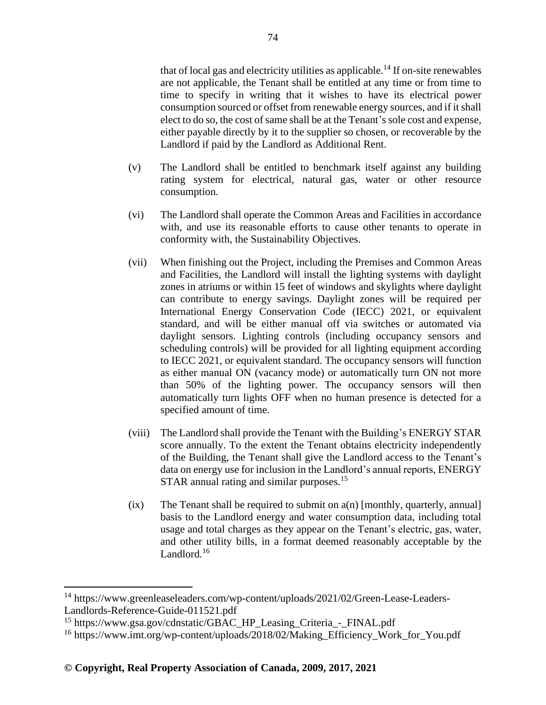that of local gas and electricity utilities as applicable.<sup>14</sup> If on-site renewables are not applicable, the Tenant shall be entitled at any time or from time to time to specify in writing that it wishes to have its electrical power consumption sourced or offset from renewable energy sources, and if it shall elect to do so, the cost of same shall be at the Tenant's sole cost and expense, either payable directly by it to the supplier so chosen, or recoverable by the Landlord if paid by the Landlord as Additional Rent.

- (v) The Landlord shall be entitled to benchmark itself against any building rating system for electrical, natural gas, water or other resource consumption.
- (vi) The Landlord shall operate the Common Areas and Facilities in accordance with, and use its reasonable efforts to cause other tenants to operate in conformity with, the Sustainability Objectives.
- (vii) When finishing out the Project, including the Premises and Common Areas and Facilities, the Landlord will install the lighting systems with daylight zones in atriums or within 15 feet of windows and skylights where daylight can contribute to energy savings. Daylight zones will be required per International Energy Conservation Code (IECC) 2021, or equivalent standard, and will be either manual off via switches or automated via daylight sensors. Lighting controls (including occupancy sensors and scheduling controls) will be provided for all lighting equipment according to IECC 2021, or equivalent standard. The occupancy sensors will function as either manual ON (vacancy mode) or automatically turn ON not more than 50% of the lighting power. The occupancy sensors will then automatically turn lights OFF when no human presence is detected for a specified amount of time.
- (viii) The Landlord shall provide the Tenant with the Building's ENERGY STAR score annually. To the extent the Tenant obtains electricity independently of the Building, the Tenant shall give the Landlord access to the Tenant's data on energy use for inclusion in the Landlord's annual reports, ENERGY STAR annual rating and similar purposes.<sup>15</sup>
- $(ix)$  The Tenant shall be required to submit on  $a(n)$  [monthly, quarterly, annual] basis to the Landlord energy and water consumption data, including total usage and total charges as they appear on the Tenant's electric, gas, water, and other utility bills, in a format deemed reasonably acceptable by the Landlord.<sup>16</sup>

<sup>14</sup> https://www.greenleaseleaders.com/wp-content/uploads/2021/02/Green-Lease-Leaders-Landlords-Reference-Guide-011521.pdf

<sup>&</sup>lt;sup>15</sup> https://www.gsa.gov/cdnstatic/GBAC\_HP\_Leasing\_Criteria\_-\_FINAL.pdf

<sup>16</sup> https://www.imt.org/wp-content/uploads/2018/02/Making\_Efficiency\_Work\_for\_You.pdf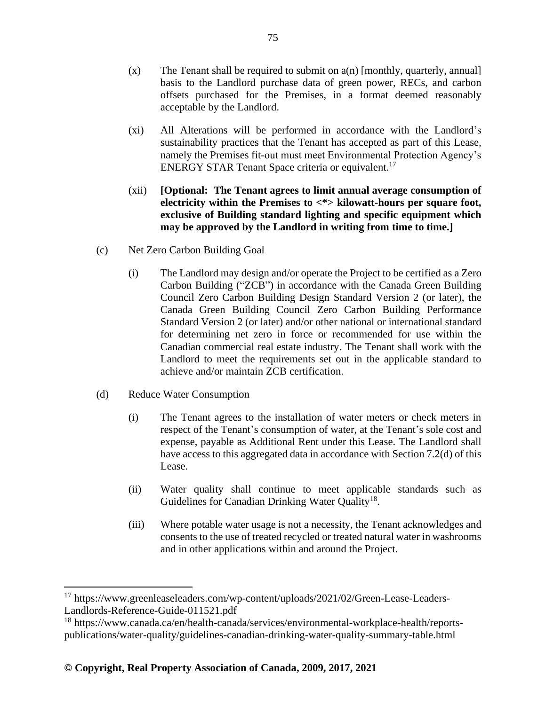- $(x)$  The Tenant shall be required to submit on  $a(n)$  [monthly, quarterly, annual] basis to the Landlord purchase data of green power, RECs, and carbon offsets purchased for the Premises, in a format deemed reasonably acceptable by the Landlord.
- (xi) All Alterations will be performed in accordance with the Landlord's sustainability practices that the Tenant has accepted as part of this Lease, namely the Premises fit-out must meet Environmental Protection Agency's ENERGY STAR Tenant Space criteria or equivalent.<sup>17</sup>
- (xii) **[Optional: The Tenant agrees to limit annual average consumption of electricity within the Premises to <\*> kilowatt-hours per square foot, exclusive of Building standard lighting and specific equipment which may be approved by the Landlord in writing from time to time.]**
- (c) Net Zero Carbon Building Goal
	- (i) The Landlord may design and/or operate the Project to be certified as a Zero Carbon Building ("ZCB") in accordance with the Canada Green Building Council Zero Carbon Building Design Standard Version 2 (or later), the Canada Green Building Council Zero Carbon Building Performance Standard Version 2 (or later) and/or other national or international standard for determining net zero in force or recommended for use within the Canadian commercial real estate industry. The Tenant shall work with the Landlord to meet the requirements set out in the applicable standard to achieve and/or maintain ZCB certification.
- (d) Reduce Water Consumption
	- (i) The Tenant agrees to the installation of water meters or check meters in respect of the Tenant's consumption of water, at the Tenant's sole cost and expense, payable as Additional Rent under this Lease. The Landlord shall have access to this aggregated data in accordance with Section 7.2(d) of this Lease.
	- (ii) Water quality shall continue to meet applicable standards such as Guidelines for Canadian Drinking Water Quality<sup>18</sup>.
	- (iii) Where potable water usage is not a necessity, the Tenant acknowledges and consents to the use of treated recycled or treated natural water in washrooms and in other applications within and around the Project.

<sup>&</sup>lt;sup>17</sup> https://www.greenleaseleaders.com/wp-content/uploads/2021/02/Green-Lease-Leaders-Landlords-Reference-Guide-011521.pdf

<sup>18</sup> https://www.canada.ca/en/health-canada/services/environmental-workplace-health/reportspublications/water-quality/guidelines-canadian-drinking-water-quality-summary-table.html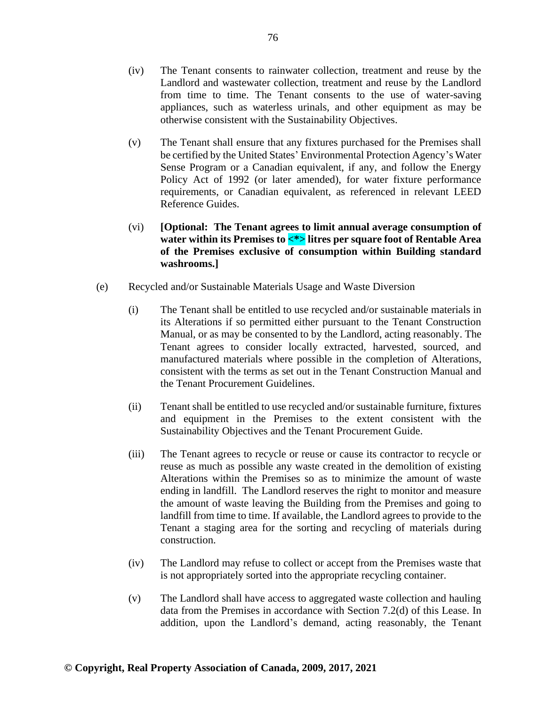- (iv) The Tenant consents to rainwater collection, treatment and reuse by the Landlord and wastewater collection, treatment and reuse by the Landlord from time to time. The Tenant consents to the use of water-saving appliances, such as waterless urinals, and other equipment as may be otherwise consistent with the Sustainability Objectives.
- (v) The Tenant shall ensure that any fixtures purchased for the Premises shall be certified by the United States' Environmental Protection Agency's Water Sense Program or a Canadian equivalent, if any, and follow the Energy Policy Act of 1992 (or later amended), for water fixture performance requirements, or Canadian equivalent, as referenced in relevant LEED Reference Guides.
- (vi) **[Optional: The Tenant agrees to limit annual average consumption of water within its Premises to <\*> litres per square foot of Rentable Area of the Premises exclusive of consumption within Building standard washrooms.]**
- (e) Recycled and/or Sustainable Materials Usage and Waste Diversion
	- (i) The Tenant shall be entitled to use recycled and/or sustainable materials in its Alterations if so permitted either pursuant to the Tenant Construction Manual, or as may be consented to by the Landlord, acting reasonably. The Tenant agrees to consider locally extracted, harvested, sourced, and manufactured materials where possible in the completion of Alterations, consistent with the terms as set out in the Tenant Construction Manual and the Tenant Procurement Guidelines.
	- (ii) Tenant shall be entitled to use recycled and/or sustainable furniture, fixtures and equipment in the Premises to the extent consistent with the Sustainability Objectives and the Tenant Procurement Guide.
	- (iii) The Tenant agrees to recycle or reuse or cause its contractor to recycle or reuse as much as possible any waste created in the demolition of existing Alterations within the Premises so as to minimize the amount of waste ending in landfill. The Landlord reserves the right to monitor and measure the amount of waste leaving the Building from the Premises and going to landfill from time to time. If available, the Landlord agrees to provide to the Tenant a staging area for the sorting and recycling of materials during construction.
	- (iv) The Landlord may refuse to collect or accept from the Premises waste that is not appropriately sorted into the appropriate recycling container.
	- (v) The Landlord shall have access to aggregated waste collection and hauling data from the Premises in accordance with Section 7.2(d) of this Lease. In addition, upon the Landlord's demand, acting reasonably, the Tenant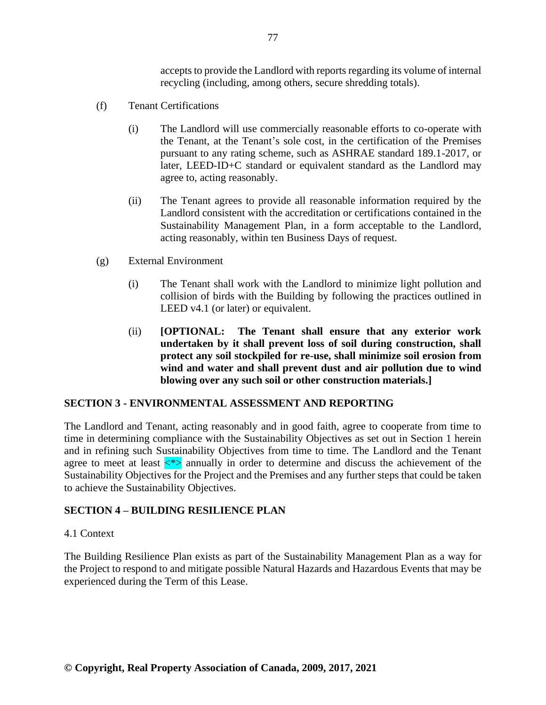accepts to provide the Landlord with reports regarding its volume of internal recycling (including, among others, secure shredding totals).

- (f) Tenant Certifications
	- (i) The Landlord will use commercially reasonable efforts to co-operate with the Tenant, at the Tenant's sole cost, in the certification of the Premises pursuant to any rating scheme, such as ASHRAE standard 189.1-2017, or later, LEED-ID+C standard or equivalent standard as the Landlord may agree to, acting reasonably.
	- (ii) The Tenant agrees to provide all reasonable information required by the Landlord consistent with the accreditation or certifications contained in the Sustainability Management Plan, in a form acceptable to the Landlord, acting reasonably, within ten Business Days of request.
- (g) External Environment
	- (i) The Tenant shall work with the Landlord to minimize light pollution and collision of birds with the Building by following the practices outlined in LEED v4.1 (or later) or equivalent.
	- (ii) **[OPTIONAL: The Tenant shall ensure that any exterior work undertaken by it shall prevent loss of soil during construction, shall protect any soil stockpiled for re-use, shall minimize soil erosion from wind and water and shall prevent dust and air pollution due to wind blowing over any such soil or other construction materials.]**

### **SECTION 3 - ENVIRONMENTAL ASSESSMENT AND REPORTING**

The Landlord and Tenant, acting reasonably and in good faith, agree to cooperate from time to time in determining compliance with the Sustainability Objectives as set out in Section 1 herein and in refining such Sustainability Objectives from time to time. The Landlord and the Tenant agree to meet at least  $\langle * \rangle$  annually in order to determine and discuss the achievement of the Sustainability Objectives for the Project and the Premises and any further steps that could be taken to achieve the Sustainability Objectives.

# **SECTION 4 – BUILDING RESILIENCE PLAN**

### 4.1 Context

The Building Resilience Plan exists as part of the Sustainability Management Plan as a way for the Project to respond to and mitigate possible Natural Hazards and Hazardous Events that may be experienced during the Term of this Lease.